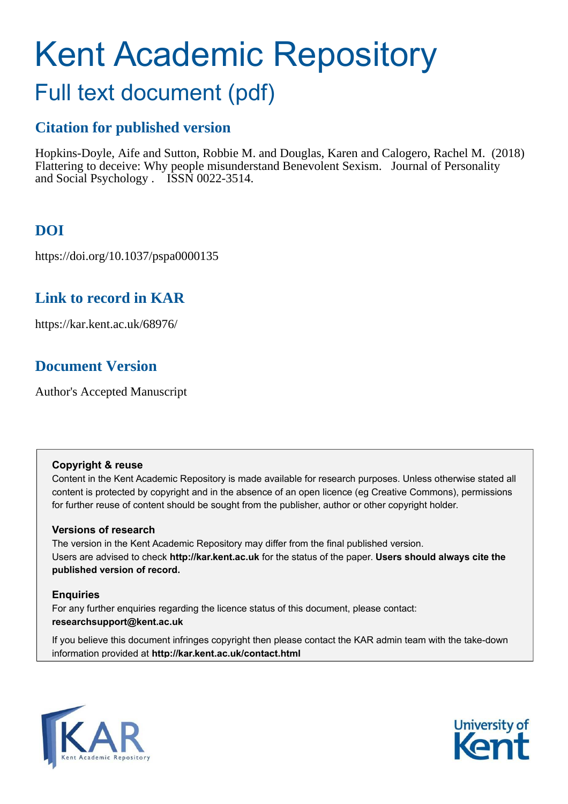# Kent Academic Repository

## Full text document (pdf)

## **Citation for published version**

Hopkins-Doyle, Aife and Sutton, Robbie M. and Douglas, Karen and Calogero, Rachel M. (2018) Flattering to deceive: Why people misunderstand Benevolent Sexism. Journal of Personality and Social Psychology . ISSN 0022-3514.

## **DOI**

https://doi.org/10.1037/pspa0000135

## **Link to record in KAR**

https://kar.kent.ac.uk/68976/

## **Document Version**

Author's Accepted Manuscript

#### **Copyright & reuse**

Content in the Kent Academic Repository is made available for research purposes. Unless otherwise stated all content is protected by copyright and in the absence of an open licence (eg Creative Commons), permissions for further reuse of content should be sought from the publisher, author or other copyright holder.

#### **Versions of research**

The version in the Kent Academic Repository may differ from the final published version. Users are advised to check **http://kar.kent.ac.uk** for the status of the paper. **Users should always cite the published version of record.**

#### **Enquiries**

For any further enquiries regarding the licence status of this document, please contact: **researchsupport@kent.ac.uk**

If you believe this document infringes copyright then please contact the KAR admin team with the take-down information provided at **http://kar.kent.ac.uk/contact.html**



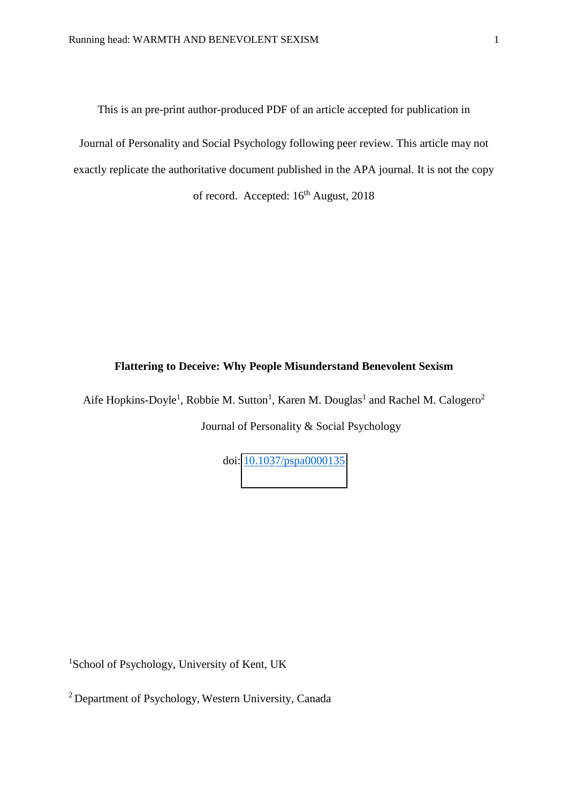This is an pre-print author-produced PDF of an article accepted for publication in

Journal of Personality and Social Psychology following peer review. This article may not exactly replicate the authoritative document published in the APA journal. It is not the copy of record. Accepted:  $16<sup>th</sup>$  August, 2018

#### **Flattering to Deceive: Why People Misunderstand Benevolent Sexism**

Aife Hopkins-Doyle<sup>1</sup>, Robbie M. Sutton<sup>1</sup>, Karen M. Douglas<sup>1</sup> and Rachel M. Calogero<sup>2</sup>

Journal of Personality & Social Psychology

doi: [10.1037/pspa0000135](https://doi.org/10.1037/pspa0000135)

<sup>1</sup>School of Psychology, University of Kent, UK

<sup>2</sup>Department of Psychology, Western University, Canada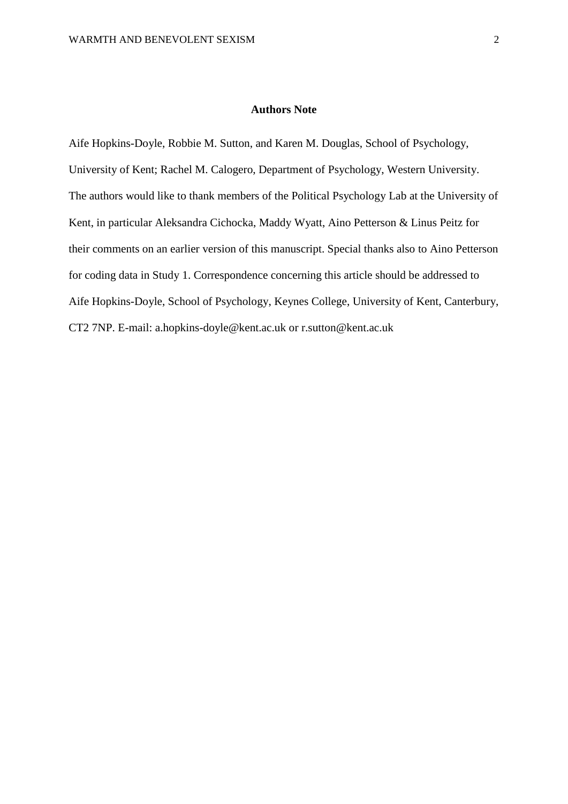#### **Authors Note**

Aife Hopkins-Doyle, Robbie M. Sutton, and Karen M. Douglas, School of Psychology, University of Kent; Rachel M. Calogero, Department of Psychology, Western University. The authors would like to thank members of the Political Psychology Lab at the University of Kent, in particular Aleksandra Cichocka, Maddy Wyatt, Aino Petterson & Linus Peitz for their comments on an earlier version of this manuscript. Special thanks also to Aino Petterson for coding data in Study 1. Correspondence concerning this article should be addressed to Aife Hopkins-Doyle, School of Psychology, Keynes College, University of Kent, Canterbury, CT2 7NP. E-mail: a.hopkins-doyle@kent.ac.uk or r.sutton@kent.ac.uk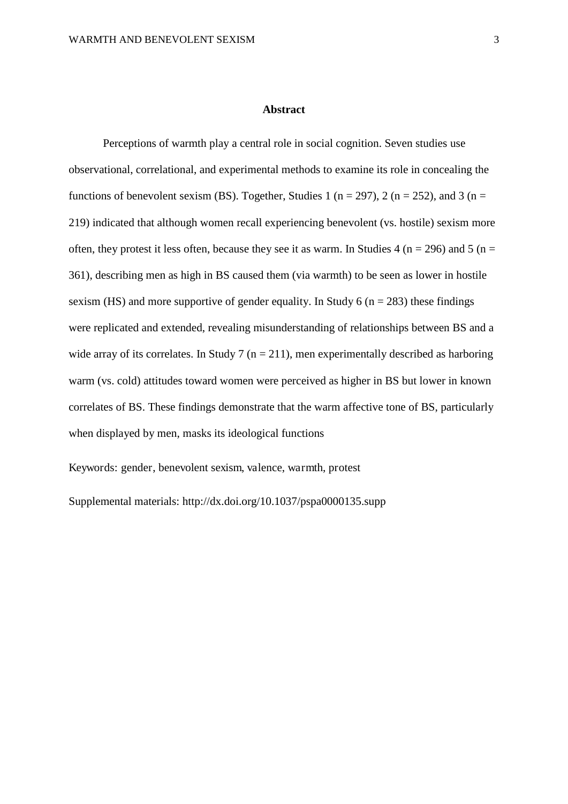#### **Abstract**

Perceptions of warmth play a central role in social cognition. Seven studies use observational, correlational, and experimental methods to examine its role in concealing the functions of benevolent sexism (BS). Together, Studies 1 ( $n = 297$ ), 2 ( $n = 252$ ), and 3 ( $n =$ 219) indicated that although women recall experiencing benevolent (vs. hostile) sexism more often, they protest it less often, because they see it as warm. In Studies 4 ( $n = 296$ ) and 5 ( $n =$ 361), describing men as high in BS caused them (via warmth) to be seen as lower in hostile sexism (HS) and more supportive of gender equality. In Study 6 ( $n = 283$ ) these findings were replicated and extended, revealing misunderstanding of relationships between BS and a wide array of its correlates. In Study 7 ( $n = 211$ ), men experimentally described as harboring warm (vs. cold) attitudes toward women were perceived as higher in BS but lower in known correlates of BS. These findings demonstrate that the warm affective tone of BS, particularly when displayed by men, masks its ideological functions

Keywords: gender, benevolent sexism, valence, warmth, protest

Supplemental materials: http://dx.doi.org/10.1037/pspa0000135.supp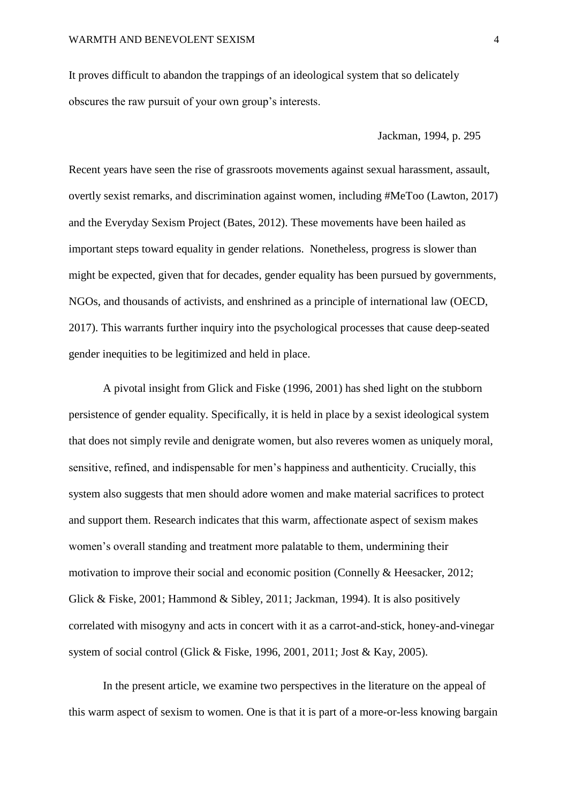It proves difficult to abandon the trappings of an ideological system that so delicately obscures the raw pursuit of your own group's interests.

Jackman, 1994, p. 295

Recent years have seen the rise of grassroots movements against sexual harassment, assault, overtly sexist remarks, and discrimination against women, including #MeToo (Lawton, 2017) and the Everyday Sexism Project (Bates, 2012). These movements have been hailed as important steps toward equality in gender relations. Nonetheless, progress is slower than might be expected, given that for decades, gender equality has been pursued by governments, NGOs, and thousands of activists, and enshrined as a principle of international law (OECD, 2017). This warrants further inquiry into the psychological processes that cause deep-seated gender inequities to be legitimized and held in place.

 A pivotal insight from Glick and Fiske (1996, 2001) has shed light on the stubborn persistence of gender equality. Specifically, it is held in place by a sexist ideological system that does not simply revile and denigrate women, but also reveres women as uniquely moral, sensitive, refined, and indispensable for men's happiness and authenticity. Crucially, this system also suggests that men should adore women and make material sacrifices to protect and support them. Research indicates that this warm, affectionate aspect of sexism makes women's overall standing and treatment more palatable to them, undermining their motivation to improve their social and economic position (Connelly & Heesacker, 2012; Glick & Fiske, 2001; Hammond & Sibley, 2011; Jackman, 1994). It is also positively correlated with misogyny and acts in concert with it as a carrot-and-stick, honey-and-vinegar system of social control (Glick & Fiske, 1996, 2001, 2011; Jost & Kay, 2005).

In the present article, we examine two perspectives in the literature on the appeal of this warm aspect of sexism to women. One is that it is part of a more-or-less knowing bargain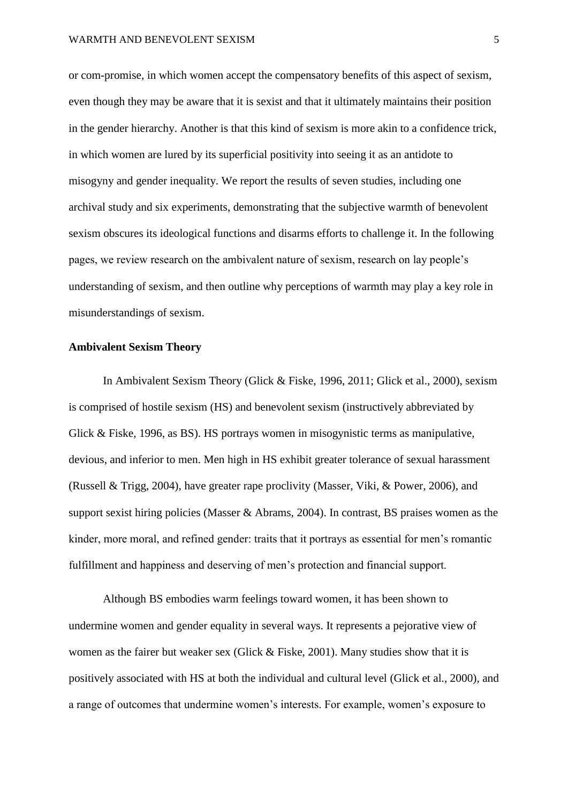or com-promise, in which women accept the compensatory benefits of this aspect of sexism, even though they may be aware that it is sexist and that it ultimately maintains their position in the gender hierarchy. Another is that this kind of sexism is more akin to a confidence trick, in which women are lured by its superficial positivity into seeing it as an antidote to misogyny and gender inequality. We report the results of seven studies, including one archival study and six experiments, demonstrating that the subjective warmth of benevolent sexism obscures its ideological functions and disarms efforts to challenge it. In the following pages, we review research on the ambivalent nature of sexism, research on lay people's understanding of sexism, and then outline why perceptions of warmth may play a key role in misunderstandings of sexism.

#### **Ambivalent Sexism Theory**

In Ambivalent Sexism Theory (Glick & Fiske, 1996, 2011; Glick et al., 2000), sexism is comprised of hostile sexism (HS) and benevolent sexism (instructively abbreviated by Glick & Fiske, 1996, as BS). HS portrays women in misogynistic terms as manipulative, devious, and inferior to men. Men high in HS exhibit greater tolerance of sexual harassment (Russell & Trigg, 2004), have greater rape proclivity (Masser, Viki, & Power, 2006), and support sexist hiring policies (Masser & Abrams, 2004). In contrast, BS praises women as the kinder, more moral, and refined gender: traits that it portrays as essential for men's romantic fulfillment and happiness and deserving of men's protection and financial support.

Although BS embodies warm feelings toward women, it has been shown to undermine women and gender equality in several ways. It represents a pejorative view of women as the fairer but weaker sex (Glick & Fiske, 2001). Many studies show that it is positively associated with HS at both the individual and cultural level (Glick et al., 2000), and a range of outcomes that undermine women's interests. For example, women's exposure to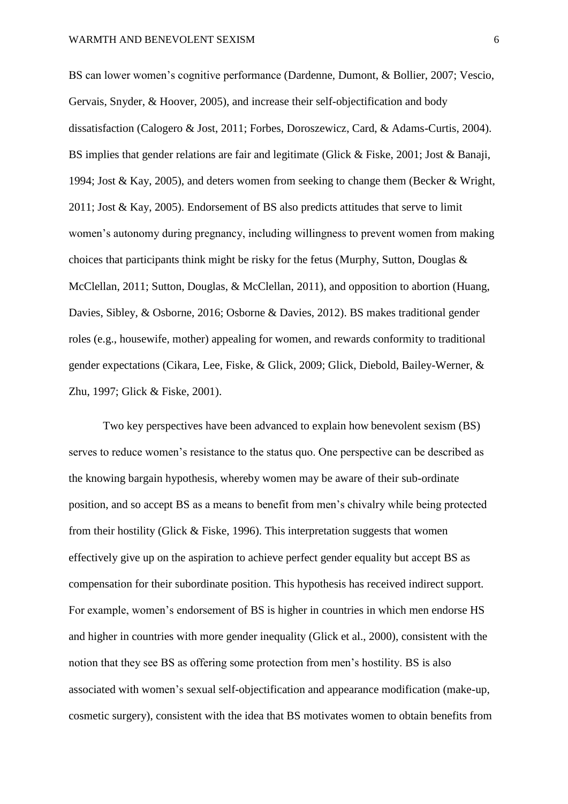BS can lower women's cognitive performance (Dardenne, Dumont, & Bollier, 2007; Vescio, Gervais, Snyder, & Hoover, 2005), and increase their self-objectification and body dissatisfaction (Calogero & Jost, 2011; Forbes, Doroszewicz, Card, & Adams-Curtis, 2004). BS implies that gender relations are fair and legitimate (Glick & Fiske, 2001; Jost & Banaji, 1994; Jost & Kay, 2005), and deters women from seeking to change them (Becker & Wright, 2011; Jost & Kay, 2005). Endorsement of BS also predicts attitudes that serve to limit women's autonomy during pregnancy, including willingness to prevent women from making choices that participants think might be risky for the fetus (Murphy, Sutton, Douglas & McClellan, 2011; Sutton, Douglas, & McClellan, 2011), and opposition to abortion (Huang, Davies, Sibley, & Osborne, 2016; Osborne & Davies, 2012). BS makes traditional gender roles (e.g., housewife, mother) appealing for women, and rewards conformity to traditional gender expectations (Cikara, Lee, Fiske, & Glick, 2009; Glick, Diebold, Bailey-Werner, & Zhu, 1997; Glick & Fiske, 2001).

Two key perspectives have been advanced to explain how benevolent sexism (BS) serves to reduce women's resistance to the status quo. One perspective can be described as the knowing bargain hypothesis, whereby women may be aware of their sub-ordinate position, and so accept BS as a means to benefit from men's chivalry while being protected from their hostility (Glick  $&$  Fiske, 1996). This interpretation suggests that women effectively give up on the aspiration to achieve perfect gender equality but accept BS as compensation for their subordinate position. This hypothesis has received indirect support. For example, women's endorsement of BS is higher in countries in which men endorse HS and higher in countries with more gender inequality (Glick et al., 2000), consistent with the notion that they see BS as offering some protection from men's hostility. BS is also associated with women's sexual self-objectification and appearance modification (make-up, cosmetic surgery), consistent with the idea that BS motivates women to obtain benefits from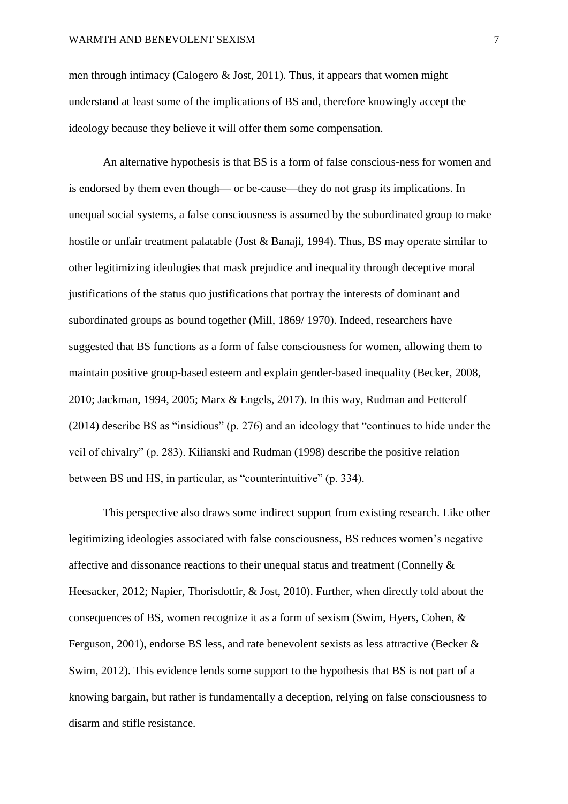men through intimacy (Calogero  $\&$  Jost, 2011). Thus, it appears that women might understand at least some of the implications of BS and, therefore knowingly accept the ideology because they believe it will offer them some compensation.

An alternative hypothesis is that BS is a form of false conscious-ness for women and is endorsed by them even though— or be-cause—they do not grasp its implications. In unequal social systems, a false consciousness is assumed by the subordinated group to make hostile or unfair treatment palatable (Jost & Banaji, 1994). Thus, BS may operate similar to other legitimizing ideologies that mask prejudice and inequality through deceptive moral justifications of the status quo justifications that portray the interests of dominant and subordinated groups as bound together (Mill, 1869/ 1970). Indeed, researchers have suggested that BS functions as a form of false consciousness for women, allowing them to maintain positive group-based esteem and explain gender-based inequality (Becker, 2008, 2010; Jackman, 1994, 2005; Marx & Engels, 2017). In this way, Rudman and Fetterolf (2014) describe BS as "insidious" (p. 276) and an ideology that "continues to hide under the veil of chivalry" (p. 283). Kilianski and Rudman (1998) describe the positive relation between BS and HS, in particular, as "counterintuitive" (p. 334).

This perspective also draws some indirect support from existing research. Like other legitimizing ideologies associated with false consciousness, BS reduces women's negative affective and dissonance reactions to their unequal status and treatment (Connelly & Heesacker, 2012; Napier, Thorisdottir, & Jost, 2010). Further, when directly told about the consequences of BS, women recognize it as a form of sexism (Swim, Hyers, Cohen, & Ferguson, 2001), endorse BS less, and rate benevolent sexists as less attractive (Becker & Swim, 2012). This evidence lends some support to the hypothesis that BS is not part of a knowing bargain, but rather is fundamentally a deception, relying on false consciousness to disarm and stifle resistance.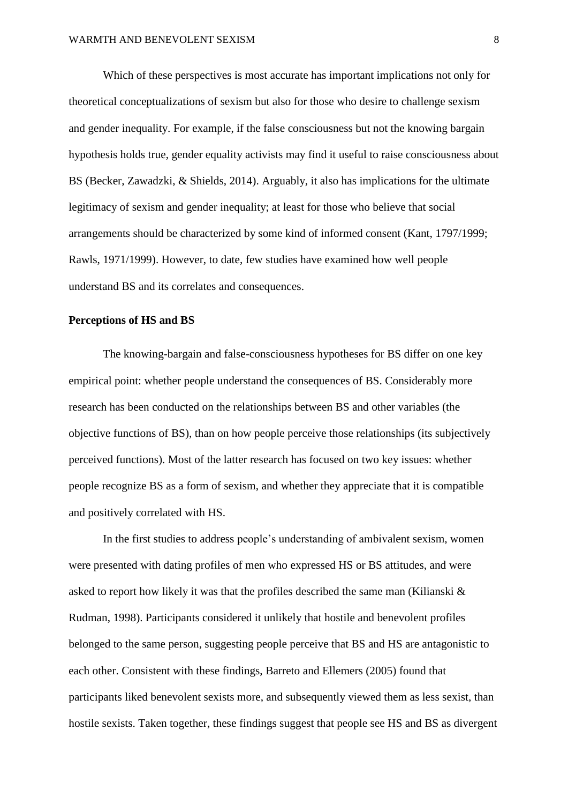Which of these perspectives is most accurate has important implications not only for theoretical conceptualizations of sexism but also for those who desire to challenge sexism and gender inequality. For example, if the false consciousness but not the knowing bargain hypothesis holds true, gender equality activists may find it useful to raise consciousness about BS (Becker, Zawadzki, & Shields, 2014). Arguably, it also has implications for the ultimate legitimacy of sexism and gender inequality; at least for those who believe that social arrangements should be characterized by some kind of informed consent (Kant, 1797/1999; Rawls, 1971/1999). However, to date, few studies have examined how well people understand BS and its correlates and consequences.

#### **Perceptions of HS and BS**

The knowing-bargain and false-consciousness hypotheses for BS differ on one key empirical point: whether people understand the consequences of BS. Considerably more research has been conducted on the relationships between BS and other variables (the objective functions of BS), than on how people perceive those relationships (its subjectively perceived functions). Most of the latter research has focused on two key issues: whether people recognize BS as a form of sexism, and whether they appreciate that it is compatible and positively correlated with HS.

In the first studies to address people's understanding of ambivalent sexism, women were presented with dating profiles of men who expressed HS or BS attitudes, and were asked to report how likely it was that the profiles described the same man (Kilianski & Rudman, 1998). Participants considered it unlikely that hostile and benevolent profiles belonged to the same person, suggesting people perceive that BS and HS are antagonistic to each other. Consistent with these findings, Barreto and Ellemers (2005) found that participants liked benevolent sexists more, and subsequently viewed them as less sexist, than hostile sexists. Taken together, these findings suggest that people see HS and BS as divergent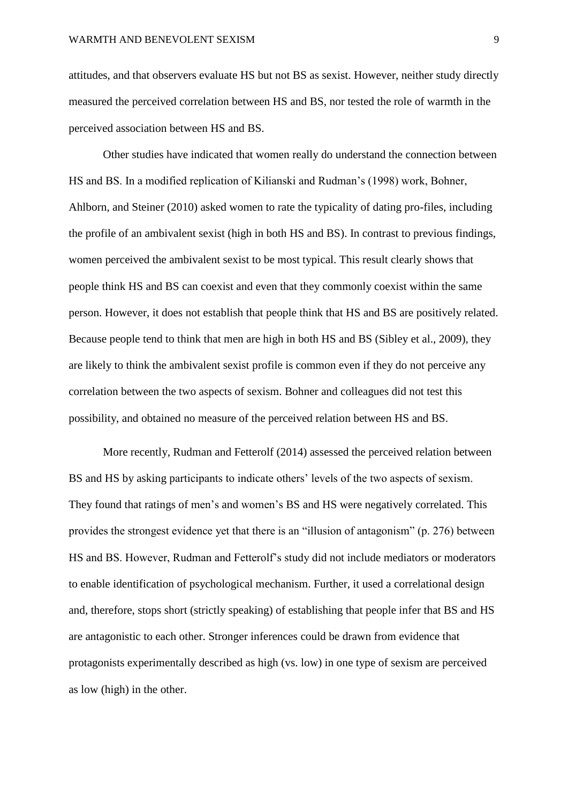attitudes, and that observers evaluate HS but not BS as sexist. However, neither study directly measured the perceived correlation between HS and BS, nor tested the role of warmth in the perceived association between HS and BS.

Other studies have indicated that women really do understand the connection between HS and BS. In a modified replication of Kilianski and Rudman's (1998) work, Bohner, Ahlborn, and Steiner (2010) asked women to rate the typicality of dating pro-files, including the profile of an ambivalent sexist (high in both HS and BS). In contrast to previous findings, women perceived the ambivalent sexist to be most typical. This result clearly shows that people think HS and BS can coexist and even that they commonly coexist within the same person. However, it does not establish that people think that HS and BS are positively related. Because people tend to think that men are high in both HS and BS (Sibley et al., 2009), they are likely to think the ambivalent sexist profile is common even if they do not perceive any correlation between the two aspects of sexism. Bohner and colleagues did not test this possibility, and obtained no measure of the perceived relation between HS and BS.

More recently, Rudman and Fetterolf (2014) assessed the perceived relation between BS and HS by asking participants to indicate others' levels of the two aspects of sexism. They found that ratings of men's and women's BS and HS were negatively correlated. This provides the strongest evidence yet that there is an "illusion of antagonism" (p. 276) between HS and BS. However, Rudman and Fetterolf's study did not include mediators or moderators to enable identification of psychological mechanism. Further, it used a correlational design and, therefore, stops short (strictly speaking) of establishing that people infer that BS and HS are antagonistic to each other. Stronger inferences could be drawn from evidence that protagonists experimentally described as high (vs. low) in one type of sexism are perceived as low (high) in the other.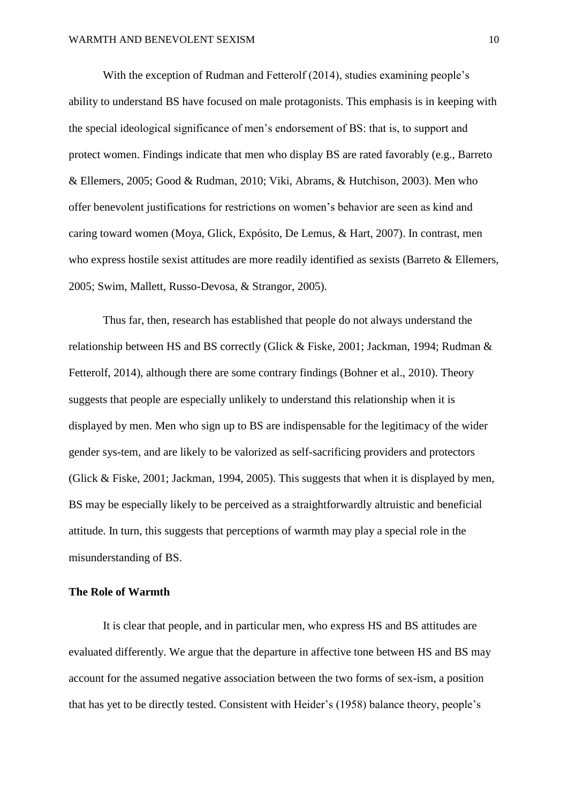With the exception of Rudman and Fetterolf (2014), studies examining people's ability to understand BS have focused on male protagonists. This emphasis is in keeping with the special ideological significance of men's endorsement of BS: that is, to support and protect women. Findings indicate that men who display BS are rated favorably (e.g., Barreto & Ellemers, 2005; Good & Rudman, 2010; Viki, Abrams, & Hutchison, 2003). Men who offer benevolent justifications for restrictions on women's behavior are seen as kind and caring toward women (Moya, Glick, Expósito, De Lemus, & Hart, 2007). In contrast, men who express hostile sexist attitudes are more readily identified as sexists (Barreto & Ellemers, 2005; Swim, Mallett, Russo-Devosa, & Strangor, 2005).

Thus far, then, research has established that people do not always understand the relationship between HS and BS correctly (Glick & Fiske, 2001; Jackman, 1994; Rudman & Fetterolf, 2014), although there are some contrary findings (Bohner et al., 2010). Theory suggests that people are especially unlikely to understand this relationship when it is displayed by men. Men who sign up to BS are indispensable for the legitimacy of the wider gender sys-tem, and are likely to be valorized as self-sacrificing providers and protectors (Glick & Fiske, 2001; Jackman, 1994, 2005). This suggests that when it is displayed by men, BS may be especially likely to be perceived as a straightforwardly altruistic and beneficial attitude. In turn, this suggests that perceptions of warmth may play a special role in the misunderstanding of BS.

#### **The Role of Warmth**

It is clear that people, and in particular men, who express HS and BS attitudes are evaluated differently. We argue that the departure in affective tone between HS and BS may account for the assumed negative association between the two forms of sex-ism, a position that has yet to be directly tested. Consistent with Heider's (1958) balance theory, people's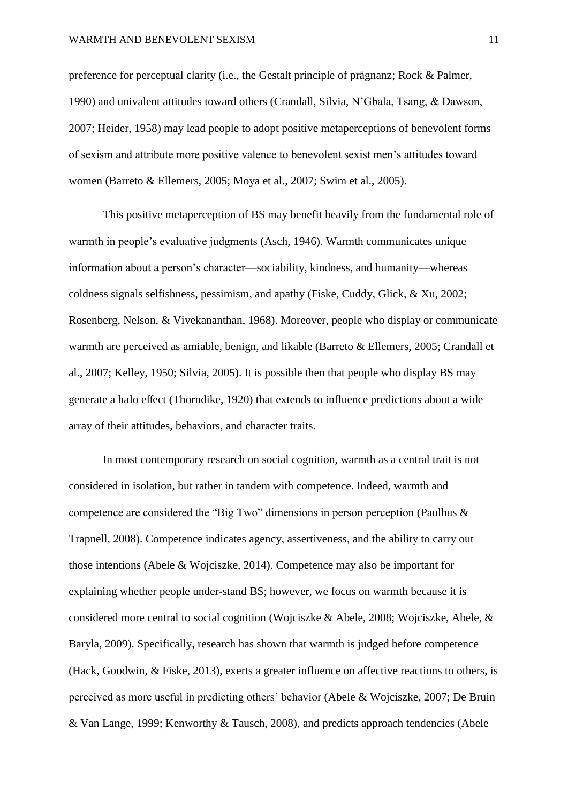preference for perceptual clarity (i.e., the Gestalt principle of prägnanz; Rock & Palmer, 1990) and univalent attitudes toward others (Crandall, Silvia, N'Gbala, Tsang, & Dawson, 2007; Heider, 1958) may lead people to adopt positive metaperceptions of benevolent forms of sexism and attribute more positive valence to benevolent sexist men's attitudes toward women (Barreto & Ellemers, 2005; Moya et al., 2007; Swim et al., 2005).

This positive metaperception of BS may benefit heavily from the fundamental role of warmth in people's evaluative judgments (Asch, 1946). Warmth communicates unique information about a person's character—sociability, kindness, and humanity—whereas coldness signals selfishness, pessimism, and apathy (Fiske, Cuddy, Glick, & Xu, 2002; Rosenberg, Nelson, & Vivekananthan, 1968). Moreover, people who display or communicate warmth are perceived as amiable, benign, and likable (Barreto & Ellemers, 2005; Crandall et al., 2007; Kelley, 1950; Silvia, 2005). It is possible then that people who display BS may generate a halo effect (Thorndike, 1920) that extends to influence predictions about a wide array of their attitudes, behaviors, and character traits.

In most contemporary research on social cognition, warmth as a central trait is not considered in isolation, but rather in tandem with competence. Indeed, warmth and competence are considered the "Big Two" dimensions in person perception (Paulhus & Trapnell, 2008). Competence indicates agency, assertiveness, and the ability to carry out those intentions (Abele & Wojciszke, 2014). Competence may also be important for explaining whether people under-stand BS; however, we focus on warmth because it is considered more central to social cognition (Wojciszke & Abele, 2008; Wojciszke, Abele, & Baryla, 2009). Specifically, research has shown that warmth is judged before competence (Hack, Goodwin, & Fiske, 2013), exerts a greater influence on affective reactions to others, is perceived as more useful in predicting others' behavior (Abele & Wojciszke, 2007; De Bruin & Van Lange, 1999; Kenworthy & Tausch, 2008), and predicts approach tendencies (Abele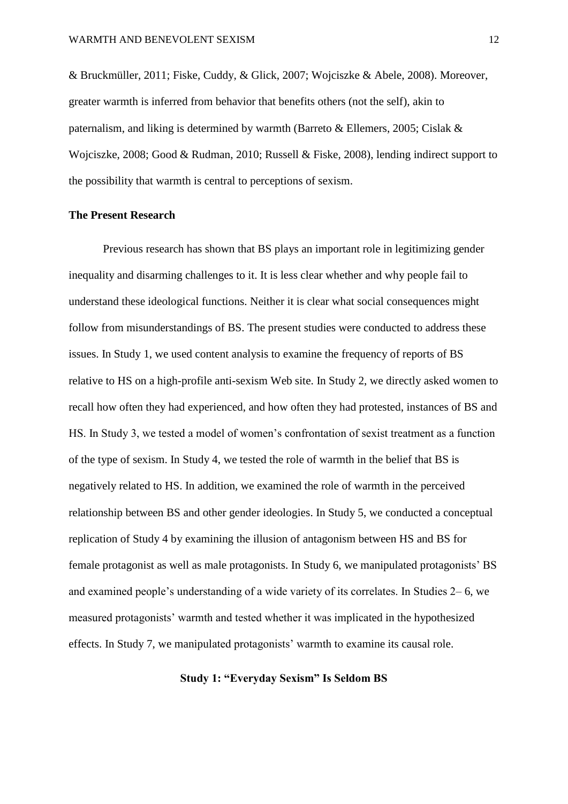& Bruckmüller, 2011; Fiske, Cuddy, & Glick, 2007; Wojciszke & Abele, 2008). Moreover, greater warmth is inferred from behavior that benefits others (not the self), akin to paternalism, and liking is determined by warmth (Barreto & Ellemers, 2005; Cislak & Wojciszke, 2008; Good & Rudman, 2010; Russell & Fiske, 2008), lending indirect support to the possibility that warmth is central to perceptions of sexism.

#### **The Present Research**

Previous research has shown that BS plays an important role in legitimizing gender inequality and disarming challenges to it. It is less clear whether and why people fail to understand these ideological functions. Neither it is clear what social consequences might follow from misunderstandings of BS. The present studies were conducted to address these issues. In Study 1, we used content analysis to examine the frequency of reports of BS relative to HS on a high-profile anti-sexism Web site. In Study 2, we directly asked women to recall how often they had experienced, and how often they had protested, instances of BS and HS. In Study 3, we tested a model of women's confrontation of sexist treatment as a function of the type of sexism. In Study 4, we tested the role of warmth in the belief that BS is negatively related to HS. In addition, we examined the role of warmth in the perceived relationship between BS and other gender ideologies. In Study 5, we conducted a conceptual replication of Study 4 by examining the illusion of antagonism between HS and BS for female protagonist as well as male protagonists. In Study 6, we manipulated protagonists' BS and examined people's understanding of a wide variety of its correlates. In Studies 2– 6, we measured protagonists' warmth and tested whether it was implicated in the hypothesized effects. In Study 7, we manipulated protagonists' warmth to examine its causal role.

#### **Study 1: "Everyday Sexism" Is Seldom BS**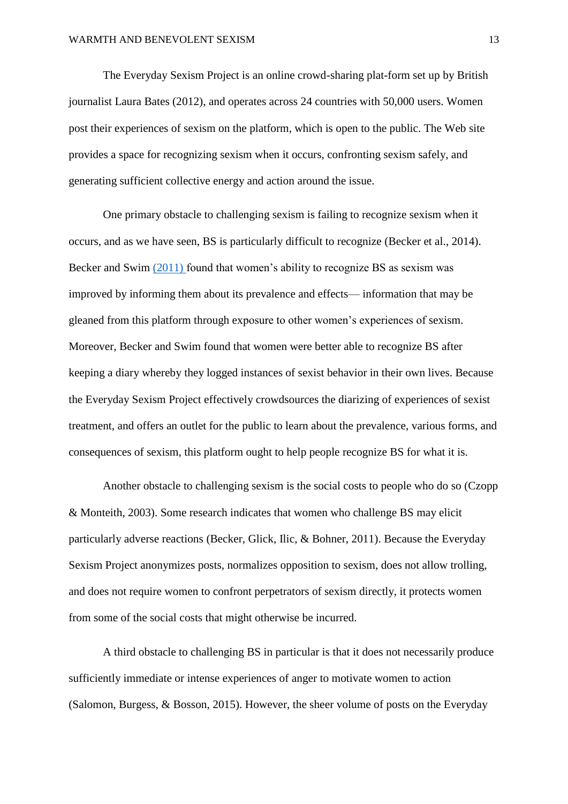The Everyday Sexism Project is an online crowd-sharing plat-form set up by British journalist Laura Bates (2012), and operates across 24 countries with 50,000 users. Women post their experiences of sexism on the platform, which is open to the public. The Web site provides a space for recognizing sexism when it occurs, confronting sexism safely, and generating sufficient collective energy and action around the issue.

One primary obstacle to challenging sexism is failing to recognize sexism when it occurs, and as we have seen, BS is particularly difficult to recognize (Becker et al., 2014). Becker and Swim (2011) found that women's ability to recognize BS as sexism was improved by informing them about its prevalence and effects— information that may be gleaned from this platform through exposure to other women's experiences of sexism. Moreover, Becker and Swim found that women were better able to recognize BS after keeping a diary whereby they logged instances of sexist behavior in their own lives. Because the Everyday Sexism Project effectively crowdsources the diarizing of experiences of sexist treatment, and offers an outlet for the public to learn about the prevalence, various forms, and consequences of sexism, this platform ought to help people recognize BS for what it is.

Another obstacle to challenging sexism is the social costs to people who do so (Czopp & Monteith, 2003). Some research indicates that women who challenge BS may elicit particularly adverse reactions (Becker, Glick, Ilic, & Bohner, 2011). Because the Everyday Sexism Project anonymizes posts, normalizes opposition to sexism, does not allow trolling, and does not require women to confront perpetrators of sexism directly, it protects women from some of the social costs that might otherwise be incurred.

A third obstacle to challenging BS in particular is that it does not necessarily produce sufficiently immediate or intense experiences of anger to motivate women to action (Salomon, Burgess, & Bosson, 2015). However, the sheer volume of posts on the Everyday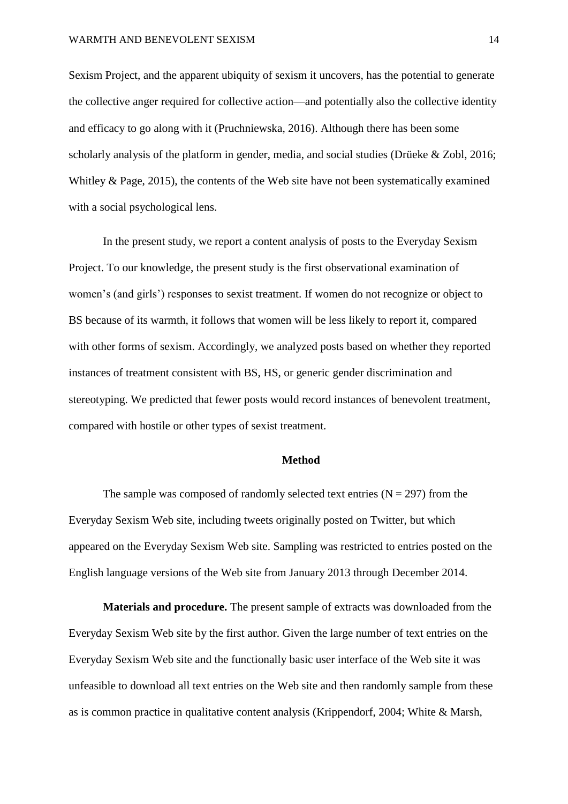#### WARMTH AND BENEVOLENT SEXISM 14

Sexism Project, and the apparent ubiquity of sexism it uncovers, has the potential to generate the collective anger required for collective action—and potentially also the collective identity and efficacy to go along with it (Pruchniewska, 2016). Although there has been some scholarly analysis of the platform in gender, media, and social studies (Drüeke & Zobl, 2016; Whitley & Page, 2015), the contents of the Web site have not been systematically examined with a social psychological lens.

In the present study, we report a content analysis of posts to the Everyday Sexism Project. To our knowledge, the present study is the first observational examination of women's (and girls') responses to sexist treatment. If women do not recognize or object to BS because of its warmth, it follows that women will be less likely to report it, compared with other forms of sexism. Accordingly, we analyzed posts based on whether they reported instances of treatment consistent with BS, HS, or generic gender discrimination and stereotyping. We predicted that fewer posts would record instances of benevolent treatment, compared with hostile or other types of sexist treatment.

#### **Method**

The sample was composed of randomly selected text entries  $(N = 297)$  from the Everyday Sexism Web site, including tweets originally posted on Twitter, but which appeared on the Everyday Sexism Web site. Sampling was restricted to entries posted on the English language versions of the Web site from January 2013 through December 2014.

**Materials and procedure.** The present sample of extracts was downloaded from the Everyday Sexism Web site by the first author. Given the large number of text entries on the Everyday Sexism Web site and the functionally basic user interface of the Web site it was unfeasible to download all text entries on the Web site and then randomly sample from these as is common practice in qualitative content analysis (Krippendorf, 2004; White & Marsh,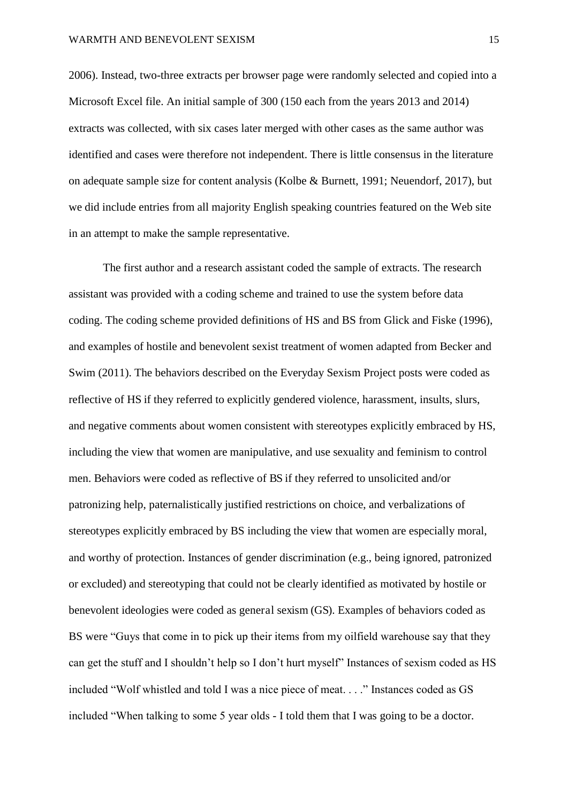2006). Instead, two-three extracts per browser page were randomly selected and copied into a Microsoft Excel file. An initial sample of 300 (150 each from the years 2013 and 2014) extracts was collected, with six cases later merged with other cases as the same author was identified and cases were therefore not independent. There is little consensus in the literature on adequate sample size for content analysis (Kolbe & Burnett, 1991; Neuendorf, 2017), but we did include entries from all majority English speaking countries featured on the Web site in an attempt to make the sample representative.

The first author and a research assistant coded the sample of extracts. The research assistant was provided with a coding scheme and trained to use the system before data coding. The coding scheme provided definitions of HS and BS from Glick and Fiske (1996), and examples of hostile and benevolent sexist treatment of women adapted from Becker and Swim (2011). The behaviors described on the Everyday Sexism Project posts were coded as reflective of HS if they referred to explicitly gendered violence, harassment, insults, slurs, and negative comments about women consistent with stereotypes explicitly embraced by HS, including the view that women are manipulative, and use sexuality and feminism to control men. Behaviors were coded as reflective of BS if they referred to unsolicited and/or patronizing help, paternalistically justified restrictions on choice, and verbalizations of stereotypes explicitly embraced by BS including the view that women are especially moral, and worthy of protection. Instances of gender discrimination (e.g., being ignored, patronized or excluded) and stereotyping that could not be clearly identified as motivated by hostile or benevolent ideologies were coded as general sexism (GS). Examples of behaviors coded as BS were "Guys that come in to pick up their items from my oilfield warehouse say that they can get the stuff and I shouldn't help so I don't hurt myself" Instances of sexism coded as HS included "Wolf whistled and told I was a nice piece of meat. . . ." Instances coded as GS included "When talking to some 5 year olds - I told them that I was going to be a doctor.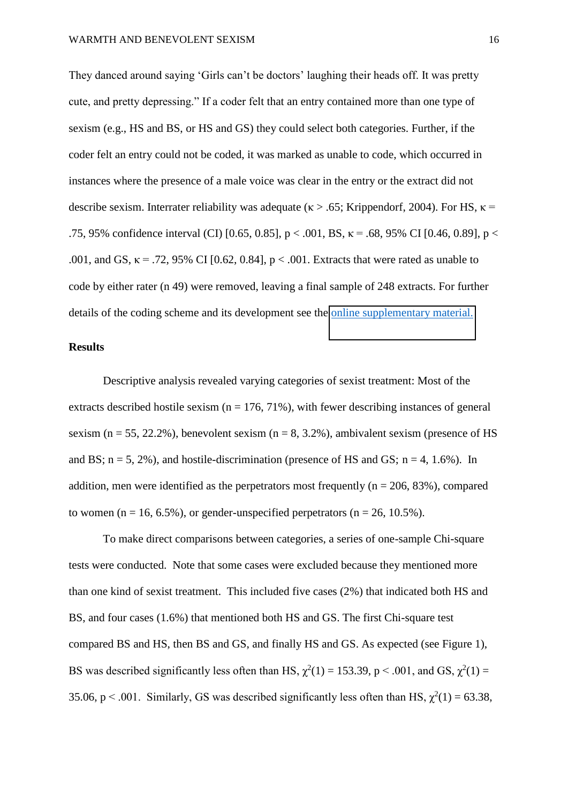They danced around saying 'Girls can't be doctors' laughing their heads off. It was pretty cute, and pretty depressing." If a coder felt that an entry contained more than one type of sexism (e.g., HS and BS, or HS and GS) they could select both categories. Further, if the coder felt an entry could not be coded, it was marked as unable to code, which occurred in instances where the presence of a male voice was clear in the entry or the extract did not describe sexism. Interrater reliability was adequate ( $\kappa > .65$ ; Krippendorf, 2004). For HS,  $\kappa$  = .75, 95% confidence interval (CI) [0.65, 0.85],  $p < .001$ , BS,  $\kappa = .68$ , 95% CI [0.46, 0.89],  $p < .001$ .001, and GS,  $\kappa$  = .72, 95% CI [0.62, 0.84],  $p < .001$ . Extracts that were rated as unable to code by either rater (n 49) were removed, leaving a final sample of 248 extracts. For further details of the coding scheme and its development see the [online supplementary material.](http://dx.doi.org/10.1037/pspa0000135.supp)

#### **Results**

Descriptive analysis revealed varying categories of sexist treatment: Most of the extracts described hostile sexism ( $n = 176, 71\%$ ), with fewer describing instances of general sexism ( $n = 55$ , 22.2%), benevolent sexism ( $n = 8$ , 3.2%), ambivalent sexism (presence of HS and BS;  $n = 5$ , 2%), and hostile-discrimination (presence of HS and GS;  $n = 4$ , 1.6%). In addition, men were identified as the perpetrators most frequently ( $n = 206, 83\%$ ), compared to women ( $n = 16, 6.5\%$ ), or gender-unspecified perpetrators ( $n = 26, 10.5\%$ ).

To make direct comparisons between categories, a series of one-sample Chi-square tests were conducted. Note that some cases were excluded because they mentioned more than one kind of sexist treatment. This included five cases (2%) that indicated both HS and BS, and four cases (1.6%) that mentioned both HS and GS. The first Chi-square test compared BS and HS, then BS and GS, and finally HS and GS. As expected (see Figure 1), BS was described significantly less often than HS,  $\chi^2(1) = 153.39$ , p < .001, and GS,  $\chi^2(1) =$ 35.06, p < .001. Similarly, GS was described significantly less often than HS,  $\chi^2(1) = 63.38$ ,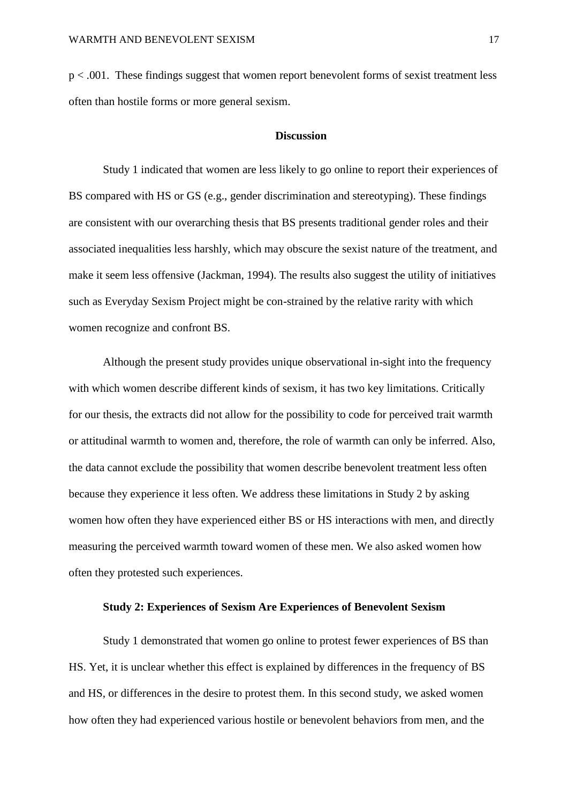p < .001. These findings suggest that women report benevolent forms of sexist treatment less often than hostile forms or more general sexism.

#### **Discussion**

Study 1 indicated that women are less likely to go online to report their experiences of BS compared with HS or GS (e.g., gender discrimination and stereotyping). These findings are consistent with our overarching thesis that BS presents traditional gender roles and their associated inequalities less harshly, which may obscure the sexist nature of the treatment, and make it seem less offensive (Jackman, 1994). The results also suggest the utility of initiatives such as Everyday Sexism Project might be con-strained by the relative rarity with which women recognize and confront BS.

Although the present study provides unique observational in-sight into the frequency with which women describe different kinds of sexism, it has two key limitations. Critically for our thesis, the extracts did not allow for the possibility to code for perceived trait warmth or attitudinal warmth to women and, therefore, the role of warmth can only be inferred. Also, the data cannot exclude the possibility that women describe benevolent treatment less often because they experience it less often. We address these limitations in Study 2 by asking women how often they have experienced either BS or HS interactions with men, and directly measuring the perceived warmth toward women of these men. We also asked women how often they protested such experiences.

#### **Study 2: Experiences of Sexism Are Experiences of Benevolent Sexism**

Study 1 demonstrated that women go online to protest fewer experiences of BS than HS. Yet, it is unclear whether this effect is explained by differences in the frequency of BS and HS, or differences in the desire to protest them. In this second study, we asked women how often they had experienced various hostile or benevolent behaviors from men, and the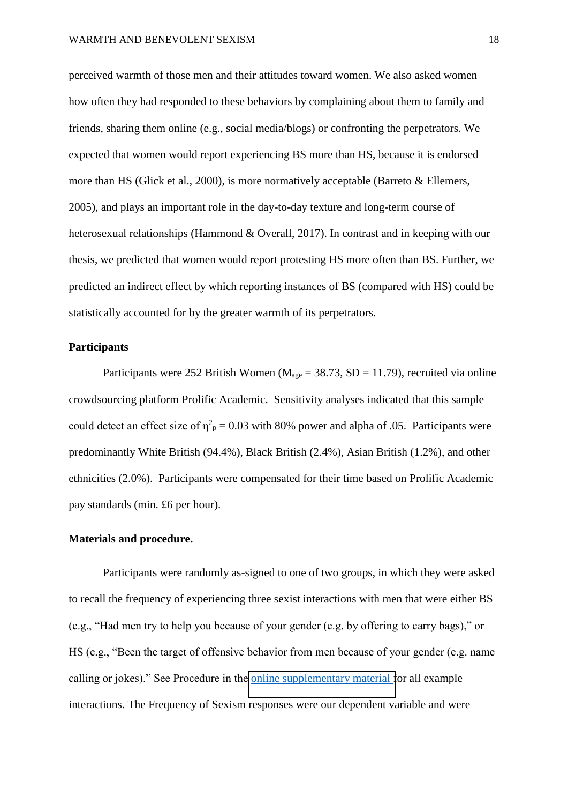perceived warmth of those men and their attitudes toward women. We also asked women how often they had responded to these behaviors by complaining about them to family and friends, sharing them online (e.g., social media/blogs) or confronting the perpetrators. We expected that women would report experiencing BS more than HS, because it is endorsed more than HS (Glick et al., 2000), is more normatively acceptable (Barreto & Ellemers, 2005), and plays an important role in the day-to-day texture and long-term course of heterosexual relationships (Hammond & Overall, 2017). In contrast and in keeping with our thesis, we predicted that women would report protesting HS more often than BS. Further, we predicted an indirect effect by which reporting instances of BS (compared with HS) could be statistically accounted for by the greater warmth of its perpetrators.

#### **Participants**

Participants were 252 British Women ( $M_{\text{age}} = 38.73$ , SD = 11.79), recruited via online crowdsourcing platform Prolific Academic. Sensitivity analyses indicated that this sample could detect an effect size of  $\eta^2$ <sub>p</sub> = 0.03 with 80% power and alpha of 0.05. Participants were predominantly White British (94.4%), Black British (2.4%), Asian British (1.2%), and other ethnicities (2.0%). Participants were compensated for their time based on Prolific Academic pay standards (min. £6 per hour).

#### **Materials and procedure.**

Participants were randomly as-signed to one of two groups, in which they were asked to recall the frequency of experiencing three sexist interactions with men that were either BS (e.g., "Had men try to help you because of your gender (e.g. by offering to carry bags)," or HS (e.g., "Been the target of offensive behavior from men because of your gender (e.g. name calling or jokes)." See Procedure in the [online supplementary material f](http://dx.doi.org/10.1037/pspa0000135.supp)or all example interactions. The Frequency of Sexism responses were our dependent variable and were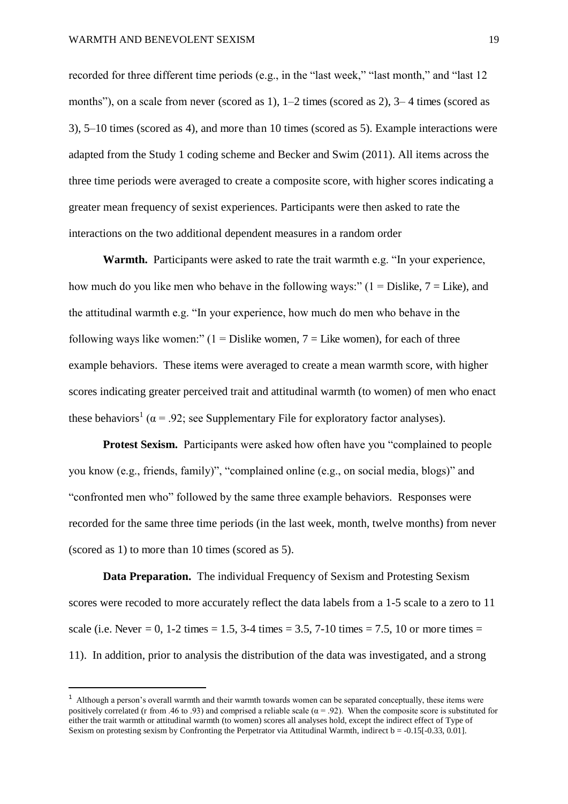recorded for three different time periods (e.g., in the "last week," "last month," and "last 12 months"), on a scale from never (scored as 1), 1*–*2 times (scored as 2), 3*–* 4 times (scored as 3), 5*–*10 times (scored as 4), and more than 10 times (scored as 5). Example interactions were adapted from the Study 1 coding scheme and Becker and Swim (2011). All items across the three time periods were averaged to create a composite score, with higher scores indicating a greater mean frequency of sexist experiences. Participants were then asked to rate the interactions on the two additional dependent measures in a random order

**Warmth.** Participants were asked to rate the trait warmth e.g. "In your experience, how much do you like men who behave in the following ways:"  $(1 = Distike, 7 = Like)$ , and the attitudinal warmth e.g. "In your experience, how much do men who behave in the following ways like women:"  $(1 - Distike$  women,  $7 - Liste$  women), for each of three example behaviors. These items were averaged to create a mean warmth score, with higher scores indicating greater perceived trait and attitudinal warmth (to women) of men who enact these behaviors<sup>1</sup> ( $\alpha$  = .92; see Supplementary File for exploratory factor analyses).

**Protest Sexism.** Participants were asked how often have you "complained to people you know (e.g., friends, family)", "complained online (e.g., on social media, blogs)" and "confronted men who" followed by the same three example behaviors. Responses were recorded for the same three time periods (in the last week, month, twelve months) from never (scored as 1) to more than 10 times (scored as 5).

**Data Preparation.** The individual Frequency of Sexism and Protesting Sexism scores were recoded to more accurately reflect the data labels from a 1-5 scale to a zero to 11 scale (i.e. Never = 0, 1-2 times = 1.5, 3-4 times = 3.5, 7-10 times = 7.5, 10 or more times = 11). In addition, prior to analysis the distribution of the data was investigated, and a strong

 $\overline{a}$ 

<sup>&</sup>lt;sup>1</sup> Although a person's overall warmth and their warmth towards women can be separated conceptually, these items were positively correlated (r from .46 to .93) and comprised a reliable scale ( $\alpha$  = .92). When the composite score is substituted for either the trait warmth or attitudinal warmth (to women) scores all analyses hold, except the indirect effect of Type of Sexism on protesting sexism by Confronting the Perpetrator via Attitudinal Warmth, indirect b = -0.15[-0.33, 0.01].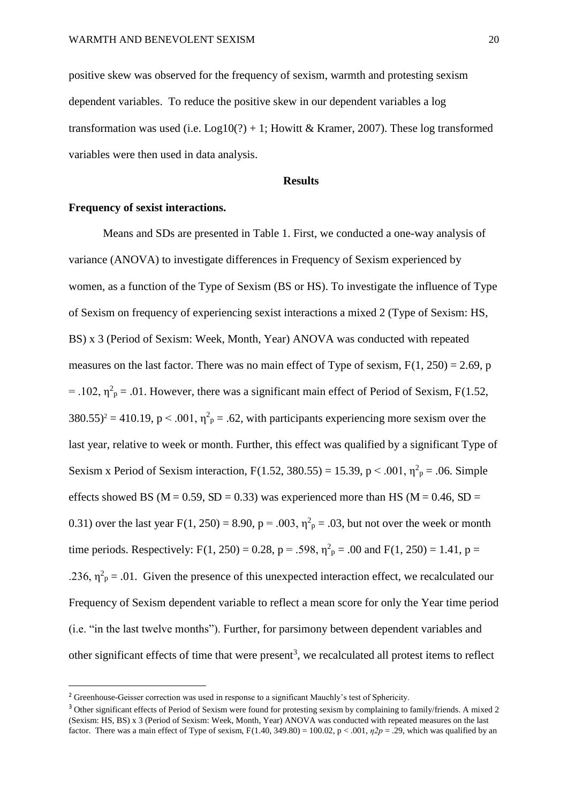positive skew was observed for the frequency of sexism, warmth and protesting sexism dependent variables. To reduce the positive skew in our dependent variables a log transformation was used (i.e.  $Log10(?) + 1$ ; Howitt & Kramer, 2007). These log transformed variables were then used in data analysis.

#### **Results**

#### **Frequency of sexist interactions.**

 $\overline{a}$ 

Means and SDs are presented in Table 1. First, we conducted a one-way analysis of variance (ANOVA) to investigate differences in Frequency of Sexism experienced by women, as a function of the Type of Sexism (BS or HS). To investigate the influence of Type of Sexism on frequency of experiencing sexist interactions a mixed 2 (Type of Sexism: HS, BS) x 3 (Period of Sexism: Week, Month, Year) ANOVA was conducted with repeated measures on the last factor. There was no main effect of Type of sexism,  $F(1, 250) = 2.69$ , p = .102,  $\eta^2$ <sub>p</sub> = .01. However, there was a significant main effect of Period of Sexism, F(1.52,  $380.55$ <sup>2</sup> = 410.19, p < .001,  $\eta^2$ <sub>p</sub> = .62, with participants experiencing more sexism over the last year, relative to week or month. Further, this effect was qualified by a significant Type of Sexism x Period of Sexism interaction, F(1.52, 380.55) = 15.39, p < .001,  $\eta^2$ <sub>p</sub> = .06. Simple effects showed BS ( $M = 0.59$ , SD = 0.33) was experienced more than HS ( $M = 0.46$ , SD = 0.31) over the last year  $F(1, 250) = 8.90$ ,  $p = .003$ ,  $\eta^2 p = .03$ , but not over the week or month time periods. Respectively: F(1, 250) = 0.28, p = .598,  $\eta^2$ <sub>p</sub> = .00 and F(1, 250) = 1.41, p = .236,  $\eta^2$ <sub>p</sub> = .01. Given the presence of this unexpected interaction effect, we recalculated our Frequency of Sexism dependent variable to reflect a mean score for only the Year time period (i.e. "in the last twelve months"). Further, for parsimony between dependent variables and other significant effects of time that were present<sup>3</sup>, we recalculated all protest items to reflect

<sup>2</sup> Greenhouse-Geisser correction was used in response to a significant Mauchly's test of Sphericity.

<sup>&</sup>lt;sup>3</sup> Other significant effects of Period of Sexism were found for protesting sexism by complaining to family/friends. A mixed 2 (Sexism: HS, BS) x 3 (Period of Sexism: Week, Month, Year) ANOVA was conducted with repeated measures on the last factor. There was a main effect of Type of sexism,  $F(1.40, 349.80) = 100.02$ ,  $p < .001$ ,  $p2p = .29$ , which was qualified by an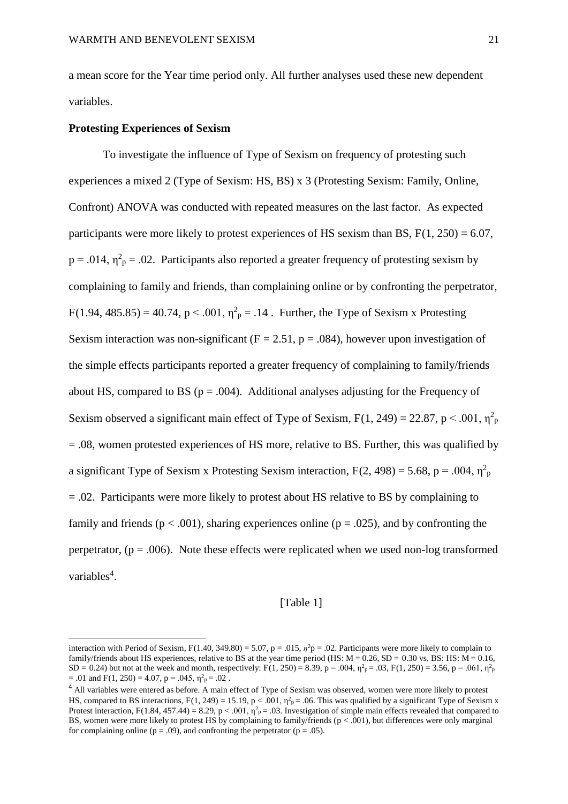a mean score for the Year time period only. All further analyses used these new dependent variables.

#### **Protesting Experiences of Sexism**

 $\overline{a}$ 

To investigate the influence of Type of Sexism on frequency of protesting such experiences a mixed 2 (Type of Sexism: HS, BS) x 3 (Protesting Sexism: Family, Online, Confront) ANOVA was conducted with repeated measures on the last factor. As expected participants were more likely to protest experiences of HS sexism than BS,  $F(1, 250) = 6.07$ ,  $p = .014$ ,  $\eta^2$ <sub>p</sub> = .02. Participants also reported a greater frequency of protesting sexism by complaining to family and friends, than complaining online or by confronting the perpetrator,  $F(1.94, 485.85) = 40.74, p < .001, \eta^2_p = .14$ . Further, the Type of Sexism x Protesting Sexism interaction was non-significant ( $F = 2.51$ ,  $p = .084$ ), however upon investigation of the simple effects participants reported a greater frequency of complaining to family/friends about HS, compared to BS ( $p = .004$ ). Additional analyses adjusting for the Frequency of Sexism observed a significant main effect of Type of Sexism,  $F(1, 249) = 22.87$ , p < .001,  $\eta_p^2$  $= .08$ , women protested experiences of HS more, relative to BS. Further, this was qualified by a significant Type of Sexism x Protesting Sexism interaction,  $F(2, 498) = 5.68$ ,  $p = .004$ ,  $\eta^2$ <sub>p</sub> = .02. Participants were more likely to protest about HS relative to BS by complaining to family and friends ( $p < .001$ ), sharing experiences online ( $p = .025$ ), and by confronting the perpetrator,  $(p = .006)$ . Note these effects were replicated when we used non-log transformed variables<sup>4</sup>.

#### [Table 1]

interaction with Period of Sexism,  $F(1.40, 349.80) = 5.07$ ,  $p = .015$ ,  $\eta^2 p = .02$ . Participants were more likely to complain to family/friends about HS experiences, relative to BS at the year time period (HS:  $M = 0.26$ , SD = 0.30 vs. BS: HS:  $M = 0.16$ , SD = 0.24) but not at the week and month, respectively: F(1, 250) = 8.39, p = .004,  $\eta_{\text{p}}^2$  = .03, F(1, 250) = 3.56, p = .061,  $\eta_{\text{p}}^2$  $= .01$  and  $F(1, 250) = 4.07$ ,  $p = .045$ ,  $\eta^2 p = .02$ .

<sup>4</sup> All variables were entered as before. A main effect of Type of Sexism was observed, women were more likely to protest HS, compared to BS interactions,  $F(1, 249) = 15.19$ ,  $p < .001$ ,  $\eta^2$  $p = .06$ . This was qualified by a significant Type of Sexism x Protest interaction, F(1.84, 457.44) = 8.29, p < .001,  $\eta^2$ <sub>p</sub> = .03. Investigation of simple main effects revealed that compared to BS, women were more likely to protest HS by complaining to family/friends ( $p < .001$ ), but differences were only marginal for complaining online ( $p = .09$ ), and confronting the perpetrator ( $p = .05$ ).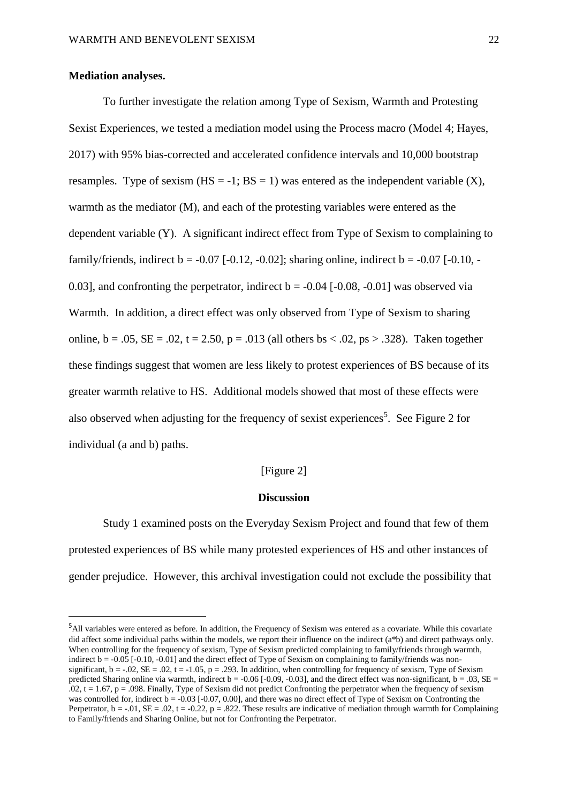#### **Mediation analyses.**

 $\overline{a}$ 

 To further investigate the relation among Type of Sexism, Warmth and Protesting Sexist Experiences, we tested a mediation model using the Process macro (Model 4; Hayes, 2017) with 95% bias-corrected and accelerated confidence intervals and 10,000 bootstrap resamples. Type of sexism  $(HS = -1; BS = 1)$  was entered as the independent variable  $(X)$ , warmth as the mediator (M), and each of the protesting variables were entered as the dependent variable (Y). A significant indirect effect from Type of Sexism to complaining to family/friends, indirect  $b = -0.07$  [ $-0.12$ ,  $-0.02$ ]; sharing online, indirect  $b = -0.07$  [ $-0.10$ ,  $-$ 0.03], and confronting the perpetrator, indirect  $b = -0.04$  [ $-0.08$ ,  $-0.01$ ] was observed via Warmth. In addition, a direct effect was only observed from Type of Sexism to sharing online,  $b = .05$ ,  $SE = .02$ ,  $t = 2.50$ ,  $p = .013$  (all others  $bs < .02$ ,  $ps > .328$ ). Taken together these findings suggest that women are less likely to protest experiences of BS because of its greater warmth relative to HS. Additional models showed that most of these effects were also observed when adjusting for the frequency of sexist experiences<sup>5</sup>. See Figure 2 for individual (a and b) paths.

[Figure 2]

#### **Discussion**

Study 1 examined posts on the Everyday Sexism Project and found that few of them protested experiences of BS while many protested experiences of HS and other instances of gender prejudice. However, this archival investigation could not exclude the possibility that

<sup>&</sup>lt;sup>5</sup>All variables were entered as before. In addition, the Frequency of Sexism was entered as a covariate. While this covariate did affect some individual paths within the models, we report their influence on the indirect (a\*b) and direct pathways only. When controlling for the frequency of sexism, Type of Sexism predicted complaining to family/friends through warmth, indirect  $b = -0.05$  [ $-0.10$ ,  $-0.01$ ] and the direct effect of Type of Sexism on complaining to family/friends was nonsignificant,  $b = -0.02$ ,  $SE = 0.02$ ,  $t = -1.05$ ,  $p = 0.293$ . In addition, when controlling for frequency of sexism, Type of Sexism predicted Sharing online via warmth, indirect  $b = -0.06$  [-0.09, -0.03], and the direct effect was non-significant,  $b = .03$ , SE =  $.02, t = 1.67, p = .098$ . Finally, Type of Sexism did not predict Confronting the perpetrator when the frequency of sexism was controlled for, indirect  $b = -0.03$  [ $-0.07, 0.00$ ], and there was no direct effect of Type of Sexism on Confronting the Perpetrator,  $b = -0.01$ ,  $SE = 0.02$ ,  $t = -0.22$ ,  $p = 0.822$ . These results are indicative of mediation through warmth for Complaining to Family/friends and Sharing Online, but not for Confronting the Perpetrator.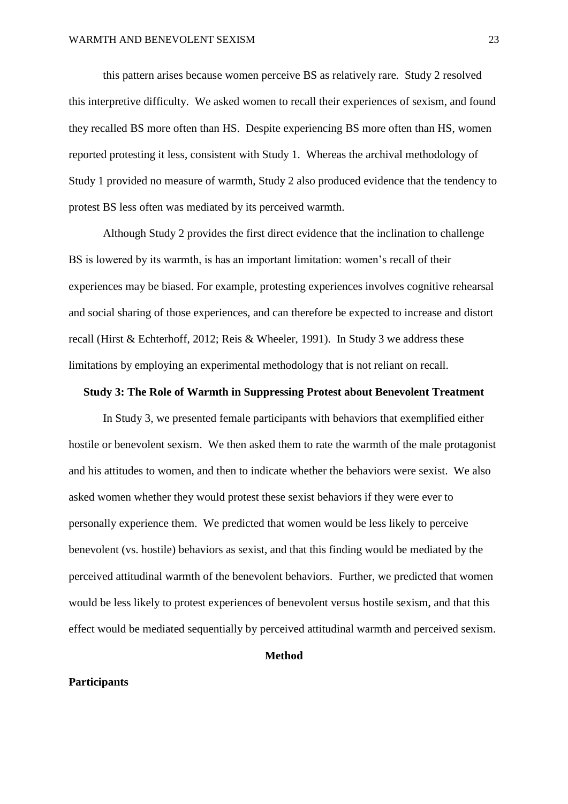this pattern arises because women perceive BS as relatively rare. Study 2 resolved this interpretive difficulty. We asked women to recall their experiences of sexism, and found they recalled BS more often than HS. Despite experiencing BS more often than HS, women reported protesting it less, consistent with Study 1. Whereas the archival methodology of Study 1 provided no measure of warmth, Study 2 also produced evidence that the tendency to protest BS less often was mediated by its perceived warmth.

Although Study 2 provides the first direct evidence that the inclination to challenge BS is lowered by its warmth, is has an important limitation: women's recall of their experiences may be biased. For example, protesting experiences involves cognitive rehearsal and social sharing of those experiences, and can therefore be expected to increase and distort recall (Hirst & Echterhoff, 2012; Reis & Wheeler, 1991). In Study 3 we address these limitations by employing an experimental methodology that is not reliant on recall.

#### **Study 3: The Role of Warmth in Suppressing Protest about Benevolent Treatment**

In Study 3, we presented female participants with behaviors that exemplified either hostile or benevolent sexism. We then asked them to rate the warmth of the male protagonist and his attitudes to women, and then to indicate whether the behaviors were sexist. We also asked women whether they would protest these sexist behaviors if they were ever to personally experience them. We predicted that women would be less likely to perceive benevolent (vs. hostile) behaviors as sexist, and that this finding would be mediated by the perceived attitudinal warmth of the benevolent behaviors. Further, we predicted that women would be less likely to protest experiences of benevolent versus hostile sexism, and that this effect would be mediated sequentially by perceived attitudinal warmth and perceived sexism.

#### **Method**

#### **Participants**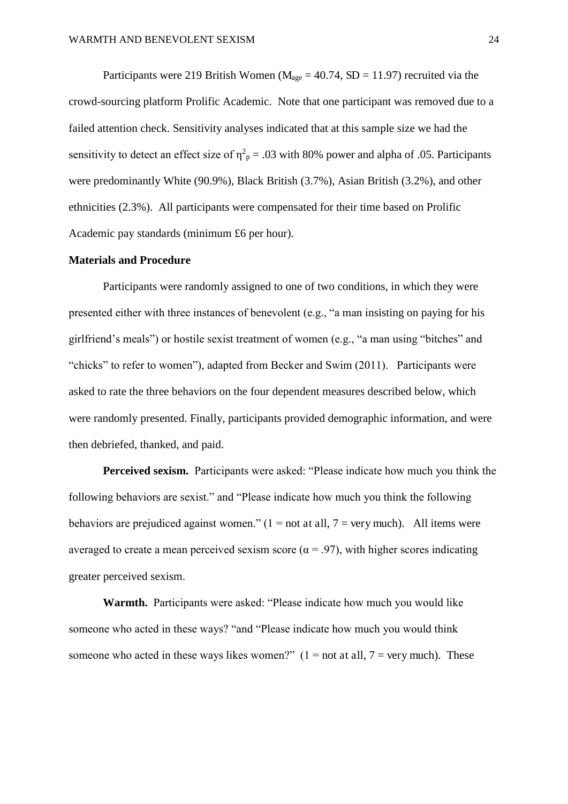Participants were 219 British Women ( $M_{\text{age}} = 40.74$ , SD = 11.97) recruited via the crowd-sourcing platform Prolific Academic. Note that one participant was removed due to a failed attention check. Sensitivity analyses indicated that at this sample size we had the sensitivity to detect an effect size of  $\eta^2$ <sub>p</sub> = .03 with 80% power and alpha of .05. Participants were predominantly White (90.9%), Black British (3.7%), Asian British (3.2%), and other ethnicities (2.3%). All participants were compensated for their time based on Prolific Academic pay standards (minimum £6 per hour).

#### **Materials and Procedure**

Participants were randomly assigned to one of two conditions, in which they were presented either with three instances of benevolent (e.g., "a man insisting on paying for his girlfriend's meals") or hostile sexist treatment of women (e.g., "a man using "bitches" and "chicks" to refer to women"), adapted from Becker and Swim (2011). Participants were asked to rate the three behaviors on the four dependent measures described below, which were randomly presented. Finally, participants provided demographic information, and were then debriefed, thanked, and paid.

**Perceived sexism.** Participants were asked: "Please indicate how much you think the following behaviors are sexist." and "Please indicate how much you think the following behaviors are prejudiced against women."  $(1 = not at all, 7 = very much)$ . All items were averaged to create a mean perceived sexism score ( $\alpha$  = .97), with higher scores indicating greater perceived sexism.

**Warmth.** Participants were asked: "Please indicate how much you would like someone who acted in these ways? "and "Please indicate how much you would think someone who acted in these ways likes women?"  $(1 = not at all, 7 = very much)$ . These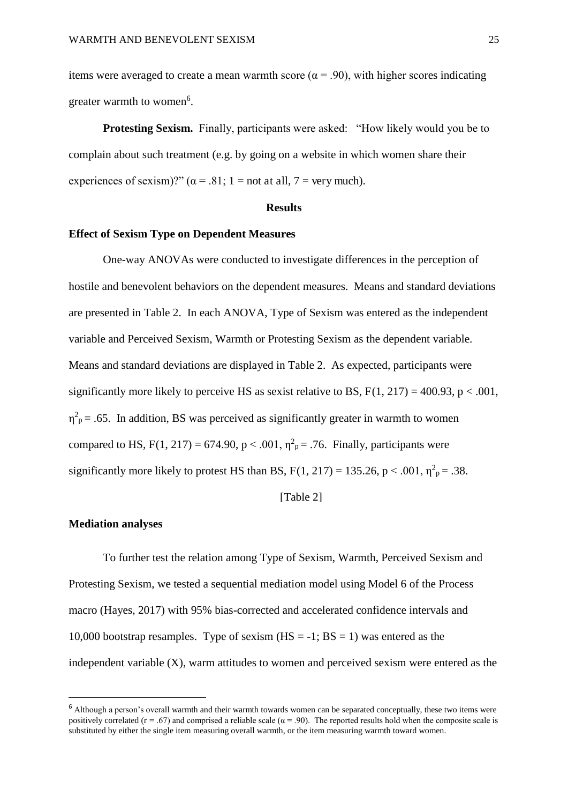items were averaged to create a mean warmth score ( $\alpha$  = .90), with higher scores indicating greater warmth to women<sup>6</sup>.

**Protesting Sexism.** Finally, participants were asked: "How likely would you be to complain about such treatment (e.g. by going on a website in which women share their experiences of sexism)?" ( $\alpha$  = .81; 1 = not at all, 7 = very much).

#### **Results**

#### **Effect of Sexism Type on Dependent Measures**

One-way ANOVAs were conducted to investigate differences in the perception of hostile and benevolent behaviors on the dependent measures. Means and standard deviations are presented in Table 2. In each ANOVA, Type of Sexism was entered as the independent variable and Perceived Sexism, Warmth or Protesting Sexism as the dependent variable. Means and standard deviations are displayed in Table 2. As expected, participants were significantly more likely to perceive HS as sexist relative to BS,  $F(1, 217) = 400.93$ ,  $p < .001$ ,  $\eta^2$ <sub>p</sub> = .65. In addition, BS was perceived as significantly greater in warmth to women compared to HS,  $F(1, 217) = 674.90$ ,  $p < .001$ ,  $\eta^2$ <sub>p</sub> = .76. Finally, participants were significantly more likely to protest HS than BS,  $F(1, 217) = 135.26$ ,  $p < .001$ ,  $\eta^2 p = .38$ .

[Table 2]

#### **Mediation analyses**

 $\overline{a}$ 

To further test the relation among Type of Sexism, Warmth, Perceived Sexism and Protesting Sexism, we tested a sequential mediation model using Model 6 of the Process macro (Hayes, 2017) with 95% bias-corrected and accelerated confidence intervals and 10,000 bootstrap resamples. Type of sexism  $(HS = -1; BS = 1)$  was entered as the independent variable (X), warm attitudes to women and perceived sexism were entered as the

<sup>&</sup>lt;sup>6</sup> Although a person's overall warmth and their warmth towards women can be separated conceptually, these two items were positively correlated ( $r = .67$ ) and comprised a reliable scale ( $\alpha = .90$ ). The reported results hold when the composite scale is substituted by either the single item measuring overall warmth, or the item measuring warmth toward women.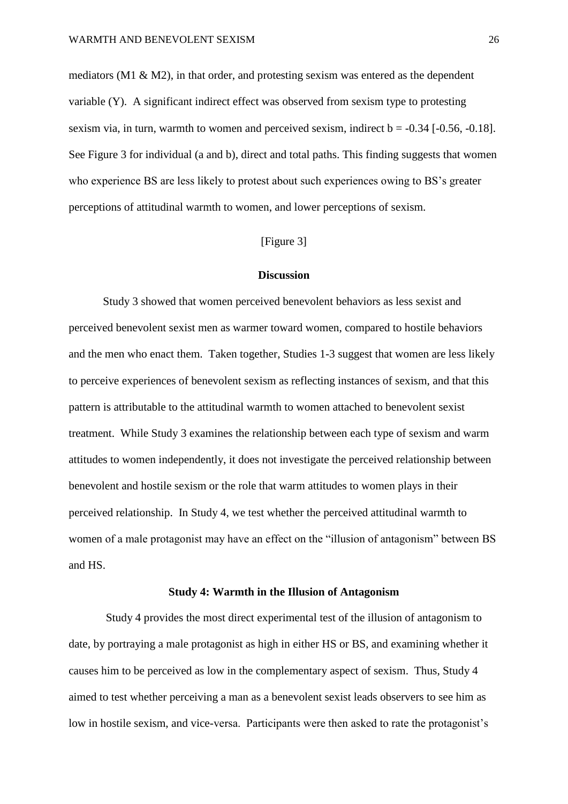mediators ( $M1 \& M2$ ), in that order, and protesting sexism was entered as the dependent variable (Y). A significant indirect effect was observed from sexism type to protesting sexism via, in turn, warmth to women and perceived sexism, indirect  $b = -0.34$  [ $-0.56, -0.18$ ]. See Figure 3 for individual (a and b), direct and total paths. This finding suggests that women who experience BS are less likely to protest about such experiences owing to BS's greater perceptions of attitudinal warmth to women, and lower perceptions of sexism.

#### [Figure 3]

#### **Discussion**

Study 3 showed that women perceived benevolent behaviors as less sexist and perceived benevolent sexist men as warmer toward women, compared to hostile behaviors and the men who enact them. Taken together, Studies 1-3 suggest that women are less likely to perceive experiences of benevolent sexism as reflecting instances of sexism, and that this pattern is attributable to the attitudinal warmth to women attached to benevolent sexist treatment. While Study 3 examines the relationship between each type of sexism and warm attitudes to women independently, it does not investigate the perceived relationship between benevolent and hostile sexism or the role that warm attitudes to women plays in their perceived relationship. In Study 4, we test whether the perceived attitudinal warmth to women of a male protagonist may have an effect on the "illusion of antagonism" between BS and HS.

#### **Study 4: Warmth in the Illusion of Antagonism**

 Study 4 provides the most direct experimental test of the illusion of antagonism to date, by portraying a male protagonist as high in either HS or BS, and examining whether it causes him to be perceived as low in the complementary aspect of sexism. Thus, Study 4 aimed to test whether perceiving a man as a benevolent sexist leads observers to see him as low in hostile sexism, and vice-versa. Participants were then asked to rate the protagonist's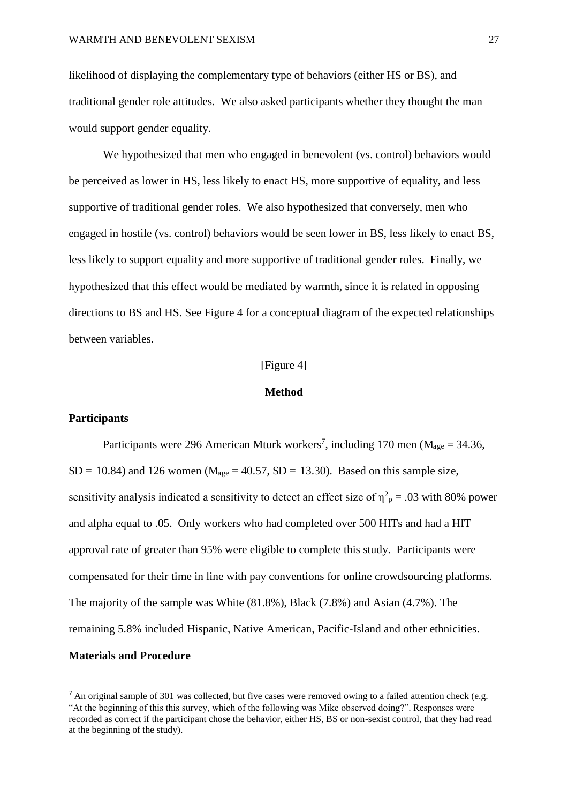likelihood of displaying the complementary type of behaviors (either HS or BS), and traditional gender role attitudes. We also asked participants whether they thought the man would support gender equality.

We hypothesized that men who engaged in benevolent (vs. control) behaviors would be perceived as lower in HS, less likely to enact HS, more supportive of equality, and less supportive of traditional gender roles. We also hypothesized that conversely, men who engaged in hostile (vs. control) behaviors would be seen lower in BS, less likely to enact BS, less likely to support equality and more supportive of traditional gender roles. Finally, we hypothesized that this effect would be mediated by warmth, since it is related in opposing directions to BS and HS. See Figure 4 for a conceptual diagram of the expected relationships between variables.

#### [Figure 4]

#### **Method**

#### **Participants**

 $\overline{a}$ 

Participants were 296 American Mturk workers<sup>7</sup>, including 170 men ( $M_{\text{age}} = 34.36$ ,  $SD = 10.84$ ) and 126 women (M<sub>age</sub> = 40.57, SD = 13.30). Based on this sample size, sensitivity analysis indicated a sensitivity to detect an effect size of  $\eta^2$ <sub>p</sub> = .03 with 80% power and alpha equal to .05. Only workers who had completed over 500 HITs and had a HIT approval rate of greater than 95% were eligible to complete this study. Participants were compensated for their time in line with pay conventions for online crowdsourcing platforms. The majority of the sample was White (81.8%), Black (7.8%) and Asian (4.7%). The remaining 5.8% included Hispanic, Native American, Pacific-Island and other ethnicities. **Materials and Procedure** 

 $^7$  An original sample of 301 was collected, but five cases were removed owing to a failed attention check (e.g. "At the beginning of this this survey, which of the following was Mike observed doing?". Responses were recorded as correct if the participant chose the behavior, either HS, BS or non-sexist control, that they had read at the beginning of the study).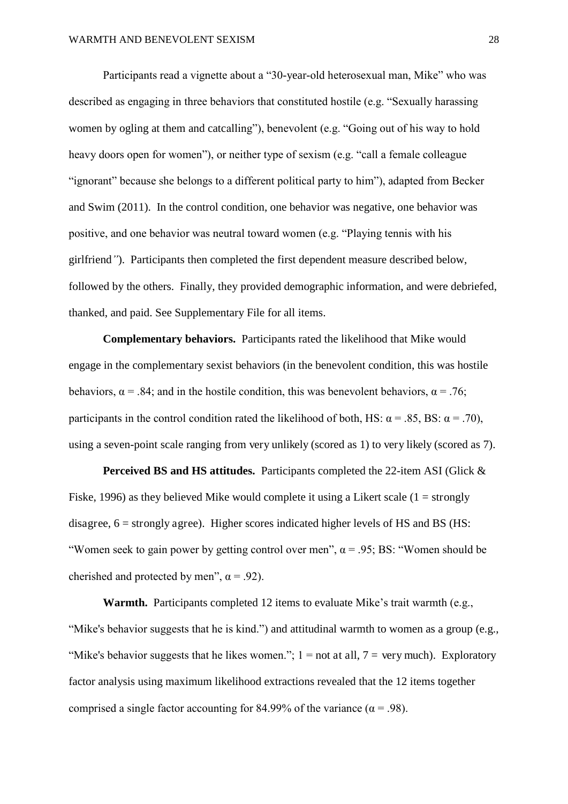Participants read a vignette about a "30-year-old heterosexual man, Mike" who was described as engaging in three behaviors that constituted hostile (e.g. "Sexually harassing women by ogling at them and catcalling"), benevolent (e.g. "Going out of his way to hold heavy doors open for women"), or neither type of sexism (e.g. "call a female colleague "ignorant" because she belongs to a different political party to him"), adapted from Becker and Swim (2011). In the control condition, one behavior was negative, one behavior was positive, and one behavior was neutral toward women (e.g. "Playing tennis with his girlfriend*"*). Participants then completed the first dependent measure described below, followed by the others. Finally, they provided demographic information, and were debriefed, thanked, and paid. See Supplementary File for all items.

**Complementary behaviors.** Participants rated the likelihood that Mike would engage in the complementary sexist behaviors (in the benevolent condition, this was hostile behaviors,  $\alpha$  = .84; and in the hostile condition, this was benevolent behaviors,  $\alpha$  = .76; participants in the control condition rated the likelihood of both, HS:  $\alpha$  = .85, BS:  $\alpha$  = .70), using a seven-point scale ranging from very unlikely (scored as 1) to very likely (scored as 7).

**Perceived BS and HS attitudes.** Participants completed the 22-item ASI (Glick & Fiske, 1996) as they believed Mike would complete it using a Likert scale  $(1 = \text{strongly})$ disagree,  $6 =$  strongly agree). Higher scores indicated higher levels of HS and BS (HS: "Women seek to gain power by getting control over men",  $\alpha$  = .95; BS: "Women should be cherished and protected by men",  $\alpha$  = .92).

**Warmth.** Participants completed 12 items to evaluate Mike's trait warmth (e.g., "Mike's behavior suggests that he is kind.") and attitudinal warmth to women as a group (e.g., "Mike's behavior suggests that he likes women.";  $1 =$  not at all,  $7 =$  very much). Exploratory factor analysis using maximum likelihood extractions revealed that the 12 items together comprised a single factor accounting for 84.99% of the variance ( $\alpha$  = .98).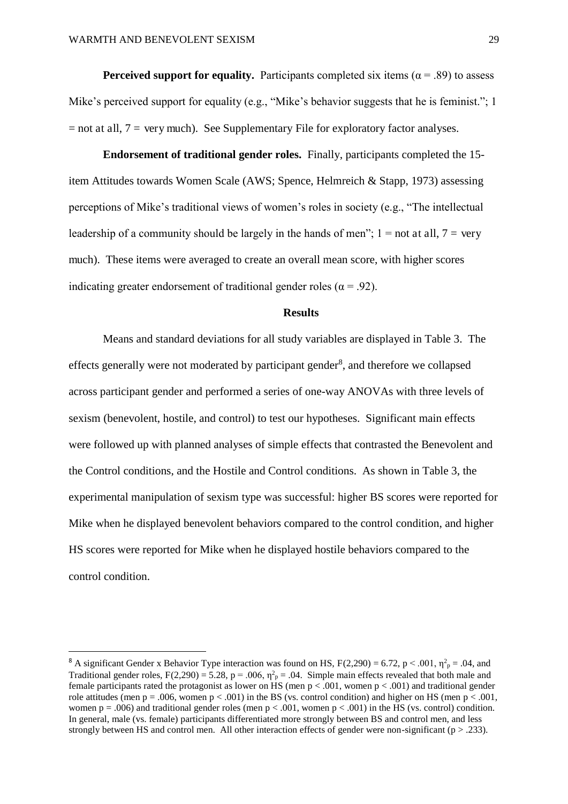$\overline{a}$ 

**Perceived support for equality.** Participants completed six items ( $\alpha$  = .89) to assess Mike's perceived support for equality (e.g., "Mike's behavior suggests that he is feminist."; 1  $=$  not at all,  $7 =$  very much). See Supplementary File for exploratory factor analyses.

**Endorsement of traditional gender roles.** Finally, participants completed the 15 item Attitudes towards Women Scale (AWS; Spence, Helmreich & Stapp, 1973) assessing perceptions of Mike's traditional views of women's roles in society (e.g., "The intellectual leadership of a community should be largely in the hands of men";  $1 = not$  at all,  $7 = very$ much). These items were averaged to create an overall mean score, with higher scores indicating greater endorsement of traditional gender roles ( $\alpha$  = .92).

#### **Results**

Means and standard deviations for all study variables are displayed in Table 3. The effects generally were not moderated by participant gender<sup>8</sup>, and therefore we collapsed across participant gender and performed a series of one-way ANOVAs with three levels of sexism (benevolent, hostile, and control) to test our hypotheses. Significant main effects were followed up with planned analyses of simple effects that contrasted the Benevolent and the Control conditions, and the Hostile and Control conditions. As shown in Table 3, the experimental manipulation of sexism type was successful: higher BS scores were reported for Mike when he displayed benevolent behaviors compared to the control condition, and higher HS scores were reported for Mike when he displayed hostile behaviors compared to the control condition.

<sup>&</sup>lt;sup>8</sup> A significant Gender x Behavior Type interaction was found on HS, F(2,290) = 6.72, p < .001,  $\eta_p^2$  = .04, and Traditional gender roles,  $F(2,290) = 5.28$ ,  $p = .006$ ,  $\eta^2$ <sub>p</sub> = .04. Simple main effects revealed that both male and female participants rated the protagonist as lower on HS (men  $p < .001$ , women  $p < .001$ ) and traditional gender role attitudes (men  $p = .006$ , women  $p < .001$ ) in the BS (vs. control condition) and higher on HS (men  $p < .001$ , women  $p = .006$ ) and traditional gender roles (men  $p < .001$ , women  $p < .001$ ) in the HS (vs. control) condition. In general, male (vs. female) participants differentiated more strongly between BS and control men, and less strongly between HS and control men. All other interaction effects of gender were non-significant ( $p > .233$ ).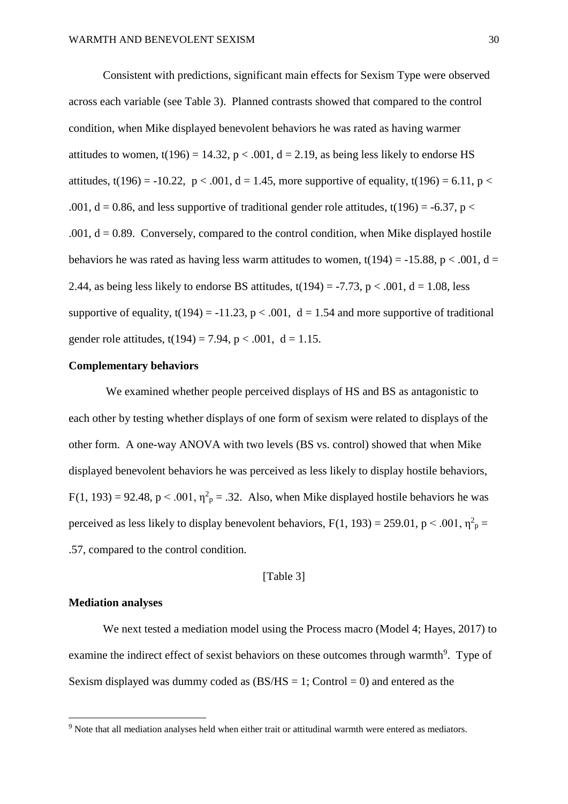Consistent with predictions, significant main effects for Sexism Type were observed across each variable (see Table 3). Planned contrasts showed that compared to the control condition, when Mike displayed benevolent behaviors he was rated as having warmer attitudes to women,  $t(196) = 14.32$ ,  $p < .001$ ,  $d = 2.19$ , as being less likely to endorse HS attitudes, t(196) = -10.22,  $p < .001$ , d = 1.45, more supportive of equality, t(196) = 6.11, p < .001,  $d = 0.86$ , and less supportive of traditional gender role attitudes, t(196) = -6.37, p < .001,  $d = 0.89$ . Conversely, compared to the control condition, when Mike displayed hostile behaviors he was rated as having less warm attitudes to women,  $t(194) = -15.88$ ,  $p < .001$ ,  $d =$ 2.44, as being less likely to endorse BS attitudes,  $t(194) = -7.73$ ,  $p < .001$ ,  $d = 1.08$ , less supportive of equality,  $t(194) = -11.23$ ,  $p < .001$ ,  $d = 1.54$  and more supportive of traditional gender role attitudes,  $t(194) = 7.94$ ,  $p < .001$ ,  $d = 1.15$ .

#### **Complementary behaviors**

 We examined whether people perceived displays of HS and BS as antagonistic to each other by testing whether displays of one form of sexism were related to displays of the other form. A one-way ANOVA with two levels (BS vs. control) showed that when Mike displayed benevolent behaviors he was perceived as less likely to display hostile behaviors,  $F(1, 193) = 92.48$ , p < .001,  $\eta^2$ <sub>p</sub> = .32. Also, when Mike displayed hostile behaviors he was perceived as less likely to display benevolent behaviors,  $F(1, 193) = 259.01$ ,  $p < .001$ ,  $\eta^2$ <sub>p</sub> = .57, compared to the control condition.

[Table 3]

#### **Mediation analyses**

 $\overline{a}$ 

We next tested a mediation model using the Process macro (Model 4; Hayes, 2017) to examine the indirect effect of sexist behaviors on these outcomes through warmth<sup>9</sup>. Type of Sexism displayed was dummy coded as  $(BS/HS = 1;$  Control = 0) and entered as the

<sup>&</sup>lt;sup>9</sup> Note that all mediation analyses held when either trait or attitudinal warmth were entered as mediators.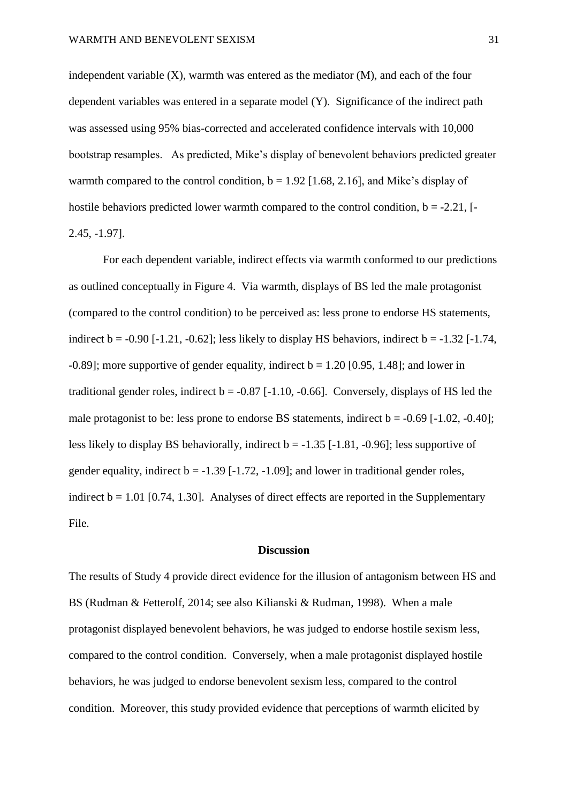independent variable (X), warmth was entered as the mediator (M), and each of the four dependent variables was entered in a separate model (Y). Significance of the indirect path was assessed using 95% bias-corrected and accelerated confidence intervals with 10,000 bootstrap resamples. As predicted, Mike's display of benevolent behaviors predicted greater warmth compared to the control condition,  $b = 1.92$  [1.68, 2.16], and Mike's display of hostile behaviors predicted lower warmth compared to the control condition,  $b = -2.21$ , [ $-$ 2.45, -1.97].

For each dependent variable, indirect effects via warmth conformed to our predictions as outlined conceptually in Figure 4. Via warmth, displays of BS led the male protagonist (compared to the control condition) to be perceived as: less prone to endorse HS statements, indirect  $b = -0.90$  [-1.21, -0.62]; less likely to display HS behaviors, indirect  $b = -1.32$  [-1.74,  $-0.89$ ; more supportive of gender equality, indirect  $b = 1.20$  [0.95, 1.48]; and lower in traditional gender roles, indirect  $b = -0.87$  [-1.10, -0.66]. Conversely, displays of HS led the male protagonist to be: less prone to endorse BS statements, indirect  $b = -0.69$  [-1.02, -0.40]; less likely to display BS behaviorally, indirect  $b = -1.35$  [ $-1.81$ ,  $-0.96$ ]; less supportive of gender equality, indirect  $b = -1.39$  [ $-1.72$ ,  $-1.09$ ]; and lower in traditional gender roles, indirect  $b = 1.01$  [0.74, 1.30]. Analyses of direct effects are reported in the Supplementary File.

#### **Discussion**

The results of Study 4 provide direct evidence for the illusion of antagonism between HS and BS (Rudman & Fetterolf, 2014; see also Kilianski & Rudman, 1998). When a male protagonist displayed benevolent behaviors, he was judged to endorse hostile sexism less, compared to the control condition. Conversely, when a male protagonist displayed hostile behaviors, he was judged to endorse benevolent sexism less, compared to the control condition. Moreover, this study provided evidence that perceptions of warmth elicited by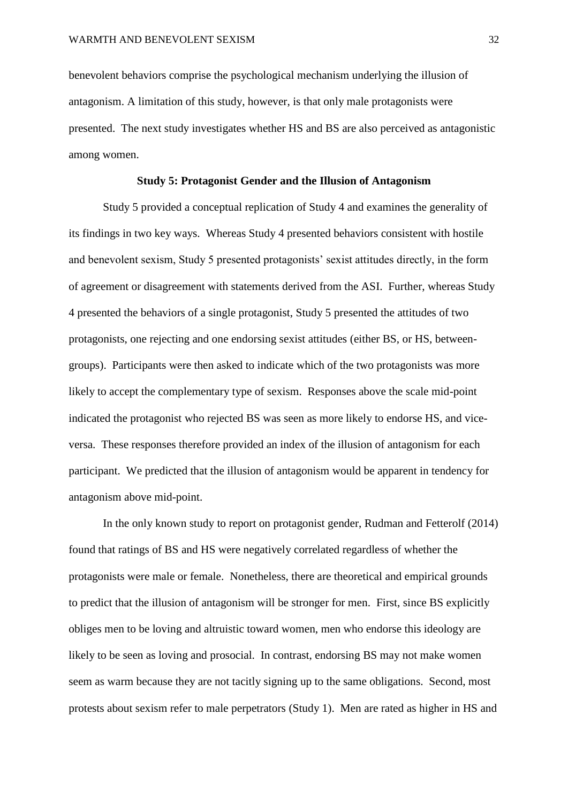benevolent behaviors comprise the psychological mechanism underlying the illusion of antagonism. A limitation of this study, however, is that only male protagonists were presented. The next study investigates whether HS and BS are also perceived as antagonistic among women.

#### **Study 5: Protagonist Gender and the Illusion of Antagonism**

Study 5 provided a conceptual replication of Study 4 and examines the generality of its findings in two key ways. Whereas Study 4 presented behaviors consistent with hostile and benevolent sexism, Study 5 presented protagonists' sexist attitudes directly, in the form of agreement or disagreement with statements derived from the ASI. Further, whereas Study 4 presented the behaviors of a single protagonist, Study 5 presented the attitudes of two protagonists, one rejecting and one endorsing sexist attitudes (either BS, or HS, betweengroups). Participants were then asked to indicate which of the two protagonists was more likely to accept the complementary type of sexism. Responses above the scale mid-point indicated the protagonist who rejected BS was seen as more likely to endorse HS, and viceversa. These responses therefore provided an index of the illusion of antagonism for each participant. We predicted that the illusion of antagonism would be apparent in tendency for antagonism above mid-point.

In the only known study to report on protagonist gender, Rudman and Fetterolf (2014) found that ratings of BS and HS were negatively correlated regardless of whether the protagonists were male or female. Nonetheless, there are theoretical and empirical grounds to predict that the illusion of antagonism will be stronger for men. First, since BS explicitly obliges men to be loving and altruistic toward women, men who endorse this ideology are likely to be seen as loving and prosocial. In contrast, endorsing BS may not make women seem as warm because they are not tacitly signing up to the same obligations. Second, most protests about sexism refer to male perpetrators (Study 1). Men are rated as higher in HS and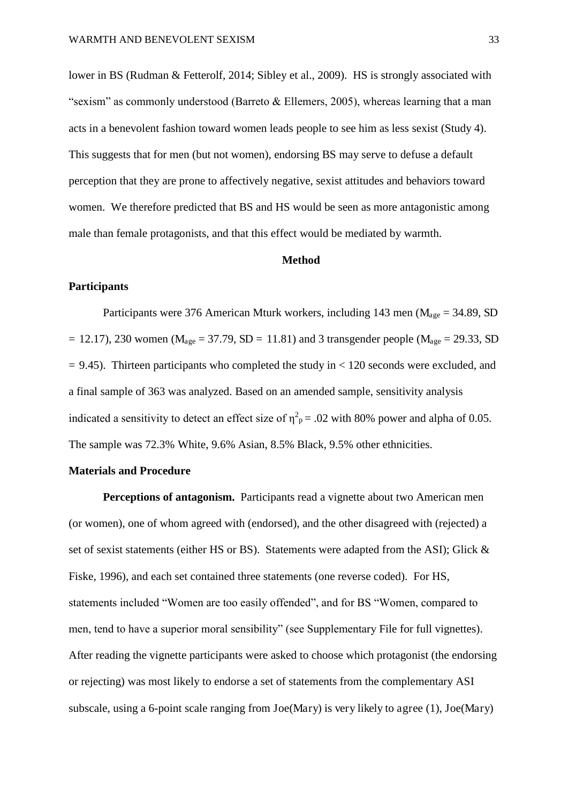lower in BS (Rudman & Fetterolf, 2014; Sibley et al., 2009). HS is strongly associated with "sexism" as commonly understood (Barreto & Ellemers, 2005), whereas learning that a man acts in a benevolent fashion toward women leads people to see him as less sexist (Study 4). This suggests that for men (but not women), endorsing BS may serve to defuse a default perception that they are prone to affectively negative, sexist attitudes and behaviors toward women. We therefore predicted that BS and HS would be seen as more antagonistic among male than female protagonists, and that this effect would be mediated by warmth.

#### **Method**

#### **Participants**

Participants were 376 American Mturk workers, including 143 men ( $M_{\text{age}} = 34.89$ , SD  $= 12.17$ ), 230 women (M<sub>age</sub> = 37.79, SD = 11.81) and 3 transgender people (M<sub>age</sub> = 29.33, SD  $= 9.45$ ). Thirteen participants who completed the study in  $< 120$  seconds were excluded, and a final sample of 363 was analyzed. Based on an amended sample, sensitivity analysis indicated a sensitivity to detect an effect size of  $\eta^2 p = 0.02$  with 80% power and alpha of 0.05. The sample was 72.3% White, 9.6% Asian, 8.5% Black, 9.5% other ethnicities.

#### **Materials and Procedure**

**Perceptions of antagonism.** Participants read a vignette about two American men (or women), one of whom agreed with (endorsed), and the other disagreed with (rejected) a set of sexist statements (either HS or BS). Statements were adapted from the ASI); Glick & Fiske, 1996), and each set contained three statements (one reverse coded). For HS, statements included "Women are too easily offended", and for BS "Women, compared to men, tend to have a superior moral sensibility" (see Supplementary File for full vignettes). After reading the vignette participants were asked to choose which protagonist (the endorsing or rejecting) was most likely to endorse a set of statements from the complementary ASI subscale, using a 6-point scale ranging from Joe(Mary) is very likely to agree (1), Joe(Mary)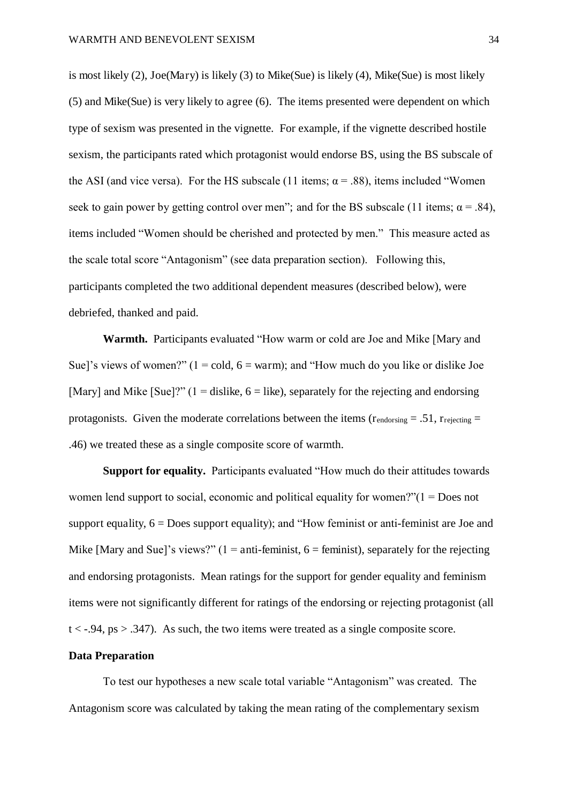is most likely (2), Joe(Mary) is likely (3) to Mike(Sue) is likely (4), Mike(Sue) is most likely (5) and Mike(Sue) is very likely to agree (6). The items presented were dependent on which type of sexism was presented in the vignette. For example, if the vignette described hostile sexism, the participants rated which protagonist would endorse BS, using the BS subscale of the ASI (and vice versa). For the HS subscale (11 items;  $\alpha$  = .88), items included "Women seek to gain power by getting control over men"; and for the BS subscale (11 items;  $\alpha = .84$ ), items included "Women should be cherished and protected by men." This measure acted as the scale total score "Antagonism" (see data preparation section). Following this, participants completed the two additional dependent measures (described below), were debriefed, thanked and paid.

**Warmth.** Participants evaluated "How warm or cold are Joe and Mike [Mary and Sue]'s views of women?"  $(1 = \text{cold}, 6 = \text{warm})$ ; and "How much do you like or dislike Joe [Mary] and Mike [Sue]?" (1 = dislike,  $6 =$  like), separately for the rejecting and endorsing protagonists. Given the moderate correlations between the items ( $r_{endorsine} = .51$ ,  $r_{reiccing} =$ .46) we treated these as a single composite score of warmth.

**Support for equality.** Participants evaluated "How much do their attitudes towards women lend support to social, economic and political equality for women?"(1 = Does not support equality,  $6 = Does support equality$ ; and "How feminist or anti-feminist are Joe and Mike [Mary and Sue]'s views?" (1 = anti-feminist,  $6 =$  feminist), separately for the rejecting and endorsing protagonists. Mean ratings for the support for gender equality and feminism items were not significantly different for ratings of the endorsing or rejecting protagonist (all  $t < -0.94$ , ps  $> 0.347$ ). As such, the two items were treated as a single composite score.

#### **Data Preparation**

To test our hypotheses a new scale total variable "Antagonism" was created. The Antagonism score was calculated by taking the mean rating of the complementary sexism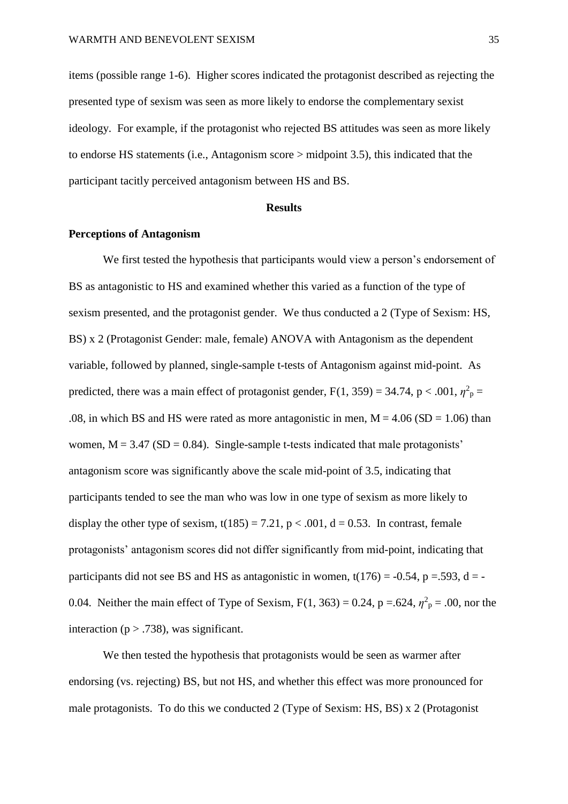items (possible range 1-6). Higher scores indicated the protagonist described as rejecting the presented type of sexism was seen as more likely to endorse the complementary sexist ideology. For example, if the protagonist who rejected BS attitudes was seen as more likely to endorse HS statements (i.e., Antagonism score > midpoint 3.5), this indicated that the participant tacitly perceived antagonism between HS and BS.

#### **Results**

#### **Perceptions of Antagonism**

We first tested the hypothesis that participants would view a person's endorsement of BS as antagonistic to HS and examined whether this varied as a function of the type of sexism presented, and the protagonist gender. We thus conducted a 2 (Type of Sexism: HS, BS) x 2 (Protagonist Gender: male, female) ANOVA with Antagonism as the dependent variable, followed by planned, single-sample t-tests of Antagonism against mid-point. As predicted, there was a main effect of protagonist gender,  $F(1, 359) = 34.74$ ,  $p < .001$ ,  $\eta^2 p =$ .08, in which BS and HS were rated as more antagonistic in men,  $M = 4.06$  (SD = 1.06) than women,  $M = 3.47$  (SD = 0.84). Single-sample t-tests indicated that male protagonists' antagonism score was significantly above the scale mid-point of 3.5, indicating that participants tended to see the man who was low in one type of sexism as more likely to display the other type of sexism,  $t(185) = 7.21$ ,  $p < .001$ ,  $d = 0.53$ . In contrast, female protagonists' antagonism scores did not differ significantly from mid-point, indicating that participants did not see BS and HS as antagonistic in women,  $t(176) = -0.54$ , p = 593, d = -0.04. Neither the main effect of Type of Sexism,  $F(1, 363) = 0.24$ ,  $p = .624$ ,  $\eta^2 p = .00$ , nor the interaction ( $p > .738$ ), was significant.

We then tested the hypothesis that protagonists would be seen as warmer after endorsing (vs. rejecting) BS, but not HS, and whether this effect was more pronounced for male protagonists. To do this we conducted 2 (Type of Sexism: HS, BS) x 2 (Protagonist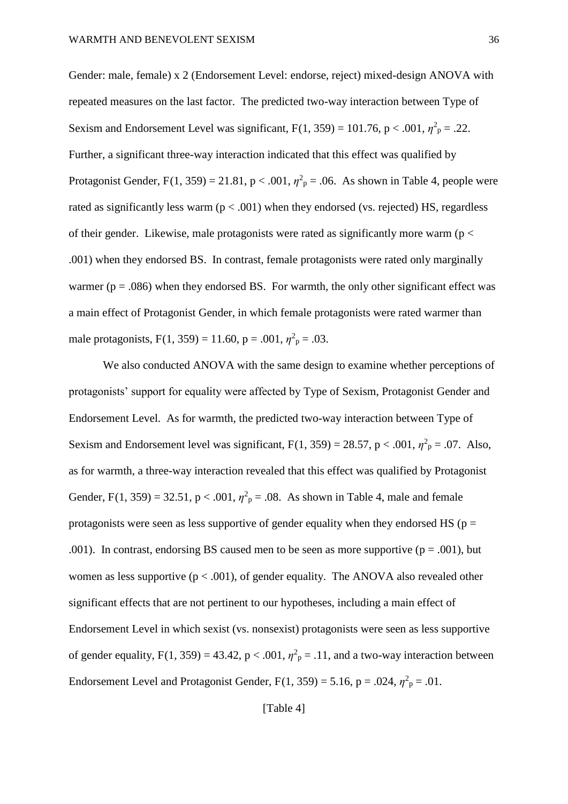Gender: male, female) x 2 (Endorsement Level: endorse, reject) mixed-design ANOVA with repeated measures on the last factor. The predicted two-way interaction between Type of Sexism and Endorsement Level was significant,  $F(1, 359) = 101.76$ ,  $p < .001$ ,  $\eta^2 p = .22$ . Further, a significant three-way interaction indicated that this effect was qualified by Protagonist Gender,  $F(1, 359) = 21.81$ ,  $p < .001$ ,  $\eta^2 p = .06$ . As shown in Table 4, people were rated as significantly less warm  $(p < .001)$  when they endorsed (vs. rejected) HS, regardless of their gender. Likewise, male protagonists were rated as significantly more warm ( $p <$ .001) when they endorsed BS. In contrast, female protagonists were rated only marginally warmer ( $p = .086$ ) when they endorsed BS. For warmth, the only other significant effect was a main effect of Protagonist Gender, in which female protagonists were rated warmer than male protagonists,  $F(1, 359) = 11.60$ ,  $p = .001$ ,  $\eta^2 p = .03$ .

We also conducted ANOVA with the same design to examine whether perceptions of protagonists' support for equality were affected by Type of Sexism, Protagonist Gender and Endorsement Level. As for warmth, the predicted two-way interaction between Type of Sexism and Endorsement level was significant,  $F(1, 359) = 28.57$ ,  $p < .001$ ,  $\eta^2 p = .07$ . Also, as for warmth, a three-way interaction revealed that this effect was qualified by Protagonist Gender, F(1, 359) = 32.51,  $p < .001$ ,  $\eta^2 p = .08$ . As shown in Table 4, male and female protagonists were seen as less supportive of gender equality when they endorsed HS ( $p =$ .001). In contrast, endorsing BS caused men to be seen as more supportive ( $p = .001$ ), but women as less supportive ( $p < .001$ ), of gender equality. The ANOVA also revealed other significant effects that are not pertinent to our hypotheses, including a main effect of Endorsement Level in which sexist (vs. nonsexist) protagonists were seen as less supportive of gender equality,  $F(1, 359) = 43.42$ ,  $p < .001$ ,  $\eta^2$ <sub>p</sub> = .11, and a two-way interaction between Endorsement Level and Protagonist Gender,  $F(1, 359) = 5.16$ ,  $p = .024$ ,  $\eta^2 p = .01$ .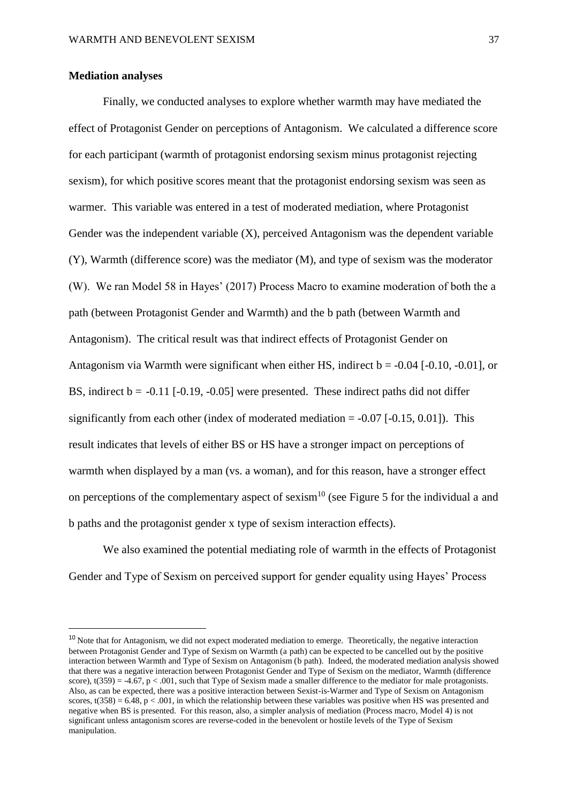### **Mediation analyses**

 $\overline{a}$ 

Finally, we conducted analyses to explore whether warmth may have mediated the effect of Protagonist Gender on perceptions of Antagonism. We calculated a difference score for each participant (warmth of protagonist endorsing sexism minus protagonist rejecting sexism), for which positive scores meant that the protagonist endorsing sexism was seen as warmer. This variable was entered in a test of moderated mediation, where Protagonist Gender was the independent variable (X), perceived Antagonism was the dependent variable (Y), Warmth (difference score) was the mediator (M), and type of sexism was the moderator (W). We ran Model 58 in Hayes' (2017) Process Macro to examine moderation of both the a path (between Protagonist Gender and Warmth) and the b path (between Warmth and Antagonism). The critical result was that indirect effects of Protagonist Gender on Antagonism via Warmth were significant when either HS, indirect  $b = -0.04$  [ $-0.10, -0.01$ ], or BS, indirect  $b = -0.11$  [ $-0.19$ ,  $-0.05$ ] were presented. These indirect paths did not differ significantly from each other (index of moderated mediation  $= -0.07$  [ $-0.15$ ,  $0.01$ ]). This result indicates that levels of either BS or HS have a stronger impact on perceptions of warmth when displayed by a man (vs. a woman), and for this reason, have a stronger effect on perceptions of the complementary aspect of sexism<sup>10</sup> (see Figure 5 for the individual a and b paths and the protagonist gender x type of sexism interaction effects).

We also examined the potential mediating role of warmth in the effects of Protagonist Gender and Type of Sexism on perceived support for gender equality using Hayes' Process

<sup>&</sup>lt;sup>10</sup> Note that for Antagonism, we did not expect moderated mediation to emerge. Theoretically, the negative interaction between Protagonist Gender and Type of Sexism on Warmth (a path) can be expected to be cancelled out by the positive interaction between Warmth and Type of Sexism on Antagonism (b path). Indeed, the moderated mediation analysis showed that there was a negative interaction between Protagonist Gender and Type of Sexism on the mediator, Warmth (difference score),  $t(359) = -4.67$ ,  $p < .001$ , such that Type of Sexism made a smaller difference to the mediator for male protagonists. Also, as can be expected, there was a positive interaction between Sexist-is-Warmer and Type of Sexism on Antagonism scores, t(358) = 6.48, p < .001, in which the relationship between these variables was positive when HS was presented and negative when BS is presented. For this reason, also, a simpler analysis of mediation (Process macro, Model 4) is not significant unless antagonism scores are reverse-coded in the benevolent or hostile levels of the Type of Sexism manipulation.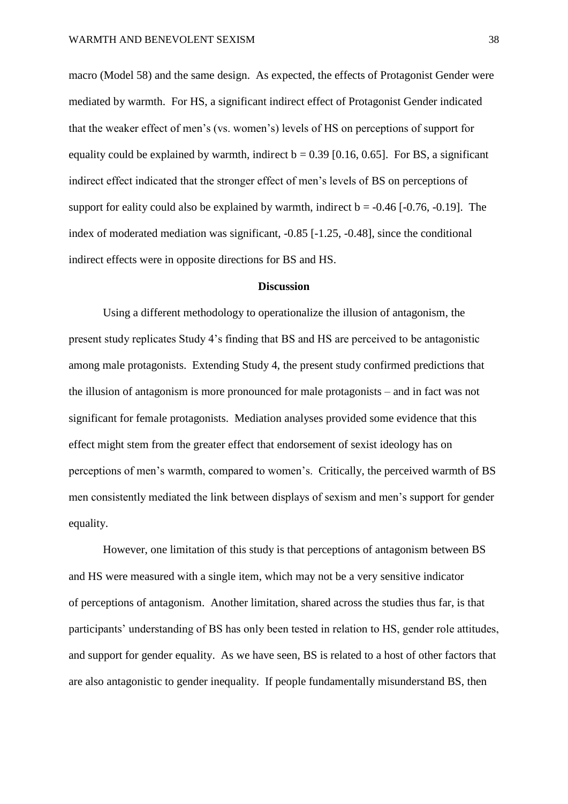macro (Model 58) and the same design. As expected, the effects of Protagonist Gender were mediated by warmth. For HS, a significant indirect effect of Protagonist Gender indicated that the weaker effect of men's (vs. women's) levels of HS on perceptions of support for equality could be explained by warmth, indirect  $b = 0.39$  [0.16, 0.65]. For BS, a significant indirect effect indicated that the stronger effect of men's levels of BS on perceptions of support for eality could also be explained by warmth, indirect  $b = -0.46$  [ $-0.76, -0.19$ ]. The index of moderated mediation was significant, -0.85 [-1.25, -0.48], since the conditional indirect effects were in opposite directions for BS and HS.

## **Discussion**

Using a different methodology to operationalize the illusion of antagonism, the present study replicates Study 4's finding that BS and HS are perceived to be antagonistic among male protagonists. Extending Study 4, the present study confirmed predictions that the illusion of antagonism is more pronounced for male protagonists – and in fact was not significant for female protagonists. Mediation analyses provided some evidence that this effect might stem from the greater effect that endorsement of sexist ideology has on perceptions of men's warmth, compared to women's. Critically, the perceived warmth of BS men consistently mediated the link between displays of sexism and men's support for gender equality.

 However, one limitation of this study is that perceptions of antagonism between BS and HS were measured with a single item, which may not be a very sensitive indicator of perceptions of antagonism. Another limitation, shared across the studies thus far, is that participants' understanding of BS has only been tested in relation to HS, gender role attitudes, and support for gender equality. As we have seen, BS is related to a host of other factors that are also antagonistic to gender inequality. If people fundamentally misunderstand BS, then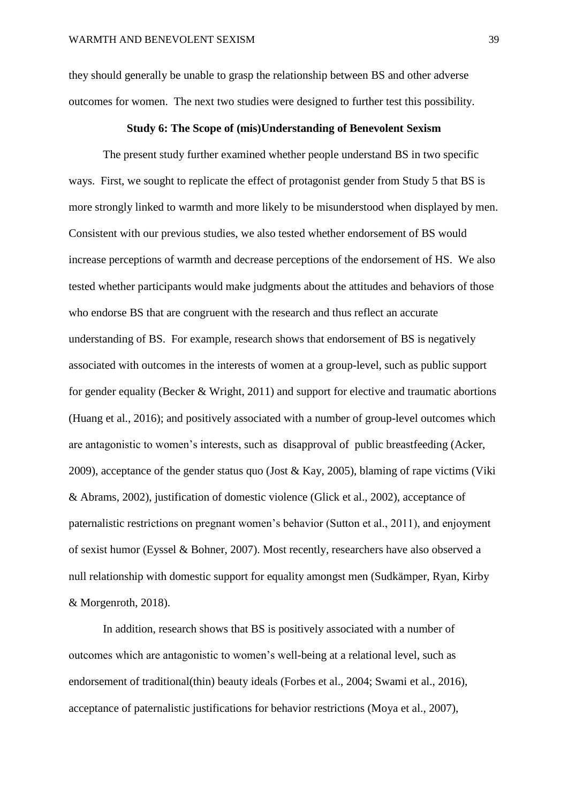they should generally be unable to grasp the relationship between BS and other adverse outcomes for women. The next two studies were designed to further test this possibility.

#### **Study 6: The Scope of (mis)Understanding of Benevolent Sexism**

 The present study further examined whether people understand BS in two specific ways. First, we sought to replicate the effect of protagonist gender from Study 5 that BS is more strongly linked to warmth and more likely to be misunderstood when displayed by men. Consistent with our previous studies, we also tested whether endorsement of BS would increase perceptions of warmth and decrease perceptions of the endorsement of HS. We also tested whether participants would make judgments about the attitudes and behaviors of those who endorse BS that are congruent with the research and thus reflect an accurate understanding of BS. For example, research shows that endorsement of BS is negatively associated with outcomes in the interests of women at a group-level, such as public support for gender equality (Becker & Wright, 2011) and support for elective and traumatic abortions (Huang et al., 2016); and positively associated with a number of group-level outcomes which are antagonistic to women's interests, such as disapproval of public breastfeeding (Acker, 2009), acceptance of the gender status quo (Jost & Kay, 2005), blaming of rape victims (Viki & Abrams, 2002), justification of domestic violence (Glick et al., 2002), acceptance of paternalistic restrictions on pregnant women's behavior (Sutton et al., 2011), and enjoyment of sexist humor (Eyssel & Bohner, 2007). Most recently, researchers have also observed a null relationship with domestic support for equality amongst men (Sudkämper, Ryan, Kirby & Morgenroth, 2018).

 In addition, research shows that BS is positively associated with a number of outcomes which are antagonistic to women's well-being at a relational level, such as endorsement of traditional(thin) beauty ideals (Forbes et al., 2004; Swami et al., 2016), acceptance of paternalistic justifications for behavior restrictions (Moya et al., 2007),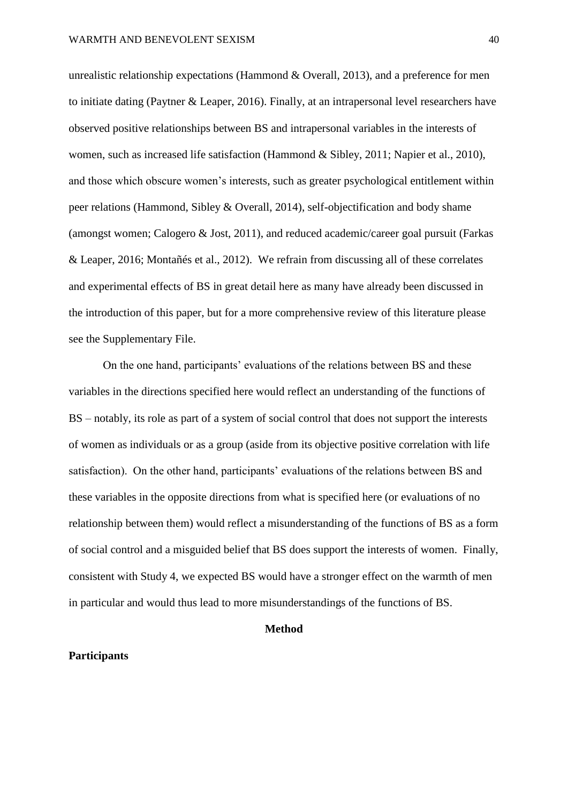unrealistic relationship expectations (Hammond & Overall, 2013), and a preference for men to initiate dating (Paytner & Leaper, 2016). Finally, at an intrapersonal level researchers have observed positive relationships between BS and intrapersonal variables in the interests of women, such as increased life satisfaction (Hammond & Sibley, 2011; Napier et al., 2010), and those which obscure women's interests, such as greater psychological entitlement within peer relations (Hammond, Sibley & Overall, 2014), self-objectification and body shame (amongst women; Calogero & Jost, 2011), and reduced academic/career goal pursuit (Farkas & Leaper, 2016; Montañés et al., 2012). We refrain from discussing all of these correlates and experimental effects of BS in great detail here as many have already been discussed in the introduction of this paper, but for a more comprehensive review of this literature please see the Supplementary File.

On the one hand, participants' evaluations of the relations between BS and these variables in the directions specified here would reflect an understanding of the functions of BS – notably, its role as part of a system of social control that does not support the interests of women as individuals or as a group (aside from its objective positive correlation with life satisfaction). On the other hand, participants' evaluations of the relations between BS and these variables in the opposite directions from what is specified here (or evaluations of no relationship between them) would reflect a misunderstanding of the functions of BS as a form of social control and a misguided belief that BS does support the interests of women. Finally, consistent with Study 4, we expected BS would have a stronger effect on the warmth of men in particular and would thus lead to more misunderstandings of the functions of BS.

### **Method**

# **Participants**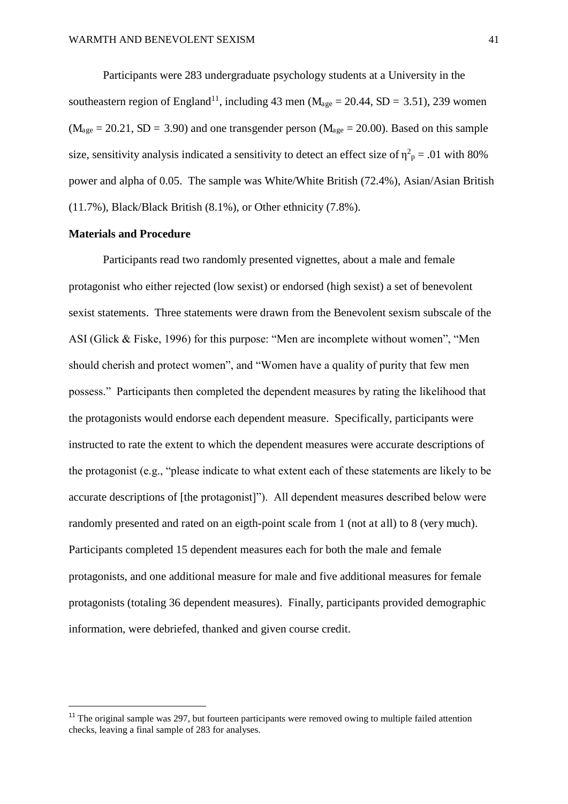Participants were 283 undergraduate psychology students at a University in the southeastern region of England<sup>11</sup>, including 43 men ( $M_{\text{age}} = 20.44$ , SD = 3.51), 239 women  $(M<sub>age</sub> = 20.21, SD = 3.90)$  and one transgender person  $(M<sub>age</sub> = 20.00)$ . Based on this sample size, sensitivity analysis indicated a sensitivity to detect an effect size of  $\eta^2$ <sub>p</sub> = .01 with 80% power and alpha of 0.05. The sample was White/White British (72.4%), Asian/Asian British (11.7%), Black/Black British (8.1%), or Other ethnicity (7.8%).

## **Materials and Procedure**

 $\overline{a}$ 

Participants read two randomly presented vignettes, about a male and female protagonist who either rejected (low sexist) or endorsed (high sexist) a set of benevolent sexist statements. Three statements were drawn from the Benevolent sexism subscale of the ASI (Glick & Fiske, 1996) for this purpose: "Men are incomplete without women", "Men should cherish and protect women", and "Women have a quality of purity that few men possess." Participants then completed the dependent measures by rating the likelihood that the protagonists would endorse each dependent measure. Specifically, participants were instructed to rate the extent to which the dependent measures were accurate descriptions of the protagonist (e.g., "please indicate to what extent each of these statements are likely to be accurate descriptions of [the protagonist]"). All dependent measures described below were randomly presented and rated on an eigth-point scale from 1 (not at all) to 8 (very much). Participants completed 15 dependent measures each for both the male and female protagonists, and one additional measure for male and five additional measures for female protagonists (totaling 36 dependent measures). Finally, participants provided demographic information, were debriefed, thanked and given course credit.

<sup>&</sup>lt;sup>11</sup> The original sample was 297, but fourteen participants were removed owing to multiple failed attention checks, leaving a final sample of 283 for analyses.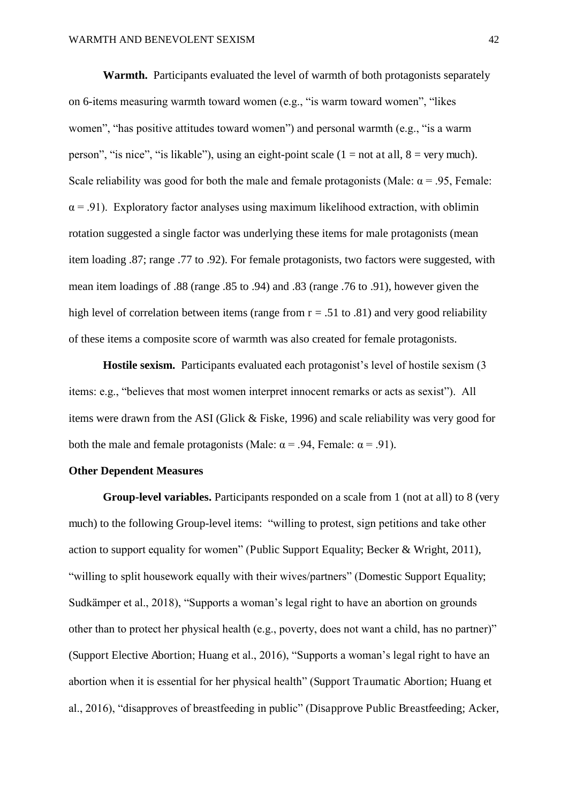**Warmth.** Participants evaluated the level of warmth of both protagonists separately on 6-items measuring warmth toward women (e.g., "is warm toward women", "likes women", "has positive attitudes toward women") and personal warmth (e.g., "is a warm person", "is nice", "is likable"), using an eight-point scale  $(1 = not at all, 8 = very much)$ . Scale reliability was good for both the male and female protagonists (Male:  $\alpha$  = .95, Female:  $\alpha$  = .91). Exploratory factor analyses using maximum likelihood extraction, with oblimin rotation suggested a single factor was underlying these items for male protagonists (mean item loading .87; range .77 to .92). For female protagonists, two factors were suggested, with mean item loadings of .88 (range .85 to .94) and .83 (range .76 to .91), however given the high level of correlation between items (range from  $r = .51$  to .81) and very good reliability of these items a composite score of warmth was also created for female protagonists.

**Hostile sexism.** Participants evaluated each protagonist's level of hostile sexism (3) items: e.g., "believes that most women interpret innocent remarks or acts as sexist"). All items were drawn from the ASI (Glick & Fiske, 1996) and scale reliability was very good for both the male and female protagonists (Male:  $\alpha$  = .94, Female:  $\alpha$  = .91).

## **Other Dependent Measures**

**Group-level variables.** Participants responded on a scale from 1 (not at all) to 8 (very much) to the following Group-level items: "willing to protest, sign petitions and take other action to support equality for women" (Public Support Equality; Becker & Wright, 2011), "willing to split housework equally with their wives/partners" (Domestic Support Equality; Sudkämper et al., 2018), "Supports a woman's legal right to have an abortion on grounds other than to protect her physical health (e.g., poverty, does not want a child, has no partner)" (Support Elective Abortion; Huang et al., 2016), "Supports a woman's legal right to have an abortion when it is essential for her physical health" (Support Traumatic Abortion; Huang et al., 2016), "disapproves of breastfeeding in public" (Disapprove Public Breastfeeding; Acker,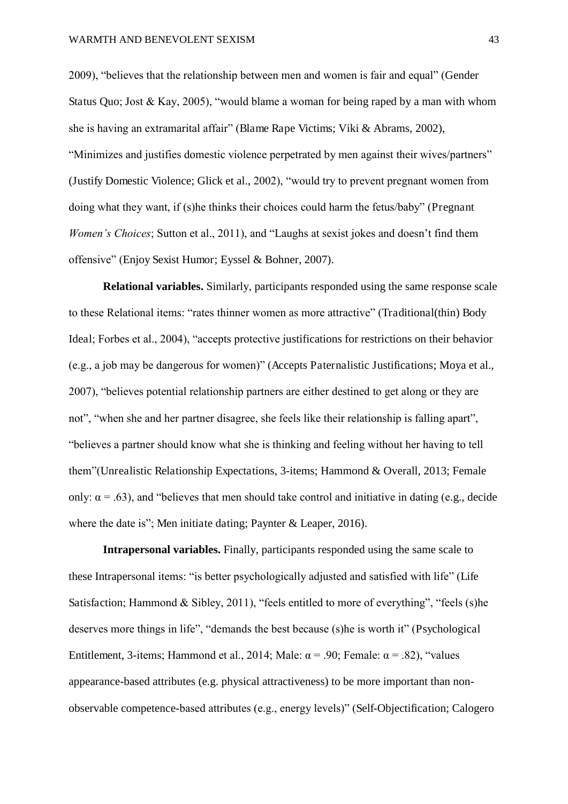2009), "believes that the relationship between men and women is fair and equal" (Gender Status Quo; Jost & Kay, 2005), "would blame a woman for being raped by a man with whom she is having an extramarital affair" (Blame Rape Victims; Viki & Abrams, 2002), "Minimizes and justifies domestic violence perpetrated by men against their wives/partners" (Justify Domestic Violence; Glick et al., 2002), "would try to prevent pregnant women from doing what they want, if (s)he thinks their choices could harm the fetus/baby" (Pregnant *Women's Choices*; Sutton et al., 2011), and "Laughs at sexist jokes and doesn't find them offensive" (Enjoy Sexist Humor; Eyssel & Bohner, 2007).

**Relational variables.** Similarly, participants responded using the same response scale to these Relational items: "rates thinner women as more attractive" (Traditional(thin) Body Ideal; Forbes et al., 2004), "accepts protective justifications for restrictions on their behavior (e.g., a job may be dangerous for women)" (Accepts Paternalistic Justifications; Moya et al., 2007), "believes potential relationship partners are either destined to get along or they are not", "when she and her partner disagree, she feels like their relationship is falling apart", "believes a partner should know what she is thinking and feeling without her having to tell them"(Unrealistic Relationship Expectations, 3-items; Hammond & Overall, 2013; Female only:  $\alpha$  = .63), and "believes that men should take control and initiative in dating (e.g., decide where the date is"; Men initiate dating; Paynter & Leaper, 2016).

**Intrapersonal variables.** Finally, participants responded using the same scale to these Intrapersonal items: "is better psychologically adjusted and satisfied with life" (Life Satisfaction; Hammond & Sibley, 2011), "feels entitled to more of everything", "feels (s)he deserves more things in life", "demands the best because (s)he is worth it" (Psychological Entitlement, 3-items; Hammond et al., 2014; Male:  $\alpha$  = .90; Female:  $\alpha$  = .82), "values appearance-based attributes (e.g. physical attractiveness) to be more important than nonobservable competence-based attributes (e.g., energy levels)" (Self-Objectification; Calogero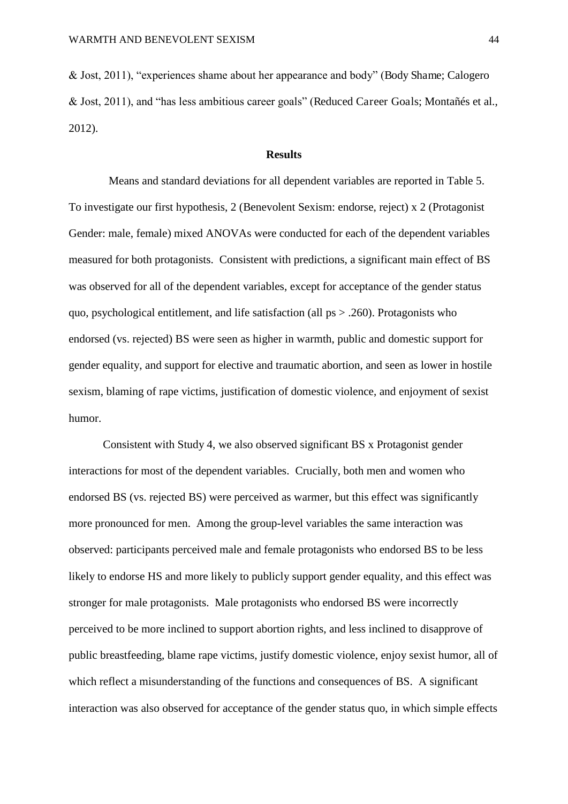& Jost, 2011), "experiences shame about her appearance and body" (Body Shame; Calogero & Jost, 2011), and "has less ambitious career goals" (Reduced Career Goals; Montañés et al., 2012).

## **Results**

 Means and standard deviations for all dependent variables are reported in Table 5. To investigate our first hypothesis, 2 (Benevolent Sexism: endorse, reject) x 2 (Protagonist Gender: male, female) mixed ANOVAs were conducted for each of the dependent variables measured for both protagonists. Consistent with predictions, a significant main effect of BS was observed for all of the dependent variables, except for acceptance of the gender status quo, psychological entitlement, and life satisfaction (all  $ps > .260$ ). Protagonists who endorsed (vs. rejected) BS were seen as higher in warmth, public and domestic support for gender equality, and support for elective and traumatic abortion, and seen as lower in hostile sexism, blaming of rape victims, justification of domestic violence, and enjoyment of sexist humor.

Consistent with Study 4, we also observed significant BS x Protagonist gender interactions for most of the dependent variables. Crucially, both men and women who endorsed BS (vs. rejected BS) were perceived as warmer, but this effect was significantly more pronounced for men. Among the group-level variables the same interaction was observed: participants perceived male and female protagonists who endorsed BS to be less likely to endorse HS and more likely to publicly support gender equality, and this effect was stronger for male protagonists. Male protagonists who endorsed BS were incorrectly perceived to be more inclined to support abortion rights, and less inclined to disapprove of public breastfeeding, blame rape victims, justify domestic violence, enjoy sexist humor, all of which reflect a misunderstanding of the functions and consequences of BS. A significant interaction was also observed for acceptance of the gender status quo, in which simple effects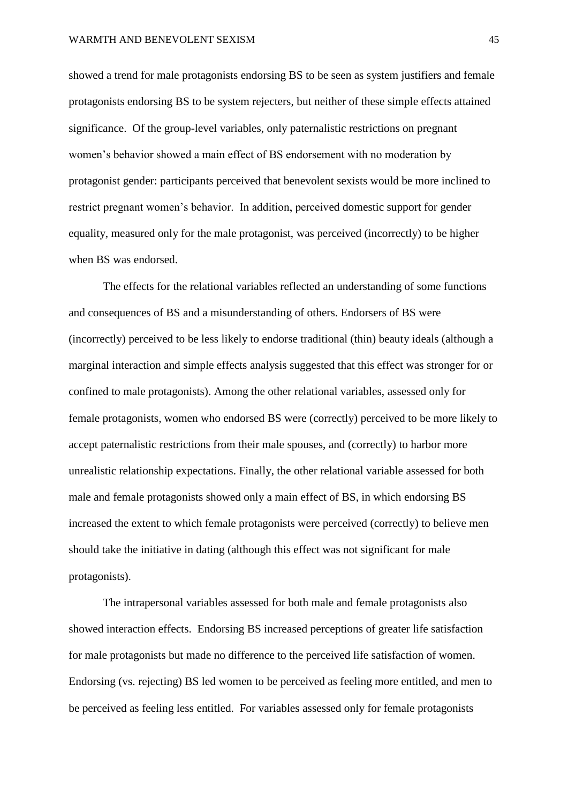showed a trend for male protagonists endorsing BS to be seen as system justifiers and female protagonists endorsing BS to be system rejecters, but neither of these simple effects attained significance. Of the group-level variables, only paternalistic restrictions on pregnant women's behavior showed a main effect of BS endorsement with no moderation by protagonist gender: participants perceived that benevolent sexists would be more inclined to restrict pregnant women's behavior. In addition, perceived domestic support for gender equality, measured only for the male protagonist, was perceived (incorrectly) to be higher when BS was endorsed.

The effects for the relational variables reflected an understanding of some functions and consequences of BS and a misunderstanding of others. Endorsers of BS were (incorrectly) perceived to be less likely to endorse traditional (thin) beauty ideals (although a marginal interaction and simple effects analysis suggested that this effect was stronger for or confined to male protagonists). Among the other relational variables, assessed only for female protagonists, women who endorsed BS were (correctly) perceived to be more likely to accept paternalistic restrictions from their male spouses, and (correctly) to harbor more unrealistic relationship expectations. Finally, the other relational variable assessed for both male and female protagonists showed only a main effect of BS, in which endorsing BS increased the extent to which female protagonists were perceived (correctly) to believe men should take the initiative in dating (although this effect was not significant for male protagonists).

The intrapersonal variables assessed for both male and female protagonists also showed interaction effects. Endorsing BS increased perceptions of greater life satisfaction for male protagonists but made no difference to the perceived life satisfaction of women. Endorsing (vs. rejecting) BS led women to be perceived as feeling more entitled, and men to be perceived as feeling less entitled. For variables assessed only for female protagonists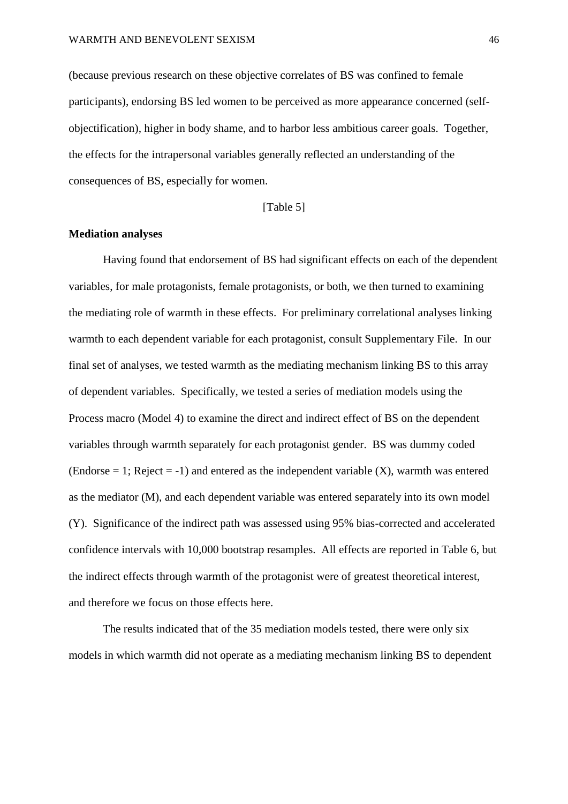(because previous research on these objective correlates of BS was confined to female participants), endorsing BS led women to be perceived as more appearance concerned (selfobjectification), higher in body shame, and to harbor less ambitious career goals. Together, the effects for the intrapersonal variables generally reflected an understanding of the consequences of BS, especially for women.

### [Table 5]

### **Mediation analyses**

Having found that endorsement of BS had significant effects on each of the dependent variables, for male protagonists, female protagonists, or both, we then turned to examining the mediating role of warmth in these effects. For preliminary correlational analyses linking warmth to each dependent variable for each protagonist, consult Supplementary File. In our final set of analyses, we tested warmth as the mediating mechanism linking BS to this array of dependent variables. Specifically, we tested a series of mediation models using the Process macro (Model 4) to examine the direct and indirect effect of BS on the dependent variables through warmth separately for each protagonist gender. BS was dummy coded (Endorse  $= 1$ ; Reject  $= -1$ ) and entered as the independent variable (X), warmth was entered as the mediator (M), and each dependent variable was entered separately into its own model (Y). Significance of the indirect path was assessed using 95% bias-corrected and accelerated confidence intervals with 10,000 bootstrap resamples. All effects are reported in Table 6, but the indirect effects through warmth of the protagonist were of greatest theoretical interest, and therefore we focus on those effects here.

The results indicated that of the 35 mediation models tested, there were only six models in which warmth did not operate as a mediating mechanism linking BS to dependent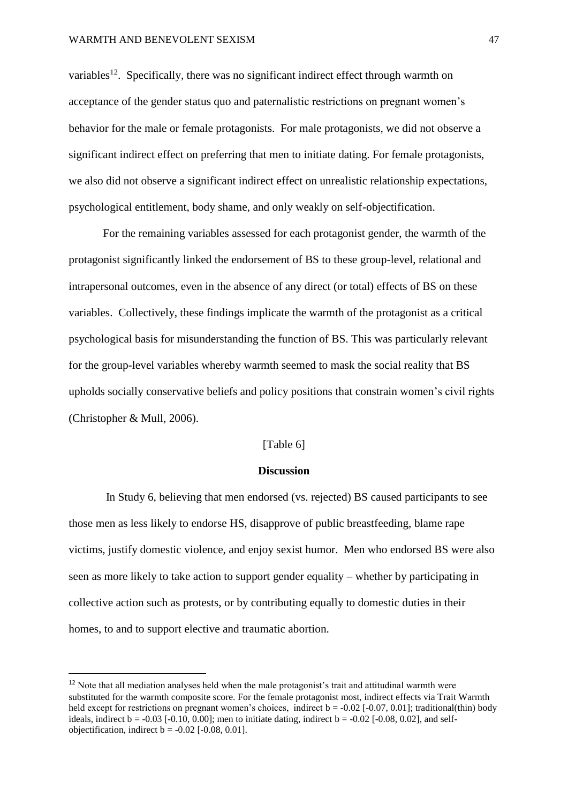$\overline{a}$ 

variables<sup>12</sup>. Specifically, there was no significant indirect effect through warmth on acceptance of the gender status quo and paternalistic restrictions on pregnant women's behavior for the male or female protagonists. For male protagonists, we did not observe a significant indirect effect on preferring that men to initiate dating. For female protagonists, we also did not observe a significant indirect effect on unrealistic relationship expectations, psychological entitlement, body shame, and only weakly on self-objectification.

For the remaining variables assessed for each protagonist gender, the warmth of the protagonist significantly linked the endorsement of BS to these group-level, relational and intrapersonal outcomes, even in the absence of any direct (or total) effects of BS on these variables. Collectively, these findings implicate the warmth of the protagonist as a critical psychological basis for misunderstanding the function of BS. This was particularly relevant for the group-level variables whereby warmth seemed to mask the social reality that BS upholds socially conservative beliefs and policy positions that constrain women's civil rights (Christopher & Mull, 2006).

## [Table 6]

### **Discussion**

 In Study 6, believing that men endorsed (vs. rejected) BS caused participants to see those men as less likely to endorse HS, disapprove of public breastfeeding, blame rape victims, justify domestic violence, and enjoy sexist humor. Men who endorsed BS were also seen as more likely to take action to support gender equality – whether by participating in collective action such as protests, or by contributing equally to domestic duties in their homes, to and to support elective and traumatic abortion.

<sup>&</sup>lt;sup>12</sup> Note that all mediation analyses held when the male protagonist's trait and attitudinal warmth were substituted for the warmth composite score. For the female protagonist most, indirect effects via Trait Warmth held except for restrictions on pregnant women's choices, indirect  $b = -0.02$  [-0.07, 0.01]; traditional(thin) body ideals, indirect  $b = -0.03$  [ $-0.10$ ,  $0.00$ ]; men to initiate dating, indirect  $b = -0.02$  [ $-0.08$ ,  $0.02$ ], and selfobjectification, indirect  $b = -0.02$  [ $-0.08$ , 0.01].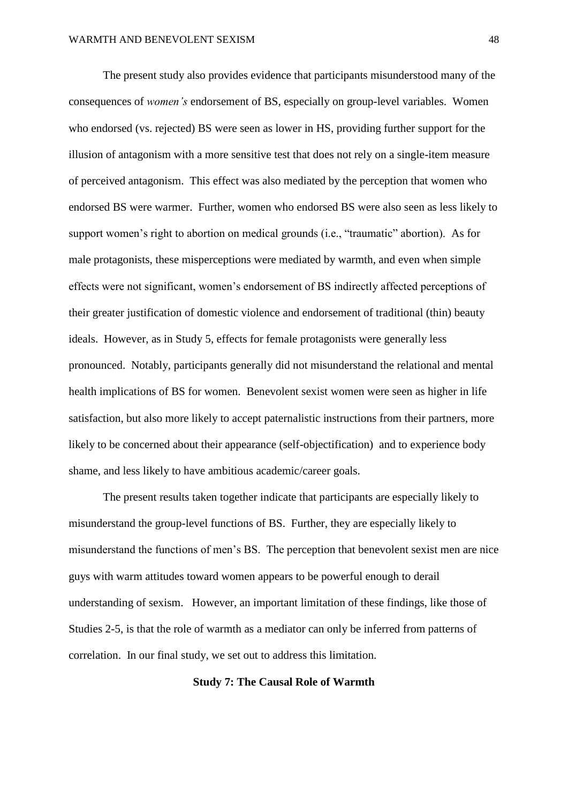The present study also provides evidence that participants misunderstood many of the consequences of *women's* endorsement of BS, especially on group-level variables. Women who endorsed (vs. rejected) BS were seen as lower in HS, providing further support for the illusion of antagonism with a more sensitive test that does not rely on a single-item measure of perceived antagonism. This effect was also mediated by the perception that women who endorsed BS were warmer. Further, women who endorsed BS were also seen as less likely to support women's right to abortion on medical grounds (i.e., "traumatic" abortion). As for male protagonists, these misperceptions were mediated by warmth, and even when simple effects were not significant, women's endorsement of BS indirectly affected perceptions of their greater justification of domestic violence and endorsement of traditional (thin) beauty ideals. However, as in Study 5, effects for female protagonists were generally less pronounced. Notably, participants generally did not misunderstand the relational and mental health implications of BS for women. Benevolent sexist women were seen as higher in life satisfaction, but also more likely to accept paternalistic instructions from their partners, more likely to be concerned about their appearance (self-objectification) and to experience body shame, and less likely to have ambitious academic/career goals.

The present results taken together indicate that participants are especially likely to misunderstand the group-level functions of BS. Further, they are especially likely to misunderstand the functions of men's BS. The perception that benevolent sexist men are nice guys with warm attitudes toward women appears to be powerful enough to derail understanding of sexism. However, an important limitation of these findings, like those of Studies 2-5, is that the role of warmth as a mediator can only be inferred from patterns of correlation. In our final study, we set out to address this limitation.

## **Study 7: The Causal Role of Warmth**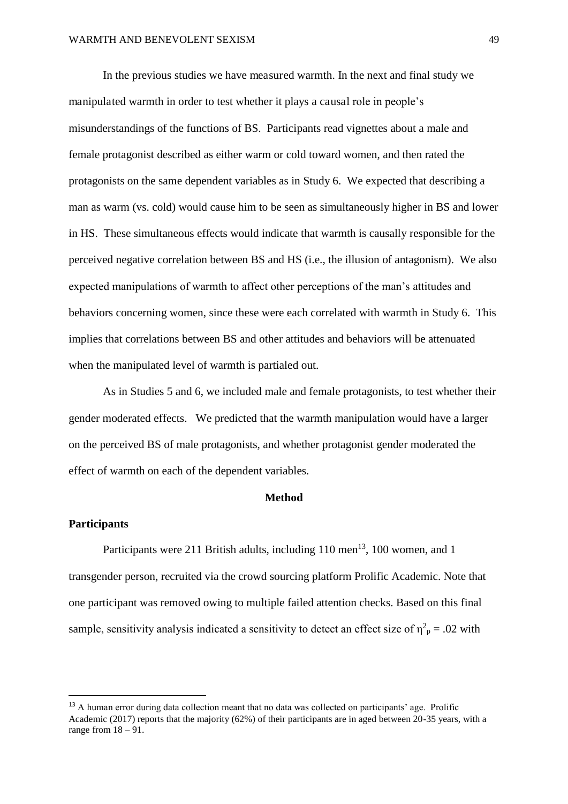In the previous studies we have measured warmth. In the next and final study we manipulated warmth in order to test whether it plays a causal role in people's misunderstandings of the functions of BS. Participants read vignettes about a male and female protagonist described as either warm or cold toward women, and then rated the protagonists on the same dependent variables as in Study 6. We expected that describing a man as warm (vs. cold) would cause him to be seen as simultaneously higher in BS and lower in HS. These simultaneous effects would indicate that warmth is causally responsible for the perceived negative correlation between BS and HS (i.e., the illusion of antagonism). We also expected manipulations of warmth to affect other perceptions of the man's attitudes and behaviors concerning women, since these were each correlated with warmth in Study 6. This implies that correlations between BS and other attitudes and behaviors will be attenuated when the manipulated level of warmth is partialed out.

As in Studies 5 and 6, we included male and female protagonists, to test whether their gender moderated effects. We predicted that the warmth manipulation would have a larger on the perceived BS of male protagonists, and whether protagonist gender moderated the effect of warmth on each of the dependent variables.

# **Method**

### **Participants**

 $\overline{a}$ 

Participants were 211 British adults, including  $110 \text{ men}^{13}$ ,  $100 \text{ women}$ , and  $1$ transgender person, recruited via the crowd sourcing platform Prolific Academic. Note that one participant was removed owing to multiple failed attention checks. Based on this final sample, sensitivity analysis indicated a sensitivity to detect an effect size of  $\eta^2$ <sub>p</sub> = .02 with

<sup>&</sup>lt;sup>13</sup> A human error during data collection meant that no data was collected on participants' age. Prolific Academic (2017) reports that the majority (62%) of their participants are in aged between 20-35 years, with a range from  $18 - 91$ .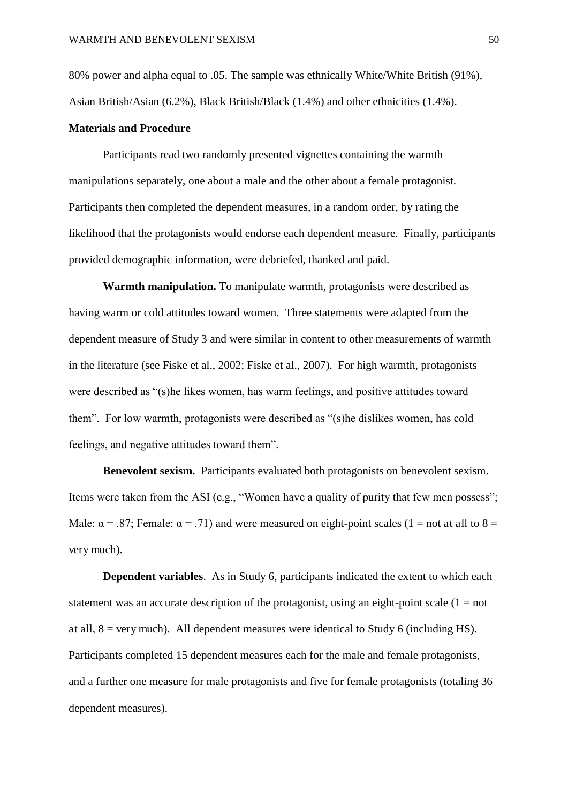80% power and alpha equal to .05. The sample was ethnically White/White British (91%), Asian British/Asian (6.2%), Black British/Black (1.4%) and other ethnicities (1.4%).

### **Materials and Procedure**

Participants read two randomly presented vignettes containing the warmth manipulations separately, one about a male and the other about a female protagonist. Participants then completed the dependent measures, in a random order, by rating the likelihood that the protagonists would endorse each dependent measure. Finally, participants provided demographic information, were debriefed, thanked and paid.

**Warmth manipulation.** To manipulate warmth, protagonists were described as having warm or cold attitudes toward women. Three statements were adapted from the dependent measure of Study 3 and were similar in content to other measurements of warmth in the literature (see Fiske et al., 2002; Fiske et al., 2007). For high warmth, protagonists were described as "(s)he likes women, has warm feelings, and positive attitudes toward them". For low warmth, protagonists were described as "(s)he dislikes women, has cold feelings, and negative attitudes toward them".

**Benevolent sexism.** Participants evaluated both protagonists on benevolent sexism. Items were taken from the ASI (e.g., "Women have a quality of purity that few men possess"; Male:  $\alpha$  = .87; Female:  $\alpha$  = .71) and were measured on eight-point scales (1 = not at all to 8 = very much).

**Dependent variables.** As in Study 6, participants indicated the extent to which each statement was an accurate description of the protagonist, using an eight-point scale  $(1 = not$ at all,  $8 = \text{very much}$ . All dependent measures were identical to Study 6 (including HS). Participants completed 15 dependent measures each for the male and female protagonists, and a further one measure for male protagonists and five for female protagonists (totaling 36 dependent measures).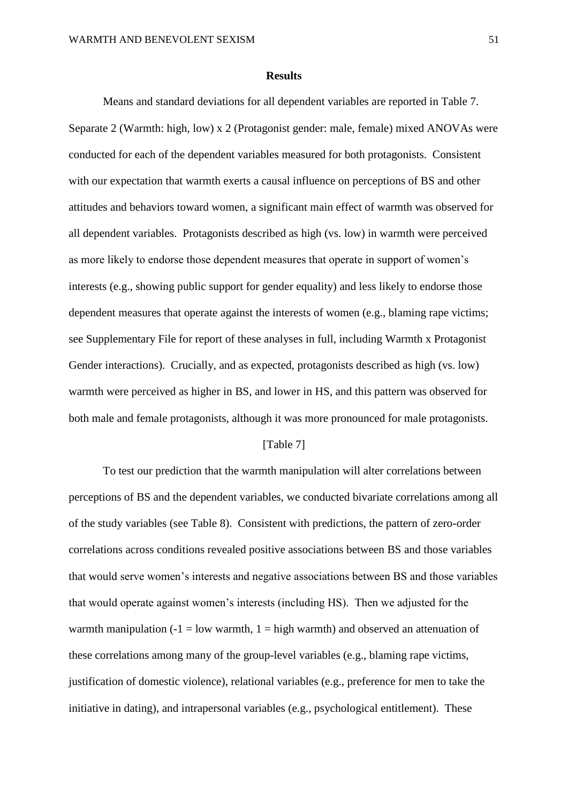#### **Results**

Means and standard deviations for all dependent variables are reported in Table 7. Separate 2 (Warmth: high, low) x 2 (Protagonist gender: male, female) mixed ANOVAs were conducted for each of the dependent variables measured for both protagonists. Consistent with our expectation that warmth exerts a causal influence on perceptions of BS and other attitudes and behaviors toward women, a significant main effect of warmth was observed for all dependent variables. Protagonists described as high (vs. low) in warmth were perceived as more likely to endorse those dependent measures that operate in support of women's interests (e.g., showing public support for gender equality) and less likely to endorse those dependent measures that operate against the interests of women (e.g., blaming rape victims; see Supplementary File for report of these analyses in full, including Warmth x Protagonist Gender interactions). Crucially, and as expected, protagonists described as high (vs. low) warmth were perceived as higher in BS, and lower in HS, and this pattern was observed for both male and female protagonists, although it was more pronounced for male protagonists.

### [Table 7]

To test our prediction that the warmth manipulation will alter correlations between perceptions of BS and the dependent variables, we conducted bivariate correlations among all of the study variables (see Table 8). Consistent with predictions, the pattern of zero-order correlations across conditions revealed positive associations between BS and those variables that would serve women's interests and negative associations between BS and those variables that would operate against women's interests (including HS). Then we adjusted for the warmth manipulation  $(-1 = low$  warmth,  $1 = high$  warmth) and observed an attenuation of these correlations among many of the group-level variables (e.g., blaming rape victims, justification of domestic violence), relational variables (e.g., preference for men to take the initiative in dating), and intrapersonal variables (e.g., psychological entitlement). These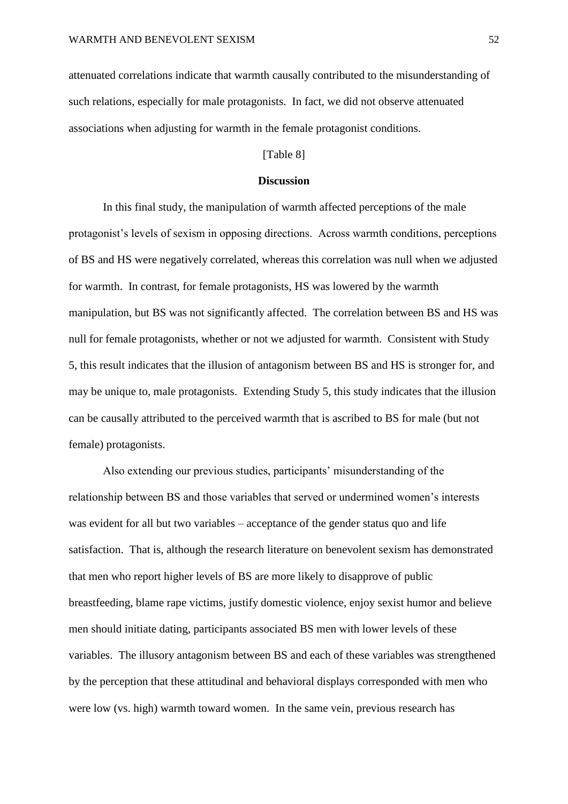attenuated correlations indicate that warmth causally contributed to the misunderstanding of such relations, especially for male protagonists. In fact, we did not observe attenuated associations when adjusting for warmth in the female protagonist conditions.

## [Table 8]

### **Discussion**

In this final study, the manipulation of warmth affected perceptions of the male protagonist's levels of sexism in opposing directions. Across warmth conditions, perceptions of BS and HS were negatively correlated, whereas this correlation was null when we adjusted for warmth. In contrast, for female protagonists, HS was lowered by the warmth manipulation, but BS was not significantly affected. The correlation between BS and HS was null for female protagonists, whether or not we adjusted for warmth. Consistent with Study 5, this result indicates that the illusion of antagonism between BS and HS is stronger for, and may be unique to, male protagonists. Extending Study 5, this study indicates that the illusion can be causally attributed to the perceived warmth that is ascribed to BS for male (but not female) protagonists.

Also extending our previous studies, participants' misunderstanding of the relationship between BS and those variables that served or undermined women's interests was evident for all but two variables – acceptance of the gender status quo and life satisfaction. That is, although the research literature on benevolent sexism has demonstrated that men who report higher levels of BS are more likely to disapprove of public breastfeeding, blame rape victims, justify domestic violence, enjoy sexist humor and believe men should initiate dating, participants associated BS men with lower levels of these variables. The illusory antagonism between BS and each of these variables was strengthened by the perception that these attitudinal and behavioral displays corresponded with men who were low (vs. high) warmth toward women. In the same vein, previous research has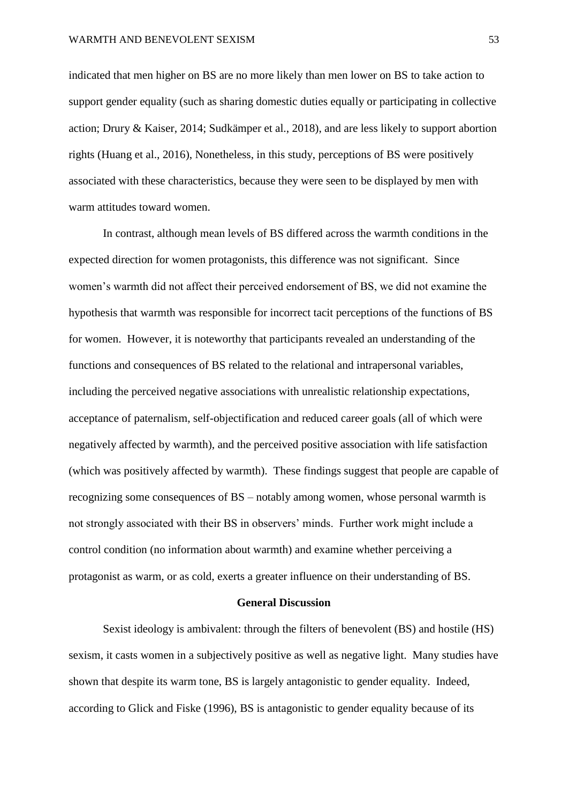indicated that men higher on BS are no more likely than men lower on BS to take action to support gender equality (such as sharing domestic duties equally or participating in collective action; Drury & Kaiser, 2014; Sudkämper et al., 2018), and are less likely to support abortion rights (Huang et al., 2016), Nonetheless, in this study, perceptions of BS were positively associated with these characteristics, because they were seen to be displayed by men with warm attitudes toward women.

In contrast, although mean levels of BS differed across the warmth conditions in the expected direction for women protagonists, this difference was not significant. Since women's warmth did not affect their perceived endorsement of BS, we did not examine the hypothesis that warmth was responsible for incorrect tacit perceptions of the functions of BS for women. However, it is noteworthy that participants revealed an understanding of the functions and consequences of BS related to the relational and intrapersonal variables, including the perceived negative associations with unrealistic relationship expectations, acceptance of paternalism, self-objectification and reduced career goals (all of which were negatively affected by warmth), and the perceived positive association with life satisfaction (which was positively affected by warmth). These findings suggest that people are capable of recognizing some consequences of BS – notably among women, whose personal warmth is not strongly associated with their BS in observers' minds. Further work might include a control condition (no information about warmth) and examine whether perceiving a protagonist as warm, or as cold, exerts a greater influence on their understanding of BS.

## **General Discussion**

Sexist ideology is ambivalent: through the filters of benevolent (BS) and hostile (HS) sexism, it casts women in a subjectively positive as well as negative light. Many studies have shown that despite its warm tone, BS is largely antagonistic to gender equality. Indeed, according to Glick and Fiske (1996), BS is antagonistic to gender equality because of its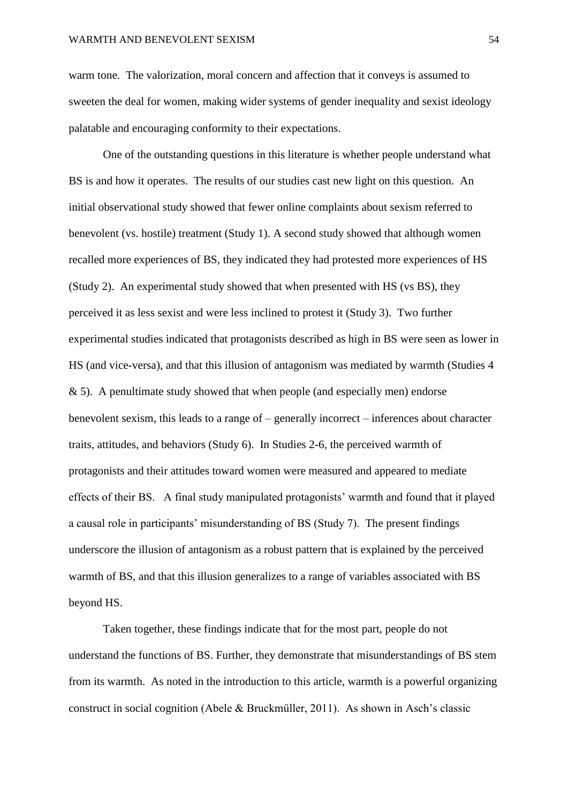warm tone. The valorization, moral concern and affection that it conveys is assumed to sweeten the deal for women, making wider systems of gender inequality and sexist ideology palatable and encouraging conformity to their expectations.

One of the outstanding questions in this literature is whether people understand what BS is and how it operates. The results of our studies cast new light on this question. An initial observational study showed that fewer online complaints about sexism referred to benevolent (vs. hostile) treatment (Study 1). A second study showed that although women recalled more experiences of BS, they indicated they had protested more experiences of HS (Study 2). An experimental study showed that when presented with HS (vs BS), they perceived it as less sexist and were less inclined to protest it (Study 3). Two further experimental studies indicated that protagonists described as high in BS were seen as lower in HS (and vice-versa), and that this illusion of antagonism was mediated by warmth (Studies 4  $& 5$ ). A penultimate study showed that when people (and especially men) endorse benevolent sexism, this leads to a range of – generally incorrect – inferences about character traits, attitudes, and behaviors (Study 6). In Studies 2-6, the perceived warmth of protagonists and their attitudes toward women were measured and appeared to mediate effects of their BS. A final study manipulated protagonists' warmth and found that it played a causal role in participants' misunderstanding of BS (Study 7). The present findings underscore the illusion of antagonism as a robust pattern that is explained by the perceived warmth of BS, and that this illusion generalizes to a range of variables associated with BS beyond HS.

Taken together, these findings indicate that for the most part, people do not understand the functions of BS. Further, they demonstrate that misunderstandings of BS stem from its warmth. As noted in the introduction to this article, warmth is a powerful organizing construct in social cognition (Abele & Bruckmüller, 2011). As shown in Asch's classic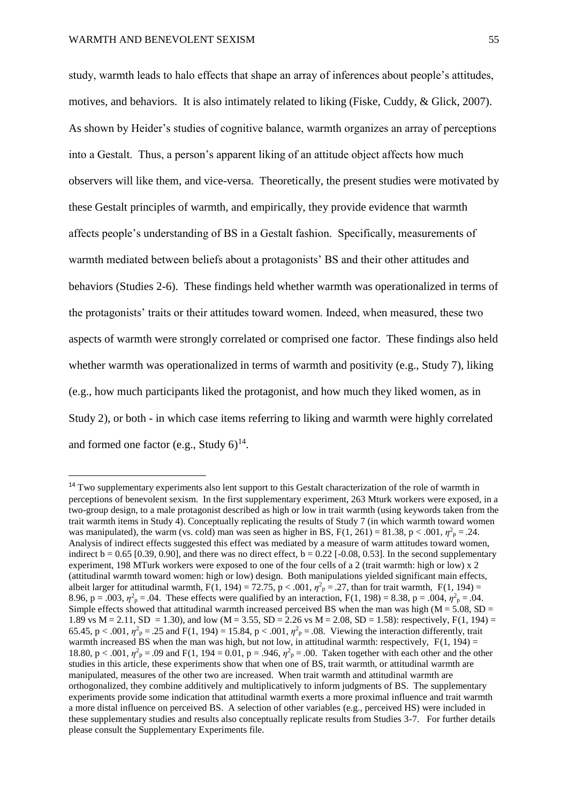study, warmth leads to halo effects that shape an array of inferences about people's attitudes, motives, and behaviors. It is also intimately related to liking (Fiske, Cuddy, & Glick, 2007). As shown by Heider's studies of cognitive balance, warmth organizes an array of perceptions into a Gestalt. Thus, a person's apparent liking of an attitude object affects how much observers will like them, and vice-versa. Theoretically, the present studies were motivated by these Gestalt principles of warmth, and empirically, they provide evidence that warmth affects people's understanding of BS in a Gestalt fashion. Specifically, measurements of warmth mediated between beliefs about a protagonists' BS and their other attitudes and behaviors (Studies 2-6). These findings held whether warmth was operationalized in terms of the protagonists' traits or their attitudes toward women. Indeed, when measured, these two aspects of warmth were strongly correlated or comprised one factor. These findings also held whether warmth was operationalized in terms of warmth and positivity (e.g., Study 7), liking (e.g., how much participants liked the protagonist, and how much they liked women, as in Study 2), or both - in which case items referring to liking and warmth were highly correlated

and formed one factor (e.g., Study  $6)^{14}$ .

 $\overline{a}$ 

<sup>&</sup>lt;sup>14</sup> Two supplementary experiments also lent support to this Gestalt characterization of the role of warmth in perceptions of benevolent sexism. In the first supplementary experiment, 263 Mturk workers were exposed, in a two-group design, to a male protagonist described as high or low in trait warmth (using keywords taken from the trait warmth items in Study 4). Conceptually replicating the results of Study 7 (in which warmth toward women was manipulated), the warm (vs. cold) man was seen as higher in BS,  $F(1, 261) = 81.38$ ,  $p < .001$ ,  $\eta^2$ <sub>p</sub> = .24. Analysis of indirect effects suggested this effect was mediated by a measure of warm attitudes toward women, indirect  $b = 0.65$  [0.39, 0.90], and there was no direct effect,  $b = 0.22$  [-0.08, 0.53]. In the second supplementary experiment, 198 MTurk workers were exposed to one of the four cells of a 2 (trait warmth: high or low) x 2 (attitudinal warmth toward women: high or low) design. Both manipulations yielded significant main effects, albeit larger for attitudinal warmth,  $F(1, 194) = 72.75$ ,  $p < .001$ ,  $\eta^2 p = .27$ , than for trait warmth,  $F(1, 194) =$ 8.96, p = .003,  $\eta^2$ <sub>p</sub> = .04. These effects were qualified by an interaction, F(1, 198) = 8.38, p = .004,  $\eta^2$ <sub>p</sub> = .04. Simple effects showed that attitudinal warmth increased perceived BS when the man was high ( $M = 5.08$ , SD = 1.89 vs M = 2.11, SD = 1.30), and low (M = 3.55, SD = 2.26 vs M = 2.08, SD = 1.58): respectively, F(1, 194) = 65.45, p < .001,  $\eta^2$ <sub>p</sub> = .25 and F(1, 194) = 15.84, p < .001,  $\eta^2$ <sub>p</sub> = .08. Viewing the interaction differently, trait warmth increased BS when the man was high, but not low, in attitudinal warmth: respectively,  $F(1, 194) =$ 18.80,  $p < .001$ ,  $\eta^2$ <sub>p</sub> = .09 and F(1, 194 = 0.01, p = .946,  $\eta^2$ <sub>p</sub> = .00. Taken together with each other and the other studies in this article, these experiments show that when one of BS, trait warmth, or attitudinal warmth are manipulated, measures of the other two are increased. When trait warmth and attitudinal warmth are orthogonalized, they combine additively and multiplicatively to inform judgments of BS. The supplementary experiments provide some indication that attitudinal warmth exerts a more proximal influence and trait warmth a more distal influence on perceived BS. A selection of other variables (e.g., perceived HS) were included in these supplementary studies and results also conceptually replicate results from Studies 3-7. For further details please consult the Supplementary Experiments file.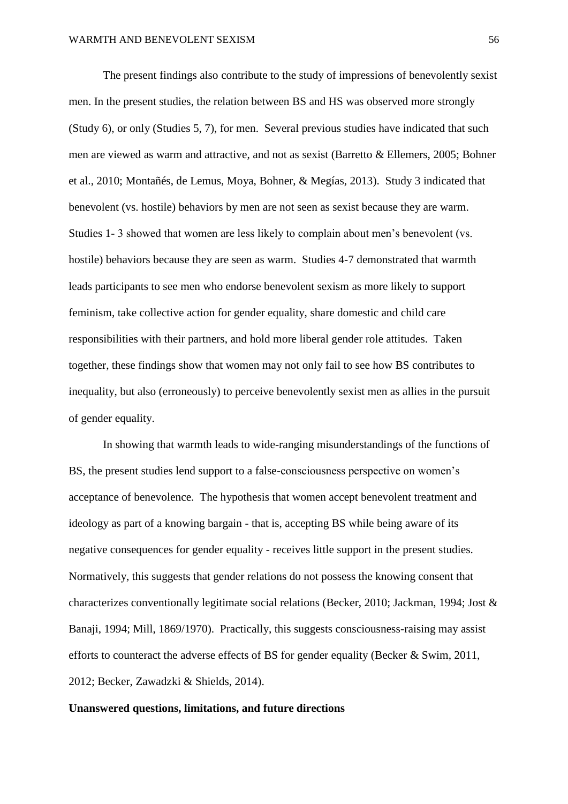The present findings also contribute to the study of impressions of benevolently sexist men. In the present studies, the relation between BS and HS was observed more strongly (Study 6), or only (Studies 5, 7), for men. Several previous studies have indicated that such men are viewed as warm and attractive, and not as sexist (Barretto & Ellemers, 2005; Bohner et al., 2010; Montañés, de Lemus, Moya, Bohner, & Megías, 2013). Study 3 indicated that benevolent (vs. hostile) behaviors by men are not seen as sexist because they are warm. Studies 1- 3 showed that women are less likely to complain about men's benevolent (vs. hostile) behaviors because they are seen as warm. Studies 4-7 demonstrated that warmth leads participants to see men who endorse benevolent sexism as more likely to support feminism, take collective action for gender equality, share domestic and child care responsibilities with their partners, and hold more liberal gender role attitudes. Taken together, these findings show that women may not only fail to see how BS contributes to inequality, but also (erroneously) to perceive benevolently sexist men as allies in the pursuit of gender equality.

In showing that warmth leads to wide-ranging misunderstandings of the functions of BS, the present studies lend support to a false-consciousness perspective on women's acceptance of benevolence. The hypothesis that women accept benevolent treatment and ideology as part of a knowing bargain - that is, accepting BS while being aware of its negative consequences for gender equality - receives little support in the present studies. Normatively, this suggests that gender relations do not possess the knowing consent that characterizes conventionally legitimate social relations (Becker, 2010; Jackman, 1994; Jost & Banaji, 1994; Mill, 1869/1970). Practically, this suggests consciousness-raising may assist efforts to counteract the adverse effects of BS for gender equality (Becker & Swim, 2011, 2012; Becker, Zawadzki & Shields, 2014).

## **Unanswered questions, limitations, and future directions**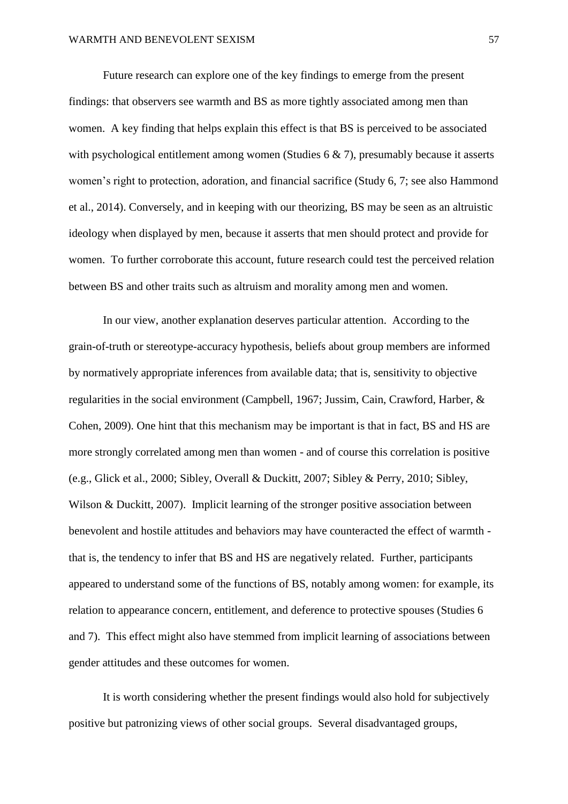Future research can explore one of the key findings to emerge from the present findings: that observers see warmth and BS as more tightly associated among men than women. A key finding that helps explain this effect is that BS is perceived to be associated with psychological entitlement among women (Studies  $6 \& 7$ ), presumably because it asserts women's right to protection, adoration, and financial sacrifice (Study 6, 7; see also Hammond et al., 2014). Conversely, and in keeping with our theorizing, BS may be seen as an altruistic ideology when displayed by men, because it asserts that men should protect and provide for women. To further corroborate this account, future research could test the perceived relation between BS and other traits such as altruism and morality among men and women.

In our view, another explanation deserves particular attention. According to the grain-of-truth or stereotype-accuracy hypothesis, beliefs about group members are informed by normatively appropriate inferences from available data; that is, sensitivity to objective regularities in the social environment (Campbell, 1967; Jussim, Cain, Crawford, Harber, & Cohen, 2009). One hint that this mechanism may be important is that in fact, BS and HS are more strongly correlated among men than women - and of course this correlation is positive (e.g., Glick et al., 2000; Sibley, Overall & Duckitt, 2007; Sibley & Perry, 2010; Sibley, Wilson & Duckitt, 2007). Implicit learning of the stronger positive association between benevolent and hostile attitudes and behaviors may have counteracted the effect of warmth that is, the tendency to infer that BS and HS are negatively related. Further, participants appeared to understand some of the functions of BS, notably among women: for example, its relation to appearance concern, entitlement, and deference to protective spouses (Studies 6 and 7). This effect might also have stemmed from implicit learning of associations between gender attitudes and these outcomes for women.

It is worth considering whether the present findings would also hold for subjectively positive but patronizing views of other social groups. Several disadvantaged groups,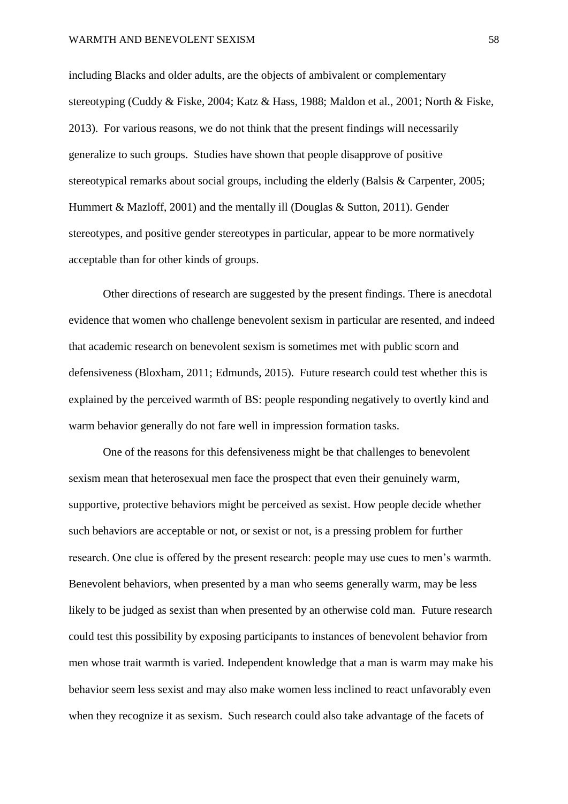including Blacks and older adults, are the objects of ambivalent or complementary stereotyping (Cuddy & Fiske, 2004; Katz & Hass, 1988; Maldon et al., 2001; North & Fiske, 2013). For various reasons, we do not think that the present findings will necessarily generalize to such groups. Studies have shown that people disapprove of positive stereotypical remarks about social groups, including the elderly (Balsis & Carpenter, 2005; Hummert & Mazloff, 2001) and the mentally ill (Douglas & Sutton, 2011). Gender stereotypes, and positive gender stereotypes in particular, appear to be more normatively acceptable than for other kinds of groups.

 Other directions of research are suggested by the present findings. There is anecdotal evidence that women who challenge benevolent sexism in particular are resented, and indeed that academic research on benevolent sexism is sometimes met with public scorn and defensiveness (Bloxham, 2011; Edmunds, 2015). Future research could test whether this is explained by the perceived warmth of BS: people responding negatively to overtly kind and warm behavior generally do not fare well in impression formation tasks.

One of the reasons for this defensiveness might be that challenges to benevolent sexism mean that heterosexual men face the prospect that even their genuinely warm, supportive, protective behaviors might be perceived as sexist. How people decide whether such behaviors are acceptable or not, or sexist or not, is a pressing problem for further research. One clue is offered by the present research: people may use cues to men's warmth. Benevolent behaviors, when presented by a man who seems generally warm, may be less likely to be judged as sexist than when presented by an otherwise cold man. Future research could test this possibility by exposing participants to instances of benevolent behavior from men whose trait warmth is varied. Independent knowledge that a man is warm may make his behavior seem less sexist and may also make women less inclined to react unfavorably even when they recognize it as sexism. Such research could also take advantage of the facets of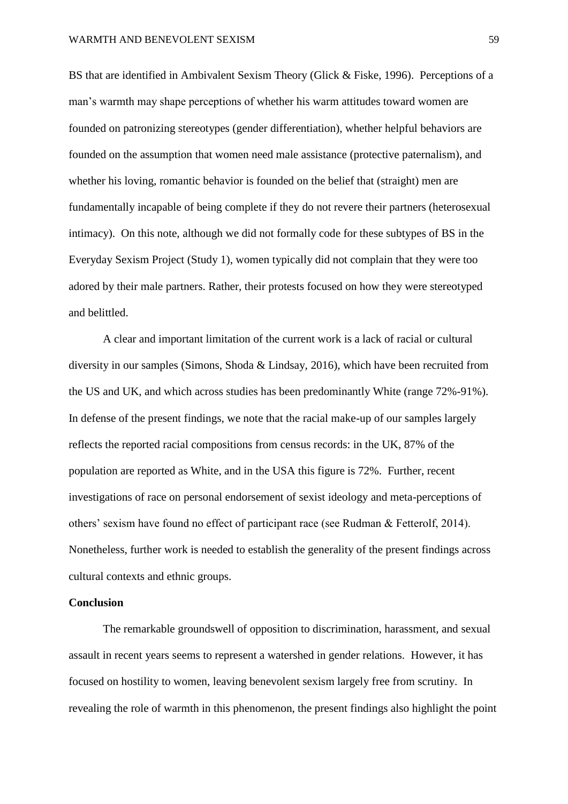BS that are identified in Ambivalent Sexism Theory (Glick & Fiske, 1996). Perceptions of a man's warmth may shape perceptions of whether his warm attitudes toward women are founded on patronizing stereotypes (gender differentiation), whether helpful behaviors are founded on the assumption that women need male assistance (protective paternalism), and whether his loving, romantic behavior is founded on the belief that (straight) men are fundamentally incapable of being complete if they do not revere their partners (heterosexual intimacy). On this note, although we did not formally code for these subtypes of BS in the Everyday Sexism Project (Study 1), women typically did not complain that they were too adored by their male partners. Rather, their protests focused on how they were stereotyped and belittled.

A clear and important limitation of the current work is a lack of racial or cultural diversity in our samples (Simons, Shoda & Lindsay, 2016), which have been recruited from the US and UK, and which across studies has been predominantly White (range 72%-91%). In defense of the present findings, we note that the racial make-up of our samples largely reflects the reported racial compositions from census records: in the UK, 87% of the population are reported as White, and in the USA this figure is 72%. Further, recent investigations of race on personal endorsement of sexist ideology and meta-perceptions of others' sexism have found no effect of participant race (see Rudman & Fetterolf, 2014). Nonetheless, further work is needed to establish the generality of the present findings across cultural contexts and ethnic groups.

# **Conclusion**

 The remarkable groundswell of opposition to discrimination, harassment, and sexual assault in recent years seems to represent a watershed in gender relations. However, it has focused on hostility to women, leaving benevolent sexism largely free from scrutiny. In revealing the role of warmth in this phenomenon, the present findings also highlight the point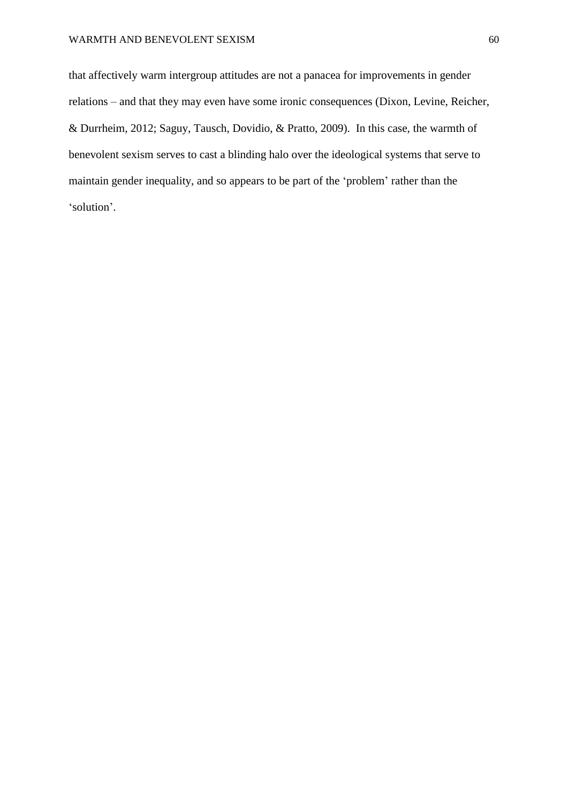that affectively warm intergroup attitudes are not a panacea for improvements in gender relations – and that they may even have some ironic consequences (Dixon, Levine, Reicher, & Durrheim, 2012; Saguy, Tausch, Dovidio, & Pratto, 2009). In this case, the warmth of benevolent sexism serves to cast a blinding halo over the ideological systems that serve to maintain gender inequality, and so appears to be part of the 'problem' rather than the 'solution'.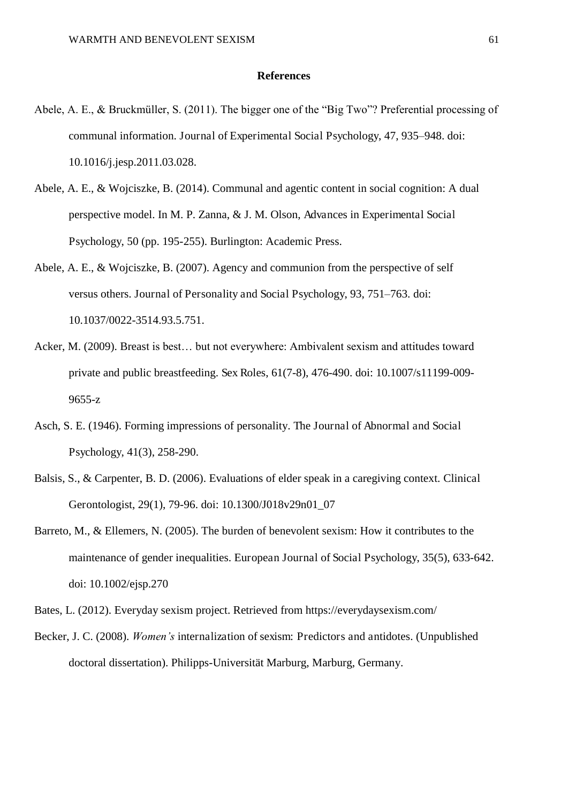#### **References**

- Abele, A. E., & Bruckmüller, S. (2011). The bigger one of the "Big Two"? Preferential processing of communal information. Journal of Experimental Social Psychology, 47, 935–948. doi: 10.1016/j.jesp.2011.03.028.
- Abele, A. E., & Wojciszke, B. (2014). Communal and agentic content in social cognition: A dual perspective model. In M. P. Zanna, & J. M. Olson, Advances in Experimental Social Psychology, 50 (pp. 195-255). Burlington: Academic Press.
- Abele, A. E., & Wojciszke, B. (2007). Agency and communion from the perspective of self versus others. Journal of Personality and Social Psychology, 93, 751–763. doi: 10.1037/0022-3514.93.5.751.
- Acker, M. (2009). Breast is best… but not everywhere: Ambivalent sexism and attitudes toward private and public breastfeeding. Sex Roles, 61(7-8), 476-490. doi: 10.1007/s11199-009- 9655-z
- Asch, S. E. (1946). Forming impressions of personality. The Journal of Abnormal and Social Psychology, 41(3), 258-290.
- Balsis, S., & Carpenter, B. D. (2006). Evaluations of elder speak in a caregiving context. Clinical Gerontologist, 29(1), 79-96. doi: 10.1300/J018v29n01\_07
- Barreto, M., & Ellemers, N. (2005). The burden of benevolent sexism: How it contributes to the maintenance of gender inequalities. European Journal of Social Psychology, 35(5), 633-642. doi: 10.1002/ejsp.270

Becker, J. C. (2008). *Women's* internalization of sexism: Predictors and antidotes. (Unpublished doctoral dissertation). Philipps-Universität Marburg, Marburg, Germany.

Bates, L. (2012). Everyday sexism project. Retrieved from https://everydaysexism.com/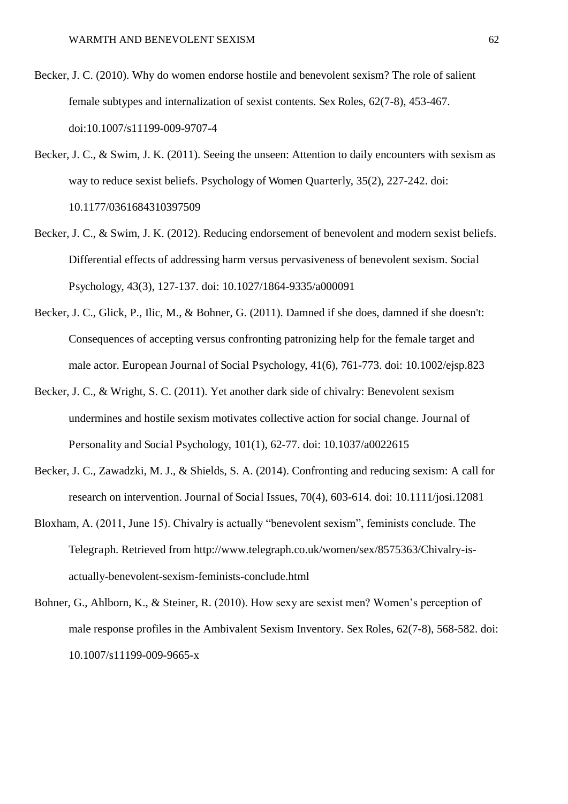- Becker, J. C. (2010). Why do women endorse hostile and benevolent sexism? The role of salient female subtypes and internalization of sexist contents. Sex Roles, 62(7-8), 453-467. doi:10.1007/s11199-009-9707-4
- Becker, J. C., & Swim, J. K. (2011). Seeing the unseen: Attention to daily encounters with sexism as way to reduce sexist beliefs. Psychology of Women Quarterly, 35(2), 227-242. doi: 10.1177/0361684310397509
- Becker, J. C., & Swim, J. K. (2012). Reducing endorsement of benevolent and modern sexist beliefs. Differential effects of addressing harm versus pervasiveness of benevolent sexism. Social Psychology, 43(3), 127-137. doi: 10.1027/1864-9335/a000091
- Becker, J. C., Glick, P., Ilic, M., & Bohner, G. (2011). Damned if she does, damned if she doesn't: Consequences of accepting versus confronting patronizing help for the female target and male actor. European Journal of Social Psychology, 41(6), 761-773. doi: 10.1002/ejsp.823
- Becker, J. C., & Wright, S. C. (2011). Yet another dark side of chivalry: Benevolent sexism undermines and hostile sexism motivates collective action for social change. Journal of Personality and Social Psychology, 101(1), 62-77. doi: 10.1037/a0022615
- Becker, J. C., Zawadzki, M. J., & Shields, S. A. (2014). Confronting and reducing sexism: A call for research on intervention. Journal of Social Issues, 70(4), 603-614. doi: 10.1111/josi.12081
- Bloxham, A. (2011, June 15). Chivalry is actually "benevolent sexism", feminists conclude. The Telegraph. Retrieved from http://www.telegraph.co.uk/women/sex/8575363/Chivalry-isactually-benevolent-sexism-feminists-conclude.html
- Bohner, G., Ahlborn, K., & Steiner, R. (2010). How sexy are sexist men? Women's perception of male response profiles in the Ambivalent Sexism Inventory. Sex Roles, 62(7-8), 568-582. doi: 10.1007/s11199-009-9665-x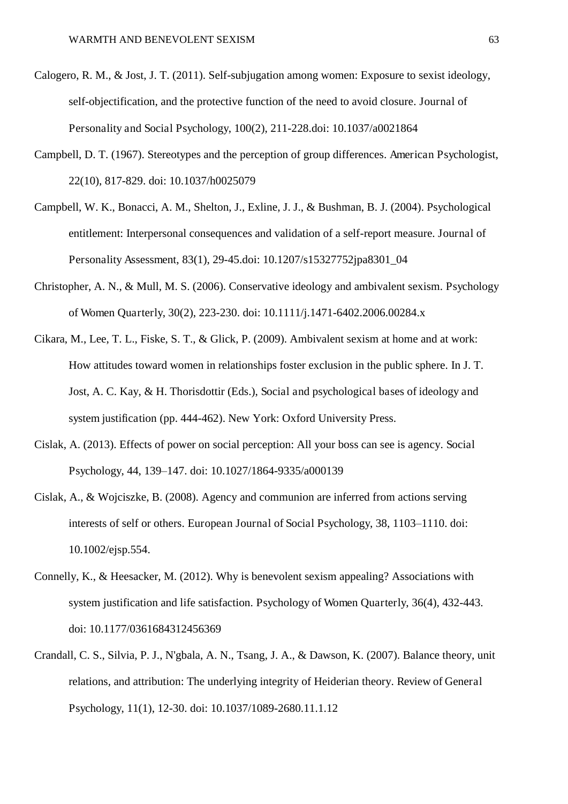- Calogero, R. M., & Jost, J. T. (2011). Self-subjugation among women: Exposure to sexist ideology, self-objectification, and the protective function of the need to avoid closure. Journal of Personality and Social Psychology, 100(2), 211-228.doi: 10.1037/a0021864
- Campbell, D. T. (1967). Stereotypes and the perception of group differences. American Psychologist, 22(10), 817-829. doi: 10.1037/h0025079
- Campbell, W. K., Bonacci, A. M., Shelton, J., Exline, J. J., & Bushman, B. J. (2004). Psychological entitlement: Interpersonal consequences and validation of a self-report measure. Journal of Personality Assessment, 83(1), 29-45.doi: 10.1207/s15327752jpa8301\_04
- Christopher, A. N., & Mull, M. S. (2006). Conservative ideology and ambivalent sexism. Psychology of Women Quarterly, 30(2), 223-230. doi: 10.1111/j.1471-6402.2006.00284.x
- Cikara, M., Lee, T. L., Fiske, S. T., & Glick, P. (2009). Ambivalent sexism at home and at work: How attitudes toward women in relationships foster exclusion in the public sphere. In J. T. Jost, A. C. Kay, & H. Thorisdottir (Eds.), Social and psychological bases of ideology and system justification (pp. 444-462). New York: Oxford University Press.
- Cislak, A. (2013). Effects of power on social perception: All your boss can see is agency. Social Psychology, 44, 139–147. doi: 10.1027/1864-9335/a000139
- Cislak, A., & Wojciszke, B. (2008). Agency and communion are inferred from actions serving interests of self or others. European Journal of Social Psychology, 38, 1103–1110. doi: 10.1002/ejsp.554.
- Connelly, K., & Heesacker, M. (2012). Why is benevolent sexism appealing? Associations with system justification and life satisfaction. Psychology of Women Quarterly, 36(4), 432-443. doi: 10.1177/0361684312456369
- Crandall, C. S., Silvia, P. J., N'gbala, A. N., Tsang, J. A., & Dawson, K. (2007). Balance theory, unit relations, and attribution: The underlying integrity of Heiderian theory. Review of General Psychology, 11(1), 12-30. doi: 10.1037/1089-2680.11.1.12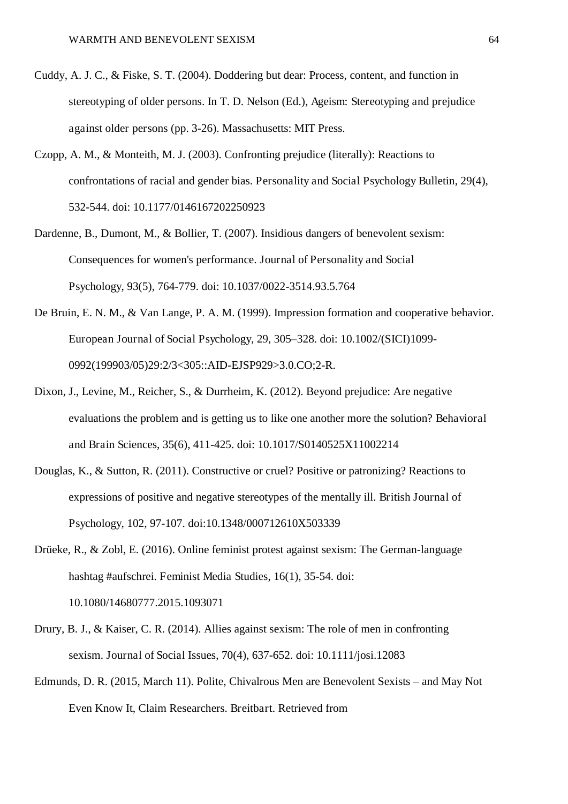- Cuddy, A. J. C., & Fiske, S. T. (2004). Doddering but dear: Process, content, and function in stereotyping of older persons. In T. D. Nelson (Ed.), Ageism: Stereotyping and prejudice against older persons (pp. 3-26). Massachusetts: MIT Press.
- Czopp, A. M., & Monteith, M. J. (2003). Confronting prejudice (literally): Reactions to confrontations of racial and gender bias. Personality and Social Psychology Bulletin, 29(4), 532-544. doi: 10.1177/0146167202250923
- Dardenne, B., Dumont, M., & Bollier, T. (2007). Insidious dangers of benevolent sexism: Consequences for women's performance. Journal of Personality and Social Psychology, 93(5), 764-779. doi: 10.1037/0022-3514.93.5.764
- De Bruin, E. N. M., & Van Lange, P. A. M. (1999). Impression formation and cooperative behavior. European Journal of Social Psychology, 29, 305–328. doi: 10.1002/(SICI)1099- 0992(199903/05)29:2/3<305::AID-EJSP929>3.0.CO;2-R.
- Dixon, J., Levine, M., Reicher, S., & Durrheim, K. (2012). Beyond prejudice: Are negative evaluations the problem and is getting us to like one another more the solution? Behavioral and Brain Sciences, 35(6), 411-425. doi: 10.1017/S0140525X11002214
- Douglas, K., & Sutton, R. (2011). Constructive or cruel? Positive or patronizing? Reactions to expressions of positive and negative stereotypes of the mentally ill. British Journal of Psychology, 102, 97-107. doi:10.1348/000712610X503339
- Drüeke, R., & Zobl, E. (2016). Online feminist protest against sexism: The German-language hashtag #aufschrei. Feminist Media Studies, 16(1), 35-54. doi: 10.1080/14680777.2015.1093071
- Drury, B. J., & Kaiser, C. R. (2014). Allies against sexism: The role of men in confronting sexism. Journal of Social Issues, 70(4), 637-652. doi: 10.1111/josi.12083
- Edmunds, D. R. (2015, March 11). Polite, Chivalrous Men are Benevolent Sexists and May Not Even Know It, Claim Researchers. Breitbart. Retrieved from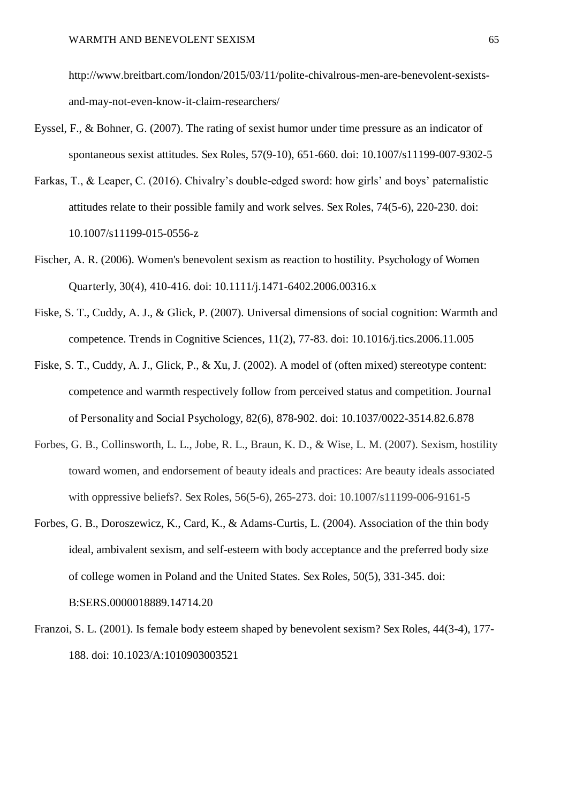http://www.breitbart.com/london/2015/03/11/polite-chivalrous-men-are-benevolent-sexistsand-may-not-even-know-it-claim-researchers/

- Eyssel, F., & Bohner, G. (2007). The rating of sexist humor under time pressure as an indicator of spontaneous sexist attitudes. Sex Roles, 57(9-10), 651-660. doi: 10.1007/s11199-007-9302-5
- Farkas, T., & Leaper, C. (2016). Chivalry's double-edged sword: how girls' and boys' paternalistic attitudes relate to their possible family and work selves. Sex Roles, 74(5-6), 220-230. doi: 10.1007/s11199-015-0556-z
- Fischer, A. R. (2006). Women's benevolent sexism as reaction to hostility. Psychology of Women Quarterly, 30(4), 410-416. doi: 10.1111/j.1471-6402.2006.00316.x
- Fiske, S. T., Cuddy, A. J., & Glick, P. (2007). Universal dimensions of social cognition: Warmth and competence. Trends in Cognitive Sciences, 11(2), 77-83. doi: 10.1016/j.tics.2006.11.005
- Fiske, S. T., Cuddy, A. J., Glick, P., & Xu, J. (2002). A model of (often mixed) stereotype content: competence and warmth respectively follow from perceived status and competition. Journal of Personality and Social Psychology, 82(6), 878-902. doi: 10.1037/0022-3514.82.6.878
- Forbes, G. B., Collinsworth, L. L., Jobe, R. L., Braun, K. D., & Wise, L. M. (2007). Sexism, hostility toward women, and endorsement of beauty ideals and practices: Are beauty ideals associated with oppressive beliefs?. Sex Roles, 56(5-6), 265-273. doi: 10.1007/s11199-006-9161-5
- Forbes, G. B., Doroszewicz, K., Card, K., & Adams-Curtis, L. (2004). Association of the thin body ideal, ambivalent sexism, and self-esteem with body acceptance and the preferred body size of college women in Poland and the United States. Sex Roles, 50(5), 331-345. doi: B:SERS.0000018889.14714.20
- Franzoi, S. L. (2001). Is female body esteem shaped by benevolent sexism? Sex Roles, 44(3-4), 177- 188. doi: 10.1023/A:1010903003521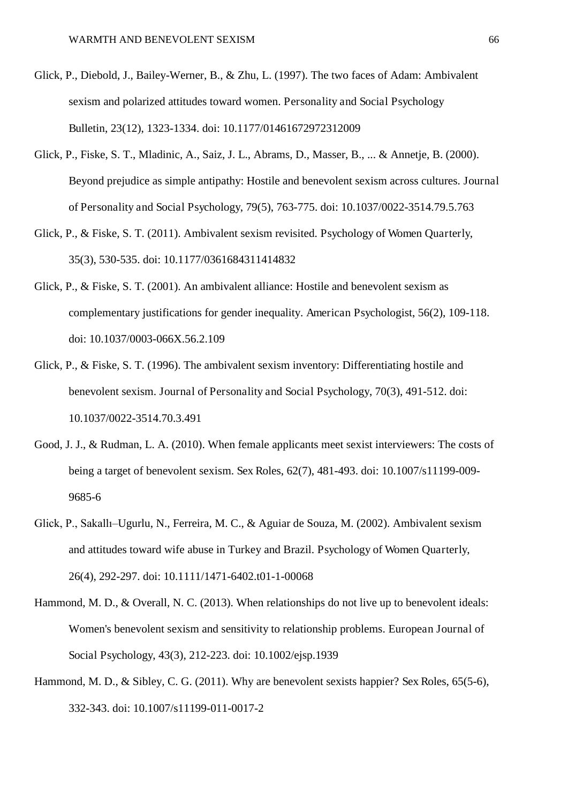- Glick, P., Diebold, J., Bailey-Werner, B., & Zhu, L. (1997). The two faces of Adam: Ambivalent sexism and polarized attitudes toward women. Personality and Social Psychology Bulletin, 23(12), 1323-1334. doi: 10.1177/01461672972312009
- Glick, P., Fiske, S. T., Mladinic, A., Saiz, J. L., Abrams, D., Masser, B., ... & Annetje, B. (2000). Beyond prejudice as simple antipathy: Hostile and benevolent sexism across cultures. Journal of Personality and Social Psychology, 79(5), 763-775. doi: 10.1037/0022-3514.79.5.763
- Glick, P., & Fiske, S. T. (2011). Ambivalent sexism revisited. Psychology of Women Quarterly, 35(3), 530-535. doi: 10.1177/0361684311414832
- Glick, P., & Fiske, S. T. (2001). An ambivalent alliance: Hostile and benevolent sexism as complementary justifications for gender inequality. American Psychologist, 56(2), 109-118. doi: 10.1037/0003-066X.56.2.109
- Glick, P., & Fiske, S. T. (1996). The ambivalent sexism inventory: Differentiating hostile and benevolent sexism. Journal of Personality and Social Psychology, 70(3), 491-512. doi: 10.1037/0022-3514.70.3.491
- Good, J. J., & Rudman, L. A. (2010). When female applicants meet sexist interviewers: The costs of being a target of benevolent sexism. Sex Roles, 62(7), 481-493. doi: 10.1007/s11199-009- 9685-6
- Glick, P., Sakallı–Ugurlu, N., Ferreira, M. C., & Aguiar de Souza, M. (2002). Ambivalent sexism and attitudes toward wife abuse in Turkey and Brazil. Psychology of Women Quarterly, 26(4), 292-297. doi: 10.1111/1471-6402.t01-1-00068
- Hammond, M. D., & Overall, N. C. (2013). When relationships do not live up to benevolent ideals: Women's benevolent sexism and sensitivity to relationship problems. European Journal of Social Psychology, 43(3), 212-223. doi: 10.1002/ejsp.1939
- Hammond, M. D., & Sibley, C. G. (2011). Why are benevolent sexists happier? Sex Roles, 65(5-6), 332-343. doi: 10.1007/s11199-011-0017-2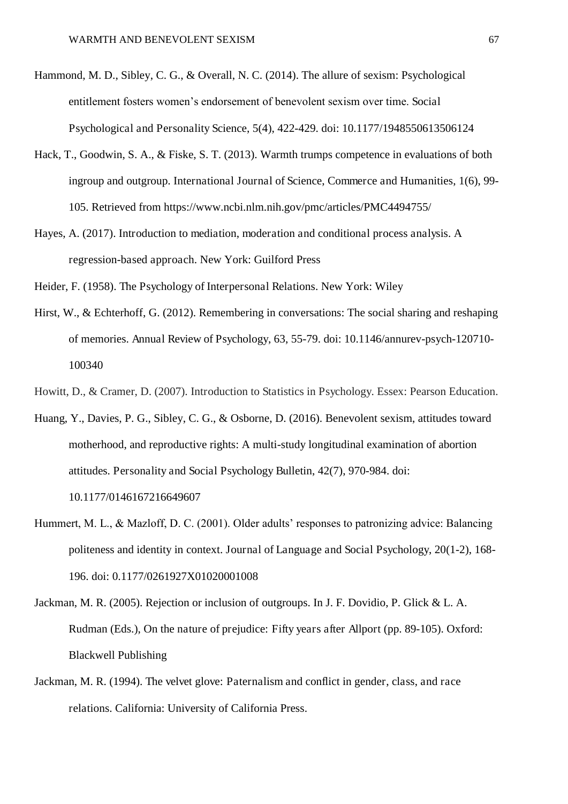- Hammond, M. D., Sibley, C. G., & Overall, N. C. (2014). The allure of sexism: Psychological entitlement fosters women's endorsement of benevolent sexism over time. Social Psychological and Personality Science, 5(4), 422-429. doi: 10.1177/1948550613506124
- Hack, T., Goodwin, S. A., & Fiske, S. T. (2013). Warmth trumps competence in evaluations of both ingroup and outgroup. International Journal of Science, Commerce and Humanities, 1(6), 99- 105. Retrieved from https://www.ncbi.nlm.nih.gov/pmc/articles/PMC4494755/
- Hayes, A. (2017). Introduction to mediation, moderation and conditional process analysis. A regression-based approach. New York: Guilford Press

Heider, F. (1958). The Psychology of Interpersonal Relations. New York: Wiley

- Hirst, W., & Echterhoff, G. (2012). Remembering in conversations: The social sharing and reshaping of memories. Annual Review of Psychology, 63, 55-79. doi: 10.1146/annurev-psych-120710- 100340
- Howitt, D., & Cramer, D. (2007). Introduction to Statistics in Psychology. Essex: Pearson Education.
- Huang, Y., Davies, P. G., Sibley, C. G., & Osborne, D. (2016). Benevolent sexism, attitudes toward motherhood, and reproductive rights: A multi-study longitudinal examination of abortion attitudes. Personality and Social Psychology Bulletin, 42(7), 970-984. doi:

10.1177/0146167216649607

- Hummert, M. L., & Mazloff, D. C. (2001). Older adults' responses to patronizing advice: Balancing politeness and identity in context. Journal of Language and Social Psychology, 20(1-2), 168- 196. doi: 0.1177/0261927X01020001008
- Jackman, M. R. (2005). Rejection or inclusion of outgroups. In J. F. Dovidio, P. Glick & L. A. Rudman (Eds.), On the nature of prejudice: Fifty years after Allport (pp. 89-105). Oxford: Blackwell Publishing
- Jackman, M. R. (1994). The velvet glove: Paternalism and conflict in gender, class, and race relations. California: University of California Press.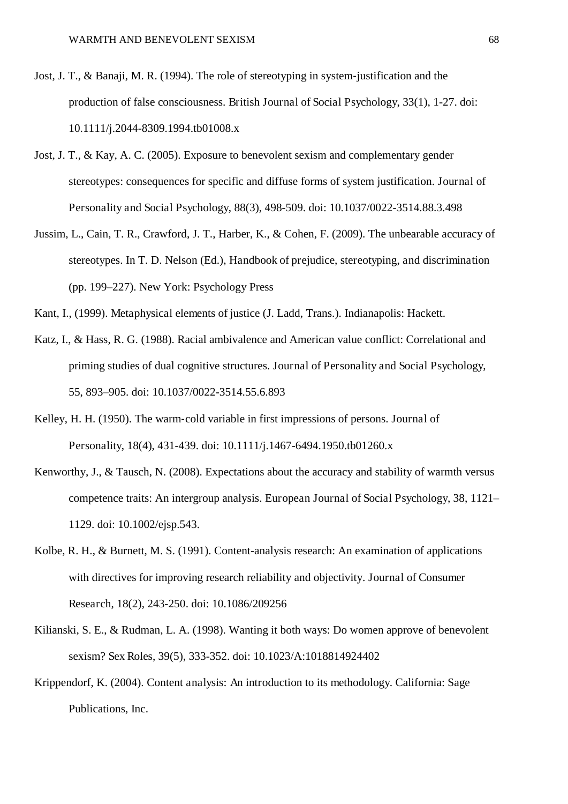- Jost, J. T., & Banaji, M. R. (1994). The role of stereotyping in system-justification and the production of false consciousness. British Journal of Social Psychology, 33(1), 1-27. doi: 10.1111/j.2044-8309.1994.tb01008.x
- Jost, J. T., & Kay, A. C. (2005). Exposure to benevolent sexism and complementary gender stereotypes: consequences for specific and diffuse forms of system justification. Journal of Personality and Social Psychology, 88(3), 498-509. doi: 10.1037/0022-3514.88.3.498
- Jussim, L., Cain, T. R., Crawford, J. T., Harber, K., & Cohen, F. (2009). The unbearable accuracy of stereotypes. In T. D. Nelson (Ed.), Handbook of prejudice, stereotyping, and discrimination (pp. 199–227). New York: Psychology Press

Kant, I., (1999). Metaphysical elements of justice (J. Ladd, Trans.). Indianapolis: Hackett.

- Katz, I., & Hass, R. G. (1988). Racial ambivalence and American value conflict: Correlational and priming studies of dual cognitive structures. Journal of Personality and Social Psychology, 55, 893–905. doi: 10.1037/0022-3514.55.6.893
- Kelley, H. H. (1950). The warm-cold variable in first impressions of persons. Journal of Personality, 18(4), 431-439. doi: 10.1111/j.1467-6494.1950.tb01260.x
- Kenworthy, J., & Tausch, N. (2008). Expectations about the accuracy and stability of warmth versus competence traits: An intergroup analysis. European Journal of Social Psychology, 38, 1121– 1129. doi: 10.1002/ejsp.543.
- Kolbe, R. H., & Burnett, M. S. (1991). Content-analysis research: An examination of applications with directives for improving research reliability and objectivity. Journal of Consumer Research, 18(2), 243-250. doi: 10.1086/209256
- Kilianski, S. E., & Rudman, L. A. (1998). Wanting it both ways: Do women approve of benevolent sexism? Sex Roles, 39(5), 333-352. doi: 10.1023/A:1018814924402
- Krippendorf, K. (2004). Content analysis: An introduction to its methodology. California: Sage Publications, Inc.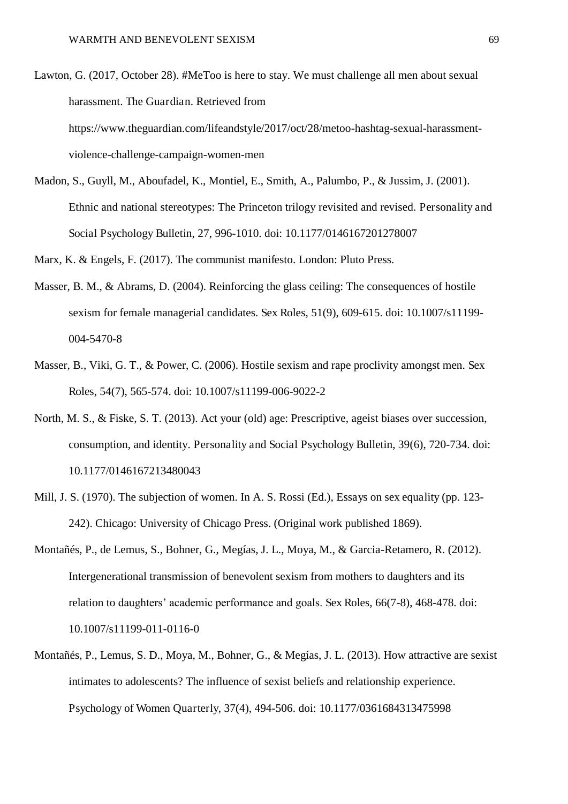- Lawton, G. (2017, October 28). #MeToo is here to stay. We must challenge all men about sexual harassment. The Guardian. Retrieved from https://www.theguardian.com/lifeandstyle/2017/oct/28/metoo-hashtag-sexual-harassmentviolence-challenge-campaign-women-men
- Madon, S., Guyll, M., Aboufadel, K., Montiel, E., Smith, A., Palumbo, P., & Jussim, J. (2001). Ethnic and national stereotypes: The Princeton trilogy revisited and revised. Personality and Social Psychology Bulletin, 27, 996-1010. doi: 10.1177/0146167201278007
- Marx, K. & Engels, F. (2017). The communist manifesto. London: Pluto Press.
- Masser, B. M., & Abrams, D. (2004). Reinforcing the glass ceiling: The consequences of hostile sexism for female managerial candidates. Sex Roles, 51(9), 609-615. doi: 10.1007/s11199- 004-5470-8
- Masser, B., Viki, G. T., & Power, C. (2006). Hostile sexism and rape proclivity amongst men. Sex Roles, 54(7), 565-574. doi: 10.1007/s11199-006-9022-2
- North, M. S., & Fiske, S. T. (2013). Act your (old) age: Prescriptive, ageist biases over succession, consumption, and identity. Personality and Social Psychology Bulletin, 39(6), 720-734. doi: 10.1177/0146167213480043
- Mill, J. S. (1970). The subjection of women. In A. S. Rossi (Ed.), Essays on sex equality (pp. 123- 242). Chicago: University of Chicago Press. (Original work published 1869).
- Montañés, P., de Lemus, S., Bohner, G., Megías, J. L., Moya, M., & Garcia-Retamero, R. (2012). Intergenerational transmission of benevolent sexism from mothers to daughters and its relation to daughters' academic performance and goals. Sex Roles, 66(7-8), 468-478. doi: 10.1007/s11199-011-0116-0
- Montañés, P., Lemus, S. D., Moya, M., Bohner, G., & Megías, J. L. (2013). How attractive are sexist intimates to adolescents? The influence of sexist beliefs and relationship experience. Psychology of Women Quarterly, 37(4), 494-506. doi: 10.1177/0361684313475998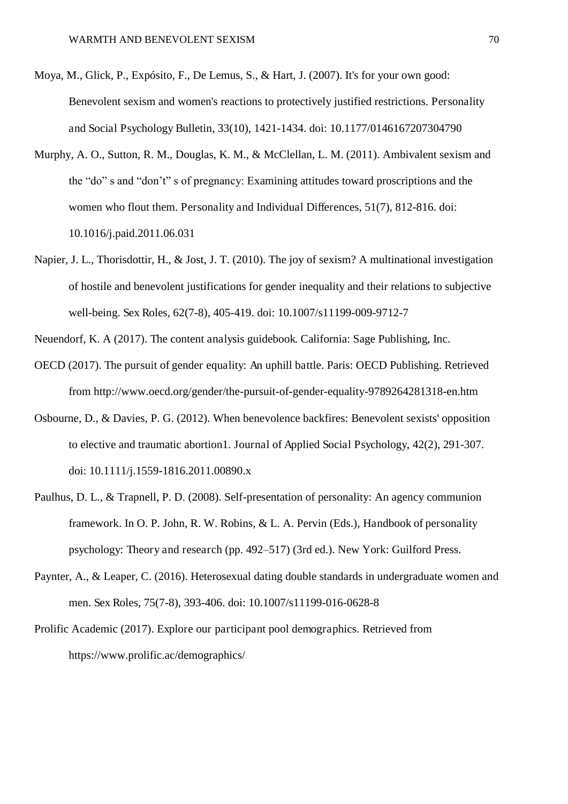- Moya, M., Glick, P., Expósito, F., De Lemus, S., & Hart, J. (2007). It's for your own good: Benevolent sexism and women's reactions to protectively justified restrictions. Personality and Social Psychology Bulletin, 33(10), 1421-1434. doi: 10.1177/0146167207304790
- Murphy, A. O., Sutton, R. M., Douglas, K. M., & McClellan, L. M. (2011). Ambivalent sexism and the "do" s and "don't" s of pregnancy: Examining attitudes toward proscriptions and the women who flout them. Personality and Individual Differences, 51(7), 812-816. doi: 10.1016/j.paid.2011.06.031
- Napier, J. L., Thorisdottir, H., & Jost, J. T. (2010). The joy of sexism? A multinational investigation of hostile and benevolent justifications for gender inequality and their relations to subjective well-being. Sex Roles, 62(7-8), 405-419. doi: 10.1007/s11199-009-9712-7

Neuendorf, K. A (2017). The content analysis guidebook. California: Sage Publishing, Inc.

- OECD (2017). The pursuit of gender equality: An uphill battle. Paris: OECD Publishing. Retrieved from http://www.oecd.org/gender/the-pursuit-of-gender-equality-9789264281318-en.htm
- Osbourne, D., & Davies, P. G. (2012). When benevolence backfires: Benevolent sexists' opposition to elective and traumatic abortion1. Journal of Applied Social Psychology, 42(2), 291-307. doi: 10.1111/j.1559-1816.2011.00890.x
- Paulhus, D. L., & Trapnell, P. D. (2008). Self-presentation of personality: An agency communion framework. In O. P. John, R. W. Robins, & L. A. Pervin (Eds.), Handbook of personality psychology: Theory and research (pp. 492–517) (3rd ed.). New York: Guilford Press.
- Paynter, A., & Leaper, C. (2016). Heterosexual dating double standards in undergraduate women and men. Sex Roles, 75(7-8), 393-406. doi: 10.1007/s11199-016-0628-8
- Prolific Academic (2017). Explore our participant pool demographics. Retrieved from https://www.prolific.ac/demographics/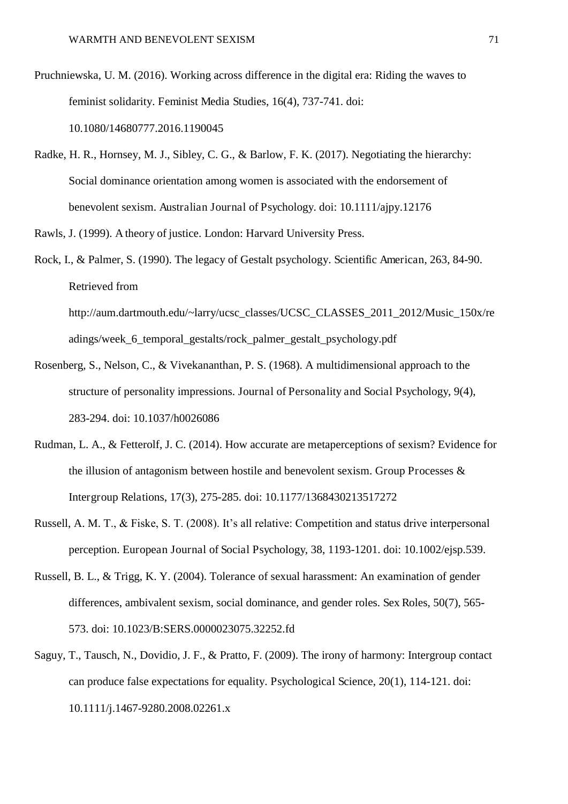- Pruchniewska, U. M. (2016). Working across difference in the digital era: Riding the waves to feminist solidarity. Feminist Media Studies, 16(4), 737-741. doi: 10.1080/14680777.2016.1190045
- Radke, H. R., Hornsey, M. J., Sibley, C. G., & Barlow, F. K. (2017). Negotiating the hierarchy: Social dominance orientation among women is associated with the endorsement of benevolent sexism. Australian Journal of Psychology. doi: 10.1111/ajpy.12176
- Rawls, J. (1999). A theory of justice. London: Harvard University Press.
- Rock, I., & Palmer, S. (1990). The legacy of Gestalt psychology. Scientific American, 263, 84-90. Retrieved from

http://aum.dartmouth.edu/~larry/ucsc\_classes/UCSC\_CLASSES\_2011\_2012/Music\_150x/re adings/week\_6\_temporal\_gestalts/rock\_palmer\_gestalt\_psychology.pdf

- Rosenberg, S., Nelson, C., & Vivekananthan, P. S. (1968). A multidimensional approach to the structure of personality impressions. Journal of Personality and Social Psychology, 9(4), 283-294. doi: 10.1037/h0026086
- Rudman, L. A., & Fetterolf, J. C. (2014). How accurate are metaperceptions of sexism? Evidence for the illusion of antagonism between hostile and benevolent sexism. Group Processes & Intergroup Relations, 17(3), 275-285. doi: 10.1177/1368430213517272
- Russell, A. M. T., & Fiske, S. T. (2008). It's all relative: Competition and status drive interpersonal perception. European Journal of Social Psychology, 38, 1193-1201. doi: 10.1002/ejsp.539.
- Russell, B. L., & Trigg, K. Y. (2004). Tolerance of sexual harassment: An examination of gender differences, ambivalent sexism, social dominance, and gender roles. Sex Roles, 50(7), 565- 573. doi: 10.1023/B:SERS.0000023075.32252.fd
- Saguy, T., Tausch, N., Dovidio, J. F., & Pratto, F. (2009). The irony of harmony: Intergroup contact can produce false expectations for equality. Psychological Science, 20(1), 114-121. doi: 10.1111/j.1467-9280.2008.02261.x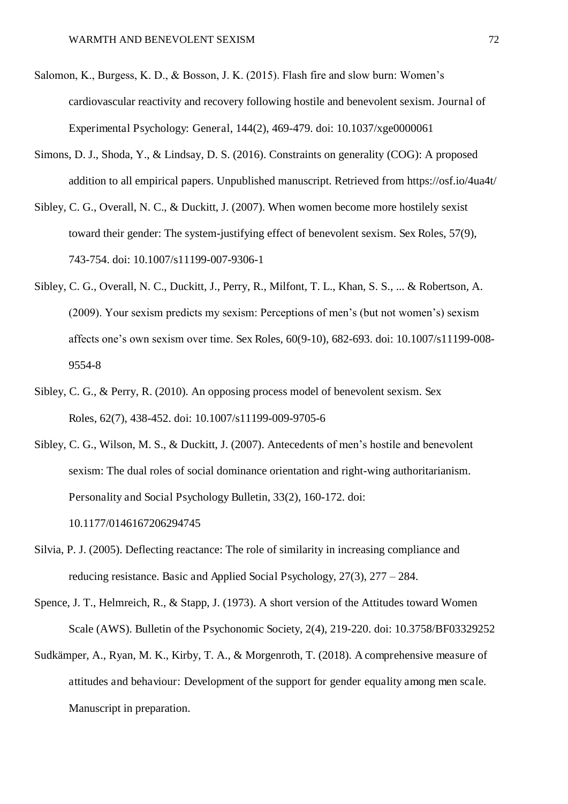- Salomon, K., Burgess, K. D., & Bosson, J. K. (2015). Flash fire and slow burn: Women's cardiovascular reactivity and recovery following hostile and benevolent sexism. Journal of Experimental Psychology: General, 144(2), 469-479. doi: 10.1037/xge0000061
- Simons, D. J., Shoda, Y., & Lindsay, D. S. (2016). Constraints on generality (COG): A proposed addition to all empirical papers. Unpublished manuscript. Retrieved from https://osf.io/4ua4t/
- Sibley, C. G., Overall, N. C., & Duckitt, J. (2007). When women become more hostilely sexist toward their gender: The system-justifying effect of benevolent sexism. Sex Roles, 57(9), 743-754. doi: 10.1007/s11199-007-9306-1
- Sibley, C. G., Overall, N. C., Duckitt, J., Perry, R., Milfont, T. L., Khan, S. S., ... & Robertson, A. (2009). Your sexism predicts my sexism: Perceptions of men's (but not women's) sexism affects one's own sexism over time. Sex Roles, 60(9-10), 682-693. doi: 10.1007/s11199-008- 9554-8
- Sibley, C. G., & Perry, R. (2010). An opposing process model of benevolent sexism. Sex Roles, 62(7), 438-452. doi: 10.1007/s11199-009-9705-6
- Sibley, C. G., Wilson, M. S., & Duckitt, J. (2007). Antecedents of men's hostile and benevolent sexism: The dual roles of social dominance orientation and right-wing authoritarianism. Personality and Social Psychology Bulletin, 33(2), 160-172. doi: 10.1177/0146167206294745
- Silvia, P. J. (2005). Deflecting reactance: The role of similarity in increasing compliance and reducing resistance. Basic and Applied Social Psychology, 27(3), 277 – 284.
- Spence, J. T., Helmreich, R., & Stapp, J. (1973). A short version of the Attitudes toward Women Scale (AWS). Bulletin of the Psychonomic Society, 2(4), 219-220. doi: 10.3758/BF03329252
- Sudkämper, A., Ryan, M. K., Kirby, T. A., & Morgenroth, T. (2018). A comprehensive measure of attitudes and behaviour: Development of the support for gender equality among men scale. Manuscript in preparation.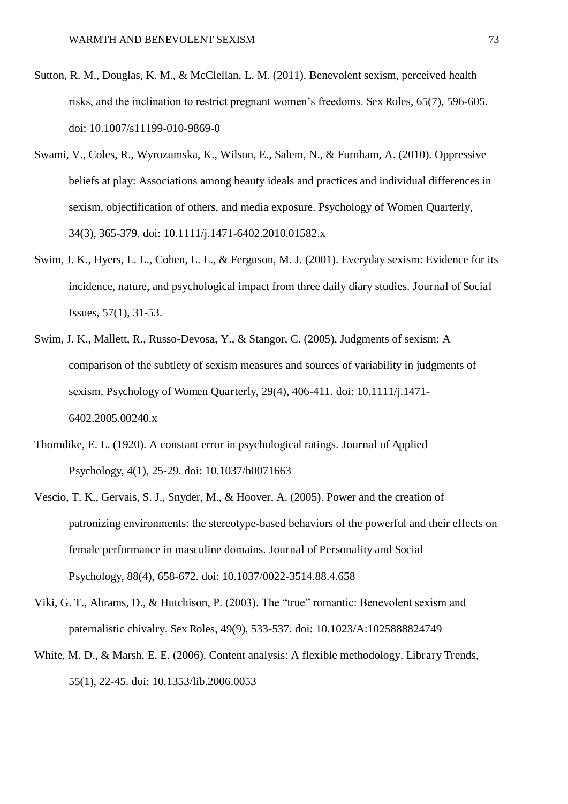- Sutton, R. M., Douglas, K. M., & McClellan, L. M. (2011). Benevolent sexism, perceived health risks, and the inclination to restrict pregnant women's freedoms. Sex Roles, 65(7), 596-605. doi: 10.1007/s11199-010-9869-0
- Swami, V., Coles, R., Wyrozumska, K., Wilson, E., Salem, N., & Furnham, A. (2010). Oppressive beliefs at play: Associations among beauty ideals and practices and individual differences in sexism, objectification of others, and media exposure. Psychology of Women Quarterly, 34(3), 365-379. doi: 10.1111/j.1471-6402.2010.01582.x
- Swim, J. K., Hyers, L. L., Cohen, L. L., & Ferguson, M. J. (2001). Everyday sexism: Evidence for its incidence, nature, and psychological impact from three daily diary studies. Journal of Social Issues, 57(1), 31-53.
- Swim, J. K., Mallett, R., Russo-Devosa, Y., & Stangor, C. (2005). Judgments of sexism: A comparison of the subtlety of sexism measures and sources of variability in judgments of sexism. Psychology of Women Quarterly, 29(4), 406-411. doi: 10.1111/j.1471- 6402.2005.00240.x
- Thorndike, E. L. (1920). A constant error in psychological ratings. Journal of Applied Psychology, 4(1), 25-29. doi: 10.1037/h0071663
- Vescio, T. K., Gervais, S. J., Snyder, M., & Hoover, A. (2005). Power and the creation of patronizing environments: the stereotype-based behaviors of the powerful and their effects on female performance in masculine domains. Journal of Personality and Social Psychology, 88(4), 658-672. doi: 10.1037/0022-3514.88.4.658
- Viki, G. T., Abrams, D., & Hutchison, P. (2003). The "true" romantic: Benevolent sexism and paternalistic chivalry. Sex Roles, 49(9), 533-537. doi: 10.1023/A:1025888824749
- White, M. D., & Marsh, E. E. (2006). Content analysis: A flexible methodology. Library Trends, 55(1), 22-45. doi: 10.1353/lib.2006.0053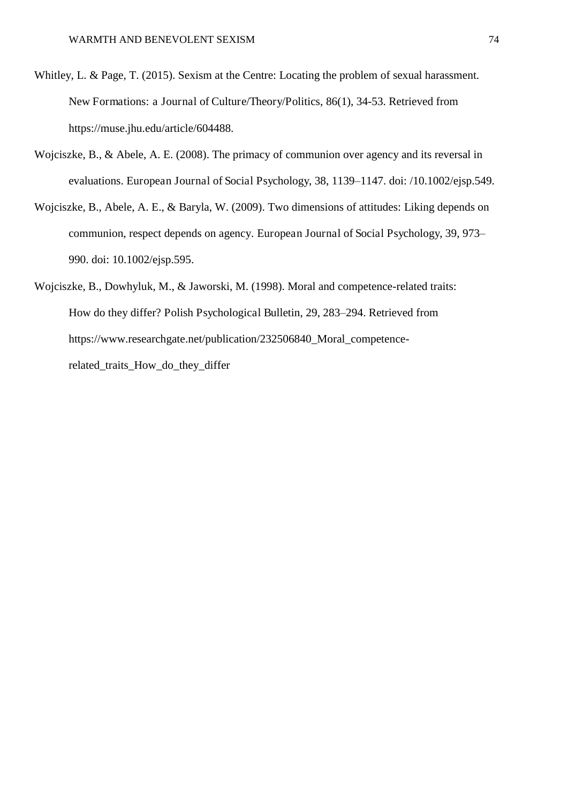- Whitley, L. & Page, T. (2015). Sexism at the Centre: Locating the problem of sexual harassment. New Formations: a Journal of Culture/Theory/Politics, 86(1), 34-53. Retrieved from https://muse.jhu.edu/article/604488.
- Wojciszke, B., & Abele, A. E. (2008). The primacy of communion over agency and its reversal in evaluations. European Journal of Social Psychology, 38, 1139–1147. doi: /10.1002/ejsp.549.
- Wojciszke, B., Abele, A. E., & Baryla, W. (2009). Two dimensions of attitudes: Liking depends on communion, respect depends on agency. European Journal of Social Psychology, 39, 973– 990. doi: 10.1002/ejsp.595.
- Wojciszke, B., Dowhyluk, M., & Jaworski, M. (1998). Moral and competence-related traits: How do they differ? Polish Psychological Bulletin, 29, 283–294. Retrieved from https://www.researchgate.net/publication/232506840\_Moral\_competencerelated\_traits\_How\_do\_they\_differ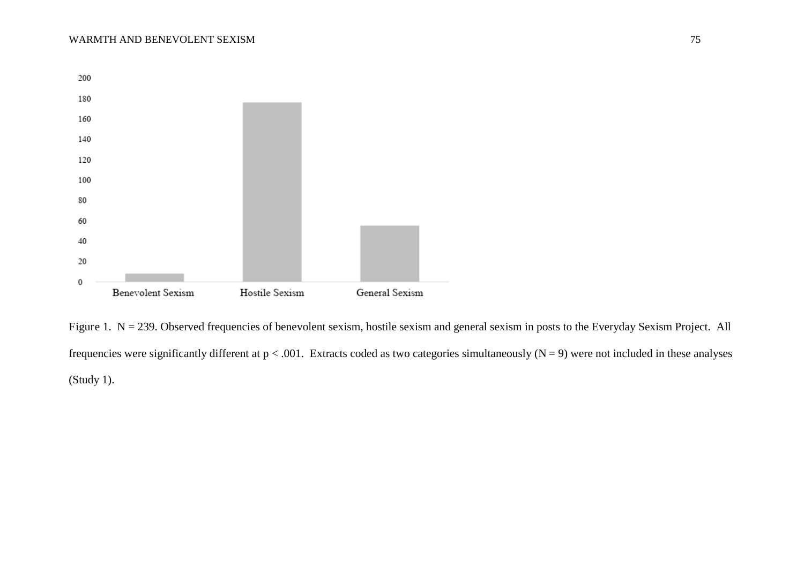

Figure 1. N = 239. Observed frequencies of benevolent sexism, hostile sexism and general sexism in posts to the Everyday Sexism Project. All frequencies were significantly different at  $p < .001$ . Extracts coded as two categories simultaneously (N = 9) were not included in these analyses (Study 1).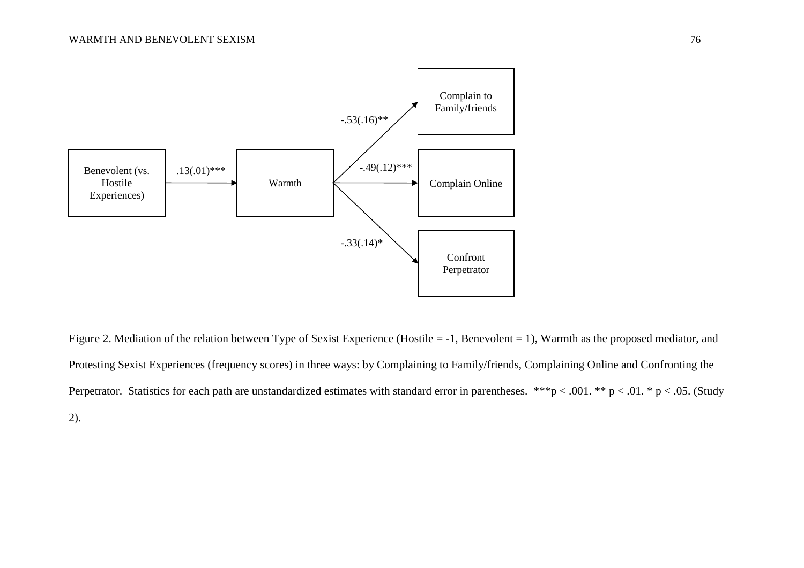

Figure 2. Mediation of the relation between Type of Sexist Experience (Hostile = -1, Benevolent = 1), Warmth as the proposed mediator, and Protesting Sexist Experiences (frequency scores) in three ways: by Complaining to Family/friends, Complaining Online and Confronting the Perpetrator. Statistics for each path are unstandardized estimates with standard error in parentheses. \*\*\*p < .001. \*\* p < .01. \* p < .05. (Study 2).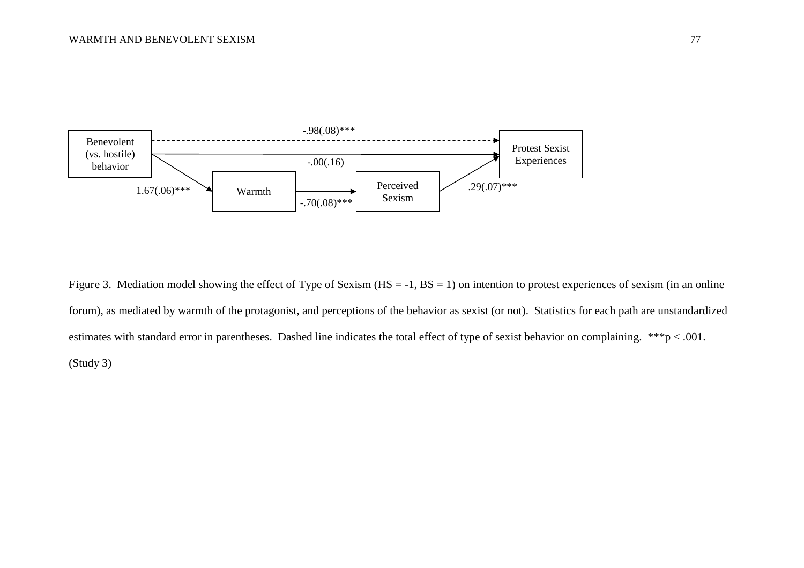

Figure 3. Mediation model showing the effect of Type of Sexism (HS = -1, BS = 1) on intention to protest experiences of sexism (in an online forum), as mediated by warmth of the protagonist, and perceptions of the behavior as sexist (or not). Statistics for each path are unstandardized estimates with standard error in parentheses. Dashed line indicates the total effect of type of sexist behavior on complaining. \*\*\*p < .001. (Study 3)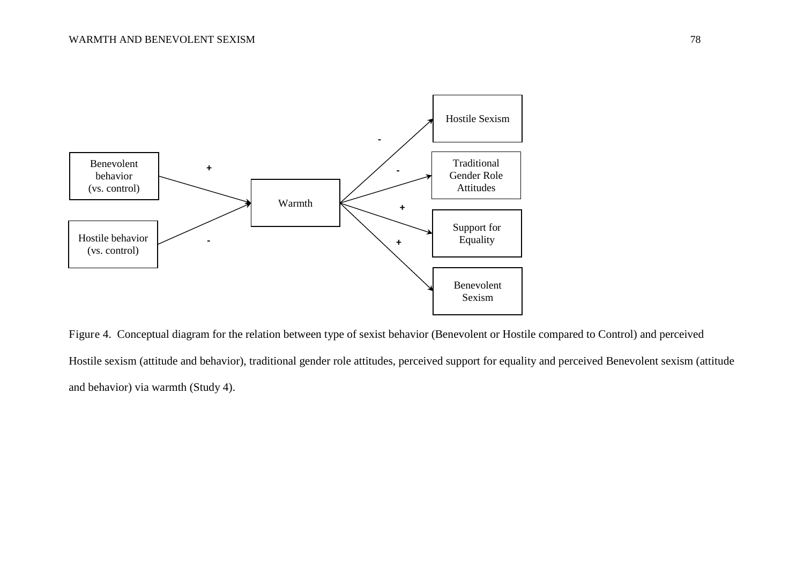

Figure 4. Conceptual diagram for the relation between type of sexist behavior (Benevolent or Hostile compared to Control) and perceived Hostile sexism (attitude and behavior), traditional gender role attitudes, perceived support for equality and perceived Benevolent sexism (attitude and behavior) via warmth (Study 4).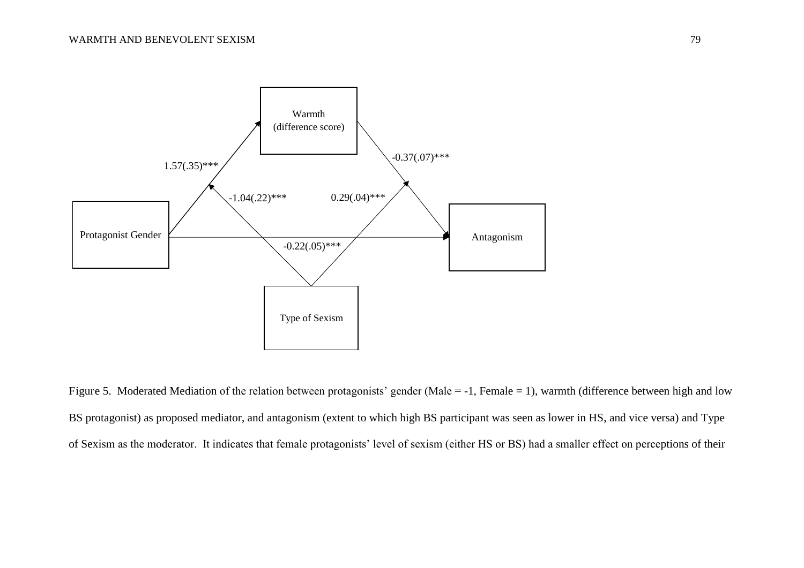

Figure 5. Moderated Mediation of the relation between protagonists' gender (Male = -1, Female = 1), warmth (difference between high and low BS protagonist) as proposed mediator, and antagonism (extent to which high BS participant was seen as lower in HS, and vice versa) and Type of Sexism as the moderator. It indicates that female protagonists' level of sexism (either HS or BS) had a smaller effect on perceptions of their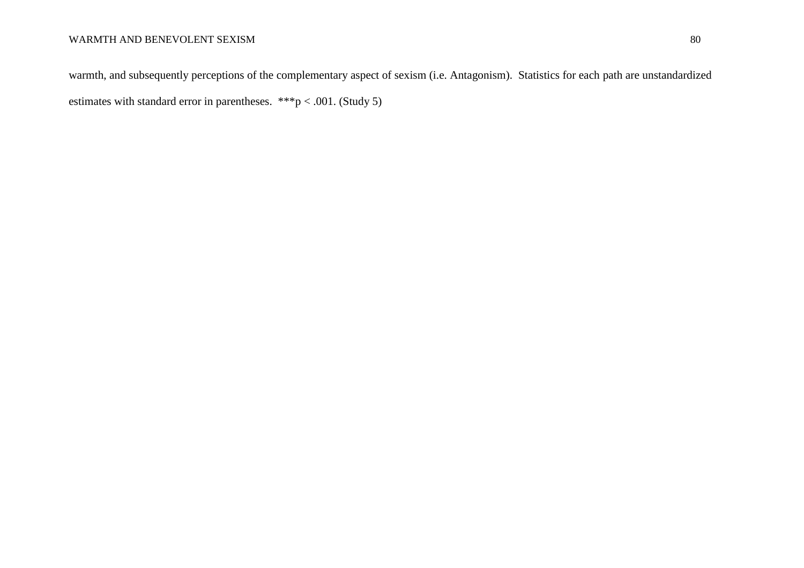warmth, and subsequently perceptions of the complementary aspect of sexism (i.e. Antagonism). Statistics for each path are unstandardized estimates with standard error in parentheses. \*\*\*p < .001. (Study 5)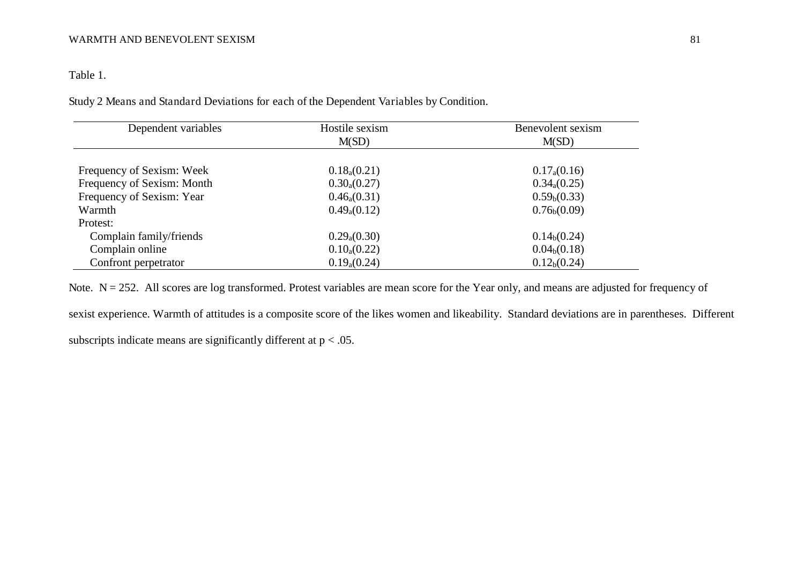Table 1.

Study 2 Means and Standard Deviations for each of the Dependent Variables by Condition.

| Dependent variables        | Hostile sexism   | Benevolent sexism        |
|----------------------------|------------------|--------------------------|
|                            | M(SD)            | M(SD)                    |
|                            |                  |                          |
| Frequency of Sexism: Week  | $0.18_{a}(0.21)$ | $0.17_{\rm a}(0.16)$     |
| Frequency of Sexism: Month | $0.30_{a}(0.27)$ | $0.34_{a}(0.25)$         |
| Frequency of Sexism: Year  | $0.46_{a}(0.31)$ | 0.59 <sub>b</sub> (0.33) |
| Warmth                     | $0.49_{a}(0.12)$ | $0.76_b(0.09)$           |
| Protest:                   |                  |                          |
| Complain family/friends    | $0.29_{a}(0.30)$ | 0.14 <sub>b</sub> (0.24) |
| Complain online            | $0.10_{a}(0.22)$ | 0.04 <sub>b</sub> (0.18) |
| Confront perpetrator       | $0.19_{a}(0.24)$ | 0.12 <sub>b</sub> (0.24) |

Note. N = 252. All scores are log transformed. Protest variables are mean score for the Year only, and means are adjusted for frequency of sexist experience. Warmth of attitudes is a composite score of the likes women and likeability. Standard deviations are in parentheses. Different subscripts indicate means are significantly different at  $p < .05$ .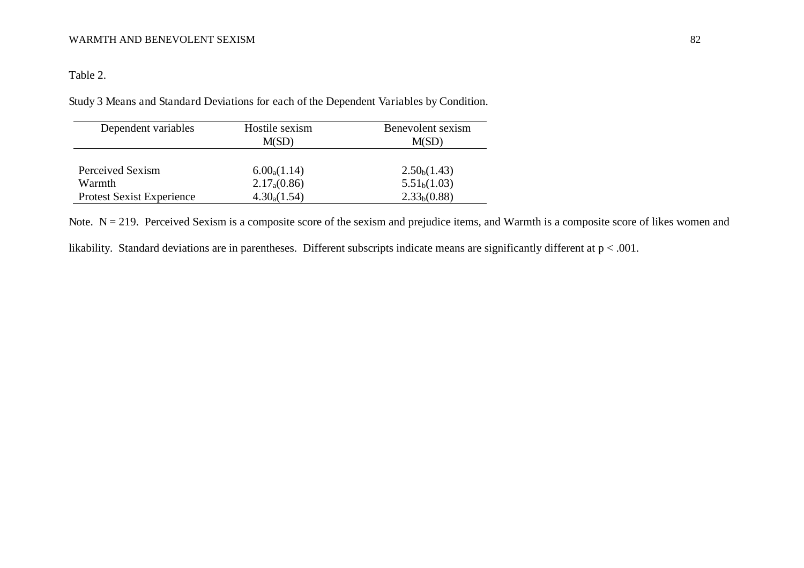Table 2.

Study 3 Means and Standard Deviations for each of the Dependent Variables by Condition.

| Dependent variables              | Hostile sexism<br>M(SD) | Benevolent sexism<br>M(SD) |
|----------------------------------|-------------------------|----------------------------|
| Perceived Sexism                 | $6.00_a(1.14)$          | 2.50 <sub>b</sub> (1.43)   |
| Warmth                           | $2.17_{a}(0.86)$        | 5.51 <sub>b</sub> (1.03)   |
| <b>Protest Sexist Experience</b> | $4.30_a(1.54)$          | 2.33 <sub>b</sub> (0.88)   |

Note.  $N = 219$ . Perceived Sexism is a composite score of the sexism and prejudice items, and Warmth is a composite score of likes women and

likability. Standard deviations are in parentheses. Different subscripts indicate means are significantly different at p < .001.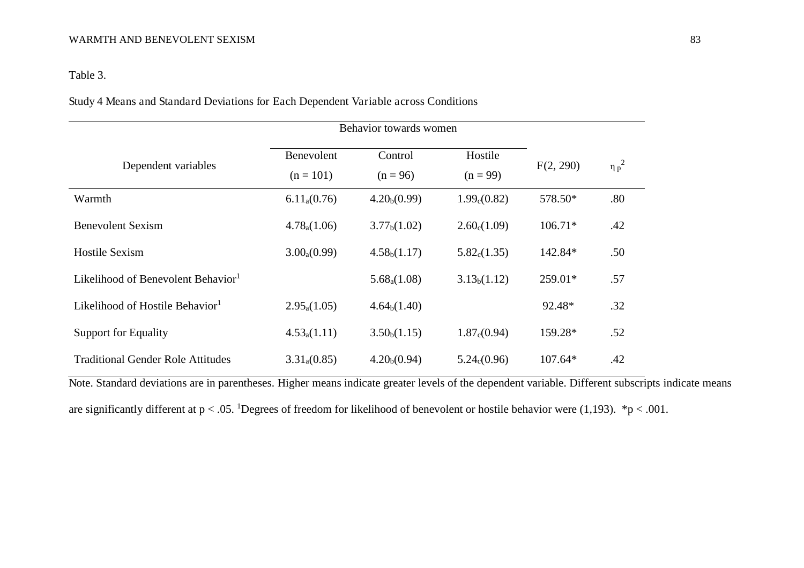## Table 3.

Study 4 Means and Standard Deviations for Each Dependent Variable across Conditions

|                                                |                           | Behavior towards women   |                          |           |            |  |  |  |  |  |
|------------------------------------------------|---------------------------|--------------------------|--------------------------|-----------|------------|--|--|--|--|--|
| Dependent variables                            | Benevolent<br>$(n = 101)$ | Control<br>$(n = 96)$    | Hostile<br>$(n = 99)$    | F(2, 290) | $\eta p^2$ |  |  |  |  |  |
| Warmth                                         | $6.11_{a}(0.76)$          | 4.20 <sub>b</sub> (0.99) | 1.99 <sub>c</sub> (0.82) | 578.50*   | .80        |  |  |  |  |  |
| <b>Benevolent Sexism</b>                       | $4.78_{a}(1.06)$          | 3.77 <sub>b</sub> (1.02) | 2.60 <sub>c</sub> (1.09) | $106.71*$ | .42        |  |  |  |  |  |
| <b>Hostile Sexism</b>                          | $3.00_{a}(0.99)$          | 4.58 <sub>b</sub> (1.17) | 5.82 <sub>c</sub> (1.35) | 142.84*   | .50        |  |  |  |  |  |
| Likelihood of Benevolent Behavior <sup>1</sup> |                           | $5.68_a(1.08)$           | 3.13 <sub>b</sub> (1.12) | $259.01*$ | .57        |  |  |  |  |  |
| Likelihood of Hostile Behavior <sup>1</sup>    | $2.95_a(1.05)$            | 4.64 <sub>b</sub> (1.40) |                          | 92.48*    | .32        |  |  |  |  |  |
| <b>Support for Equality</b>                    | $4.53_{a}(1.11)$          | 3.50 <sub>b</sub> (1.15) | 1.87 <sub>c</sub> (0.94) | 159.28*   | .52        |  |  |  |  |  |
| <b>Traditional Gender Role Attitudes</b>       | $3.31_{a}(0.85)$          | 4.20 <sub>b</sub> (0.94) | 5.24 <sub>c</sub> (0.96) | $107.64*$ | .42        |  |  |  |  |  |

Note. Standard deviations are in parentheses. Higher means indicate greater levels of the dependent variable. Different subscripts indicate means are significantly different at  $p < .05$ . <sup>1</sup>Degrees of freedom for likelihood of benevolent or hostile behavior were (1,193). \*p < .001.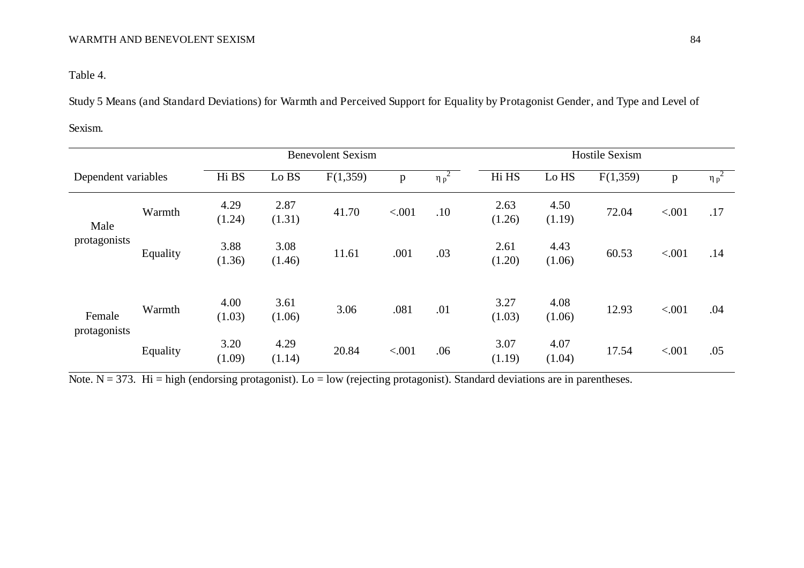Table 4.

Study 5 Means (and Standard Deviations) for Warmth and Perceived Support for Equality by Protagonist Gender, and Type and Level of

### Sexism.

| <b>Benevolent Sexism</b> |          |                |                |          |        |                       |                | <b>Hostile Sexism</b> |          |        |                       |  |  |
|--------------------------|----------|----------------|----------------|----------|--------|-----------------------|----------------|-----------------------|----------|--------|-----------------------|--|--|
| Dependent variables      |          | Hi BS          | Lo BS          | F(1,359) | p      | $\overline{\eta p^2}$ | Hi HS          | Lo HS                 | F(1,359) | p      | $\overline{\eta p}^2$ |  |  |
| Male<br>protagonists     | Warmth   | 4.29<br>(1.24) | 2.87<br>(1.31) | 41.70    | < .001 | .10                   | 2.63<br>(1.26) | 4.50<br>(1.19)        | 72.04    | < .001 | .17                   |  |  |
|                          | Equality | 3.88<br>(1.36) | 3.08<br>(1.46) | 11.61    | .001   | .03                   | 2.61<br>(1.20) | 4.43<br>(1.06)        | 60.53    | < .001 | .14                   |  |  |
| Female<br>protagonists   | Warmth   | 4.00<br>(1.03) | 3.61<br>(1.06) | 3.06     | .081   | .01                   | 3.27<br>(1.03) | 4.08<br>(1.06)        | 12.93    | < .001 | .04                   |  |  |
|                          | Equality | 3.20<br>(1.09) | 4.29<br>(1.14) | 20.84    | < .001 | .06                   | 3.07<br>(1.19) | 4.07<br>(1.04)        | 17.54    | < .001 | .05                   |  |  |

Note.  $N = 373$ . Hi = high (endorsing protagonist). Lo = low (rejecting protagonist). Standard deviations are in parentheses.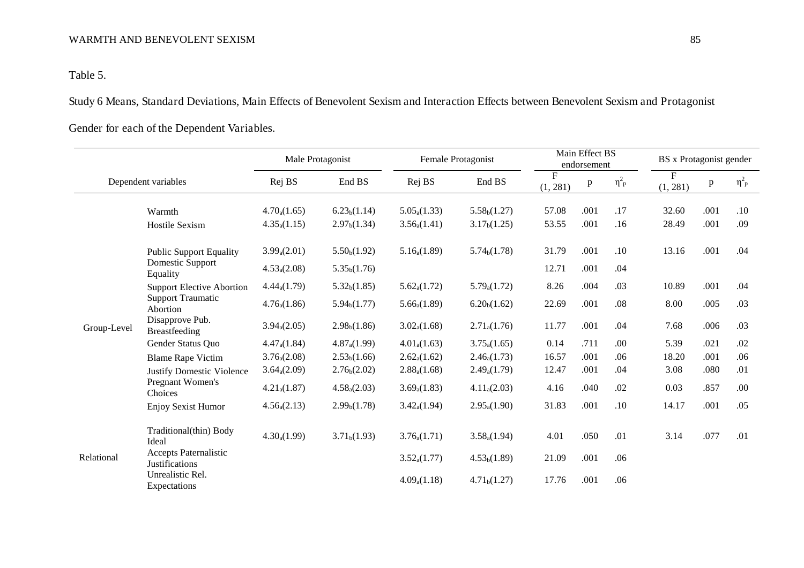Table 5.

Study 6 Means, Standard Deviations, Main Effects of Benevolent Sexism and Interaction Effects between Benevolent Sexism and Protagonist

Gender for each of the Dependent Variables.

|             |                                                       |                          | Male Protagonist         |                  | Female Protagonist       |               |      | Main Effect BS<br>endorsement | BS x Protagonist gender |      |                       |
|-------------|-------------------------------------------------------|--------------------------|--------------------------|------------------|--------------------------|---------------|------|-------------------------------|-------------------------|------|-----------------------|
|             | Dependent variables                                   | Rej BS                   | End BS                   | Rej BS           | End BS                   | F<br>(1, 281) | p    | $\eta^2{}_{p}$                | F<br>(1, 281)           | p    | $\eta^2$ <sub>p</sub> |
|             | Warmth                                                | $4.70_a(1.65)$           | 6.23 <sub>b</sub> (1.14) | $5.05_a(1.33)$   | 5.58 <sub>b</sub> (1.27) | 57.08         | .001 | .17                           | 32.60                   | .001 | .10                   |
|             | <b>Hostile Sexism</b>                                 | $4.35_a(1.15)$           | 2.97 <sub>b</sub> (1.34) | $3.56_a(1.41)$   | 3.17 <sub>b</sub> (1.25) | 53.55         | .001 | .16                           | 28.49                   | .001 | .09                   |
|             | <b>Public Support Equality</b>                        | $3.99_a(2.01)$           | 5.50 <sub>b</sub> (1.92) | $5.16_a(1.89)$   | 5.74 <sub>b</sub> (1.78) | 31.79         | .001 | .10                           | 13.16                   | .001 | .04                   |
|             | Domestic Support<br>Equality                          | $4.53_a(2.08)$           | 5.35 <sub>b</sub> (1.76) |                  |                          | 12.71         | .001 | .04                           |                         |      |                       |
|             | <b>Support Elective Abortion</b>                      | 4.44 <sub>a</sub> (1.79) | 5.32 <sub>b</sub> (1.85) | $5.62_a(1.72)$   | $5.79_a(1.72)$           | 8.26          | .004 | .03                           | 10.89                   | .001 | .04                   |
|             | <b>Support Traumatic</b><br>Abortion                  | $4.76_{a}(1.86)$         | 5.94 <sub>b</sub> (1.77) | $5.66_{a}(1.89)$ | 6.20 <sub>b</sub> (1.62) | 22.69         | .001 | .08                           | 8.00                    | .005 | .03                   |
| Group-Level | Disapprove Pub.<br><b>Breastfeeding</b>               | 3.94 <sub>a</sub> (2.05) | 2.98 <sub>b</sub> (1.86) | $3.02_a(1.68)$   | $2.71_a(1.76)$           | 11.77         | .001 | .04                           | 7.68                    | .006 | .03                   |
|             | Gender Status Quo                                     | 4.47 <sub>a</sub> (1.84) | $4.87_{a}(1.99)$         | $4.01_a(1.63)$   | $3.75_a(1.65)$           | 0.14          | .711 | .00                           | 5.39                    | .021 | .02                   |
|             | <b>Blame Rape Victim</b>                              | $3.76_a(2.08)$           | 2.53 <sub>b</sub> (1.66) | $2.62_a(1.62)$   | $2.46_{a}(1.73)$         | 16.57         | .001 | .06                           | 18.20                   | .001 | .06                   |
|             | <b>Justify Domestic Violence</b>                      | $3.64_{a}(2.09)$         | 2.76 <sub>b</sub> (2.02) | $2.88_a(1.68)$   | $2.49_{a}(1.79)$         | 12.47         | .001 | .04                           | 3.08                    | .080 | .01                   |
|             | Pregnant Women's<br>Choices                           | $4.21_{a}(1.87)$         | $4.58_{a}(2.03)$         | $3.69_a(1.83)$   | $4.11_{a}(2.03)$         | 4.16          | .040 | .02                           | 0.03                    | .857 | .00                   |
|             | <b>Enjoy Sexist Humor</b>                             | $4.56_{a}(2.13)$         | 2.99 <sub>b</sub> (1.78) | $3.42_a(1.94)$   | $2.95_a(1.90)$           | 31.83         | .001 | .10                           | 14.17                   | .001 | .05                   |
|             | Traditional(thin) Body<br>Ideal                       | $4.30_a(1.99)$           | 3.71 <sub>b</sub> (1.93) | $3.76_{a}(1.71)$ | $3.58_a(1.94)$           | 4.01          | .050 | .01                           | 3.14                    | .077 | .01                   |
| Relational  | <b>Accepts Paternalistic</b><br><b>Justifications</b> |                          |                          | $3.52_{a}(1.77)$ | 4.53 <sub>b</sub> (1.89) | 21.09         | .001 | .06                           |                         |      |                       |
|             | Unrealistic Rel.<br>Expectations                      |                          |                          | $4.09_a(1.18)$   | 4.71 <sub>b</sub> (1.27) | 17.76         | .001 | .06                           |                         |      |                       |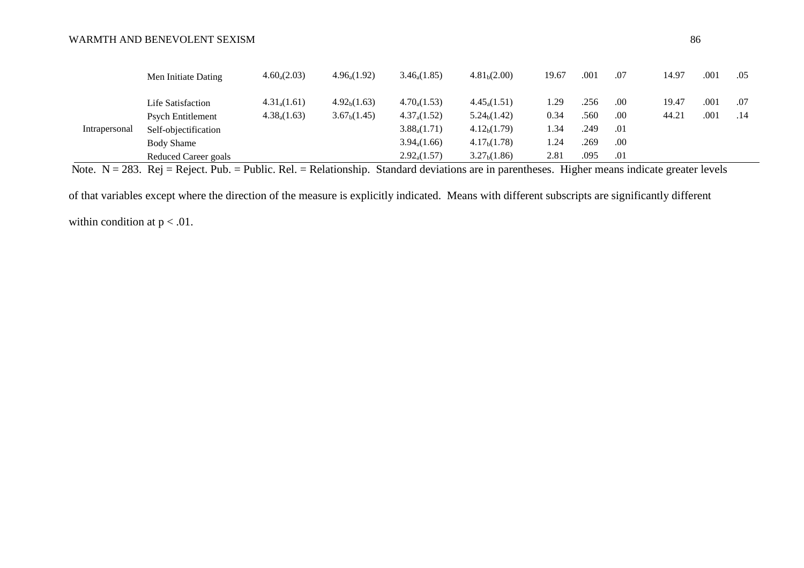|               | Men Initiate Dating         | $4.60_{a}(2.03)$ | $4.96_{a}(1.92)$         | $3.46_{a}(1.85)$ | 4.81 <sub>b</sub> (2.00) | 19.67 | .001 | .07 | 14.97 | .001 | .05 |
|---------------|-----------------------------|------------------|--------------------------|------------------|--------------------------|-------|------|-----|-------|------|-----|
|               | Life Satisfaction           | $4.31_{a}(1.61)$ | 4.92 <sub>b</sub> (1.63) | $4.70_{a}(1.53)$ | $4.45_{a}(1.51)$         | 1.29  | .256 | .00 | 19.47 | .001 | .07 |
|               | Psych Entitlement           | $4.38_a(1.63)$   | 3.67 <sub>b</sub> (1.45) | $4.37_{a}(1.52)$ | 5.24 <sub>b</sub> (1.42) | 0.34  | .560 | .00 | 44.21 | .001 | .14 |
| Intrapersonal | Self-objectification        |                  |                          | $3.88_{a}(1.71)$ | 4.12 <sub>b</sub> (1.79) | 1.34  | .249 | .01 |       |      |     |
|               | Body Shame                  |                  |                          | $3.94_a(1.66)$   | 4.17 <sub>b</sub> (1.78) | 1.24  | .269 | .00 |       |      |     |
|               | <b>Reduced Career goals</b> |                  |                          | $2.92_a(1.57)$   | 3.27 <sub>b</sub> (1.86) | 2.81  | .095 | .01 |       |      |     |

Note.  $N = 283$ . Rej = Reject. Pub. = Public. Rel. = Relationship. Standard deviations are in parentheses. Higher means indicate greater levels

of that variables except where the direction of the measure is explicitly indicated. Means with different subscripts are significantly different

within condition at  $p < .01$ .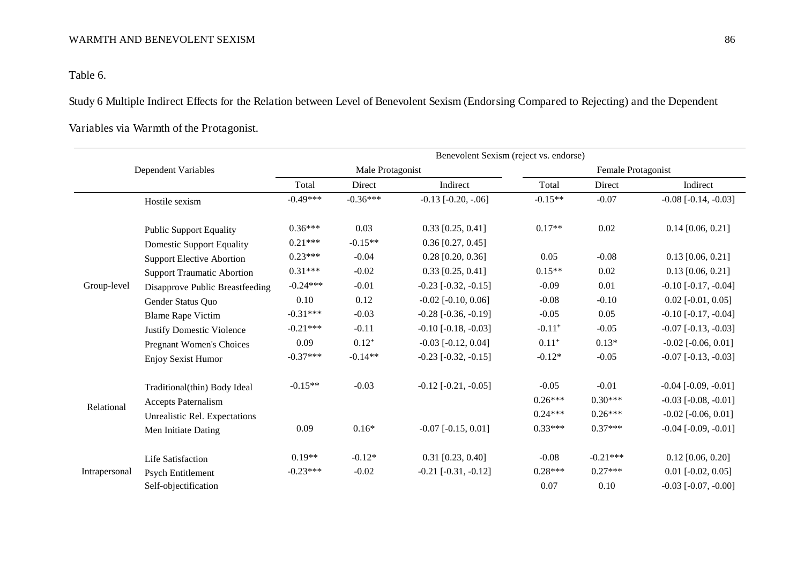Table 6.

Study 6 Multiple Indirect Effects for the Relation between Level of Benevolent Sexism (Endorsing Compared to Rejecting) and the Dependent

|               |                                   | Benevolent Sexism (reject vs. endorse) |                  |                               |                      |                    |                              |  |  |  |  |  |
|---------------|-----------------------------------|----------------------------------------|------------------|-------------------------------|----------------------|--------------------|------------------------------|--|--|--|--|--|
|               | Dependent Variables               |                                        | Male Protagonist |                               |                      | Female Protagonist |                              |  |  |  |  |  |
|               |                                   | Total                                  | Direct           | Indirect                      | Total                | Direct             | Indirect                     |  |  |  |  |  |
|               | Hostile sexism                    | $-0.49***$                             | $-0.36***$       | $-0.13$ $[-0.20, -0.06]$      | $-0.15**$            | $-0.07$            | $-0.08$ $[-0.14, -0.03]$     |  |  |  |  |  |
|               | <b>Public Support Equality</b>    | $0.36***$                              | 0.03             | $0.33$ [0.25, 0.41]           | $0.17**$             | 0.02               | $0.14$ [0.06, 0.21]          |  |  |  |  |  |
|               | <b>Domestic Support Equality</b>  | $0.21***$                              | $-0.15**$        | $0.36$ [0.27, 0.45]           |                      |                    |                              |  |  |  |  |  |
|               | <b>Support Elective Abortion</b>  | $0.23***$                              | $-0.04$          | $0.28$ [0.20, 0.36]           | 0.05                 | $-0.08$            | $0.13$ [0.06, 0.21]          |  |  |  |  |  |
|               | <b>Support Traumatic Abortion</b> | $0.31***$                              | $-0.02$          | $0.33$ [0.25, 0.41]           | $0.15**$             | 0.02               | $0.13$ [0.06, 0.21]          |  |  |  |  |  |
| Group-level   | Disapprove Public Breastfeeding   | $-0.24***$                             | $-0.01$          | $-0.23$ $[-0.32, -0.15]$      | $-0.09$              | 0.01               | $-0.10$ $[-0.17, -0.04]$     |  |  |  |  |  |
|               | Gender Status Quo                 | 0.10                                   | 0.12             | $-0.02$ [ $-0.10, 0.06$ ]     | $-0.08$              | $-0.10$            | $0.02$ [-0.01, 0.05]         |  |  |  |  |  |
|               | <b>Blame Rape Victim</b>          | $-0.31***$                             | $-0.03$          | $-0.28$ $[-0.36, -0.19]$      | $-0.05$              | 0.05               | $-0.10$ [ $-0.17, -0.04$ ]   |  |  |  |  |  |
|               | Justify Domestic Violence         | $-0.21***$                             | $-0.11$          | $-0.10$ [ $-0.18$ , $-0.03$ ] | $-0.11$ <sup>+</sup> | $-0.05$            | $-0.07$ $[-0.13, -0.03]$     |  |  |  |  |  |
|               | <b>Pregnant Women's Choices</b>   | 0.09                                   | $0.12^{+}$       | $-0.03$ [ $-0.12$ , 0.04]     | $0.11^{+}$           | $0.13*$            | $-0.02$ [ $-0.06, 0.01$ ]    |  |  |  |  |  |
|               | Enjoy Sexist Humor                | $-0.37***$                             | $-0.14**$        | $-0.23$ [ $-0.32, -0.15$ ]    | $-0.12*$             | $-0.05$            | $-0.07$ $[-0.13, -0.03]$     |  |  |  |  |  |
|               | Traditional(thin) Body Ideal      | $-0.15**$                              | $-0.03$          | $-0.12$ [ $-0.21, -0.05$ ]    | $-0.05$              | $-0.01$            | $-0.04$ [ $-0.09, -0.01$ ]   |  |  |  |  |  |
|               | Accepts Paternalism               |                                        |                  |                               | $0.26***$            | $0.30***$          | $-0.03$ $[-0.08, -0.01]$     |  |  |  |  |  |
| Relational    | Unrealistic Rel. Expectations     |                                        |                  |                               | $0.24***$            | $0.26***$          | $-0.02$ [ $-0.06$ , $0.01$ ] |  |  |  |  |  |
|               | Men Initiate Dating               | 0.09                                   | $0.16*$          | $-0.07$ $[-0.15, 0.01]$       | $0.33***$            | $0.37***$          | $-0.04$ [ $-0.09, -0.01$ ]   |  |  |  |  |  |
|               | Life Satisfaction                 | $0.19**$                               | $-0.12*$         | $0.31$ [0.23, 0.40]           | $-0.08$              | $-0.21***$         | $0.12$ [0.06, 0.20]          |  |  |  |  |  |
| Intrapersonal | <b>Psych Entitlement</b>          | $-0.23***$                             | $-0.02$          | $-0.21$ $[-0.31, -0.12]$      | $0.28***$            | $0.27***$          | $0.01$ [ $-0.02$ , $0.05$ ]  |  |  |  |  |  |
|               | Self-objectification              |                                        |                  |                               | 0.07                 | 0.10               | $-0.03$ $[-0.07, -0.00]$     |  |  |  |  |  |

Variables via Warmth of the Protagonist.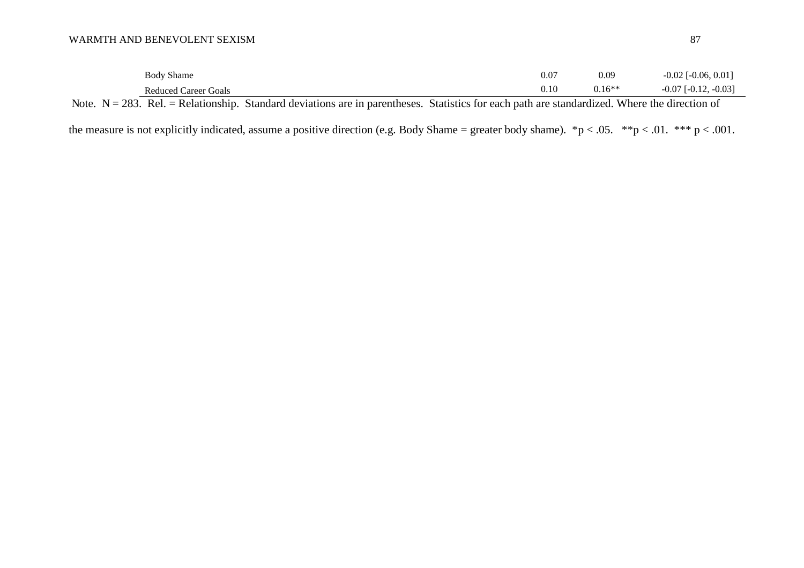|              | $\sim$<br><b>Body Shame</b>        |        |  |  |               |  | 0.07   | 0.09<br>$0.16**$ | $, 0.01$ <sup>1</sup><br>$-0.02$<br>$\degree$ [-0.06.] |
|--------------|------------------------------------|--------|--|--|---------------|--|--------|------------------|--------------------------------------------------------|
|              | <b>Reduced Career Goals</b>        |        |  |  |               |  | v. 1 v | 0.10             | $-0.03$ ]<br>$-0.07$<br>$\int$ [-0.12.                 |
| $\mathbf{v}$ | $\sim$ $\sim$ $\sim$ $\sim$ $\sim$ | $\sim$ |  |  | $\sim$ $\sim$ |  |        | T T T T          | $\cdot$                                                |

Note.  $N = 283$ . Rel. = Relationship. Standard deviations are in parentheses. Statistics for each path are standardized. Where the direction of

the measure is not explicitly indicated, assume a positive direction (e.g. Body Shame = greater body shame).  $np < .05$ .  $* p < .01$ .  $* * p < .001$ .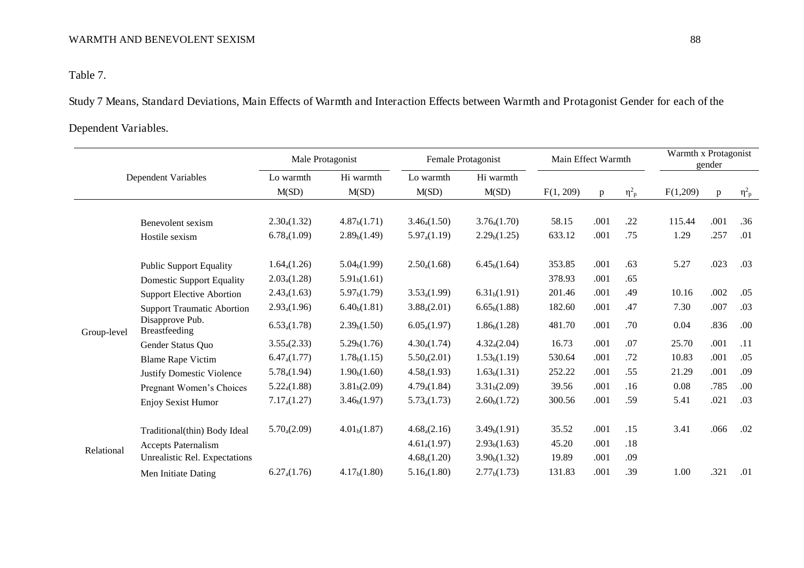Table 7.

Study 7 Means, Standard Deviations, Main Effects of Warmth and Interaction Effects between Warmth and Protagonist Gender for each of the

# Dependent Variables.

|             | Dependent Variables               |                      | Male Protagonist         | Female Protagonist | Main Effect Warmth       |           |      | Warmth x Protagonist<br>gender |          |              |                       |
|-------------|-----------------------------------|----------------------|--------------------------|--------------------|--------------------------|-----------|------|--------------------------------|----------|--------------|-----------------------|
|             |                                   |                      | Hi warmth<br>M(SD)       | Lo warmth<br>M(SD) | Hi warmth<br>M(SD)       | F(1, 209) | p    | $\eta_{\rm p}^2$               | F(1,209) | $\mathbf{p}$ | $\eta^2$ <sub>p</sub> |
|             | Benevolent sexism                 | $2.30_a(1.32)$       | 4.87 <sub>b</sub> (1.71) | $3.46_{a}(1.50)$   | $3.76_{a}(1.70)$         | 58.15     | .001 | .22                            | 115.44   | .001         | .36                   |
|             | Hostile sexism                    | $6.78_a(1.09)$       | 2.89 <sub>b</sub> (1.49) | $5.97_{a}(1.19)$   | 2.29 <sub>b</sub> (1.25) | 633.12    | .001 | .75                            | 1.29     | .257         | .01                   |
|             | <b>Public Support Equality</b>    | $1.64_a(1.26)$       | 5.04 <sub>b</sub> (1.99) | $2.50_a(1.68)$     | 6.45 <sub>b</sub> (1.64) | 353.85    | .001 | .63                            | 5.27     | .023         | .03                   |
|             | <b>Domestic Support Equality</b>  | $2.03_a(1.28)$       | 5.91 <sub>b</sub> (1.61) |                    |                          | 378.93    | .001 | .65                            |          |              |                       |
|             | <b>Support Elective Abortion</b>  | $2.43_{a}(1.63)$     | 5.97 <sub>b</sub> (1.79) | $3.53_a(1.99)$     | 6.31 <sub>b</sub> (1.91) | 201.46    | .001 | .49                            | 10.16    | .002         | .05                   |
|             | <b>Support Traumatic Abortion</b> | $2.93_a(1.96)$       | 6.40 <sub>b</sub> (1.81) | $3.88_a(2.01)$     | 6.65 <sub>b</sub> (1.88) | 182.60    | .001 | .47                            | 7.30     | .007         | .03                   |
| Group-level | Disapprove Pub.<br>Breastfeeding  | $6.53_a(1.78)$       | 2.39 <sub>b</sub> (1.50) | $6.05_a(1.97)$     | 1.86 <sub>b</sub> (1.28) | 481.70    | .001 | .70                            | 0.04     | .836         | .00                   |
|             | Gender Status Quo                 | $3.55_a(2.33)$       | 5.29 <sub>b</sub> (1.76) | $4.30_a(1.74)$     | $4.32_{a}(2.04)$         | 16.73     | .001 | .07                            | 25.70    | .001         | .11                   |
|             | <b>Blame Rape Victim</b>          | $6.47_{a}(1.77)$     | 1.78 <sub>b</sub> (1.15) | $5.50_{a}(2.01)$   | 1.53 <sub>b</sub> (1.19) | 530.64    | .001 | .72                            | 10.83    | .001         | .05                   |
|             | <b>Justify Domestic Violence</b>  | $5.78_{a}(1.94)$     | 1.90 <sub>b</sub> (1.60) | $4.58_{a}(1.93)$   | 1.63 <sub>b</sub> (1.31) | 252.22    | .001 | .55                            | 21.29    | .001         | .09                   |
|             | Pregnant Women's Choices          | $5.22_{a}(1.88)$     | 3.81 <sub>b</sub> (2.09) | $4.79_a(1.84)$     | 3.31 <sub>b</sub> (2.09) | 39.56     | .001 | .16                            | 0.08     | .785         | .00                   |
|             | Enjoy Sexist Humor                | $7.17_{a}(1.27)$     | 3.46 <sub>b</sub> (1.97) | $5.73_{a}(1.73)$   | 2.60 <sub>b</sub> (1.72) | 300.56    | .001 | .59                            | 5.41     | .021         | .03                   |
|             | Traditional(thin) Body Ideal      | $5.70_{a}(2.09)$     | 4.01 <sub>b</sub> (1.87) | $4.68_a(2.16)$     | 3.49 <sub>b</sub> (1.91) | 35.52     | .001 | .15                            | 3.41     | .066         | .02                   |
| Relational  | <b>Accepts Paternalism</b>        |                      |                          | $4.61_a(1.97)$     | 2.93 <sub>b</sub> (1.63) | 45.20     | .001 | .18                            |          |              |                       |
|             | Unrealistic Rel. Expectations     |                      |                          | $4.68_a(1.20)$     | 3.90 <sub>b</sub> (1.32) | 19.89     | .001 | .09                            |          |              |                       |
|             | Men Initiate Dating               | $6.27_{\rm a}(1.76)$ | 4.17 <sub>b</sub> (1.80) | $5.16_a(1.80)$     | 2.77 <sub>b</sub> (1.73) | 131.83    | .001 | .39                            | 1.00     | .321         | .01                   |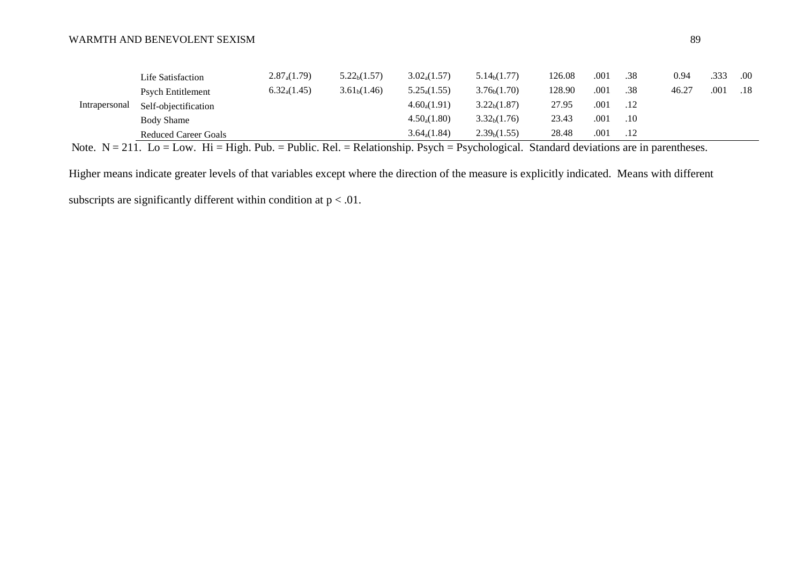| .00 |
|-----|
| .18 |
|     |
|     |
|     |
|     |

Note.  $N = 211$ . Lo = Low. Hi = High. Pub. = Public. Rel. = Relationship. Psych = Psychological. Standard deviations are in parentheses.

Higher means indicate greater levels of that variables except where the direction of the measure is explicitly indicated. Means with different subscripts are significantly different within condition at  $p < .01$ .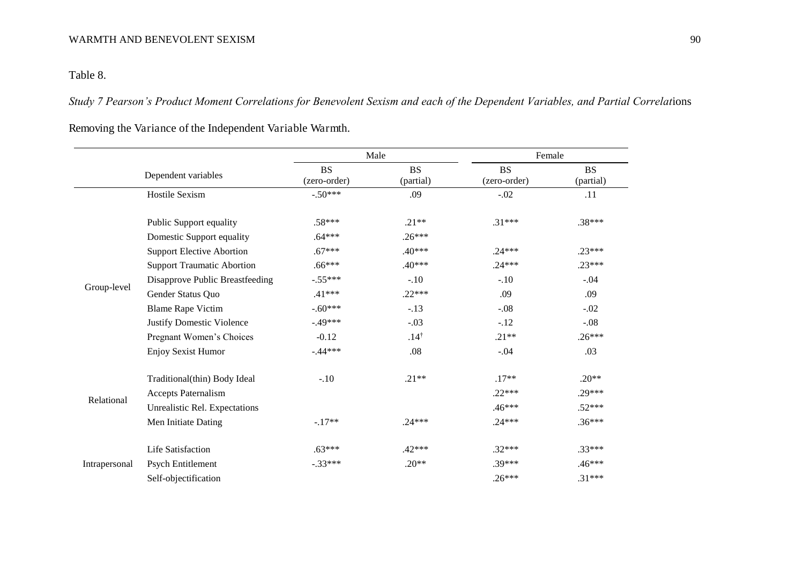Table 8.

*Study 7 Pearson's Product Moment Correlations for Benevolent Sexism and each of the Dependent Variables, and Partial Correlat*ions

Removing the Variance of the Independent Variable Warmth.

|               |                                   |                           | Male                   | Female                    |                        |
|---------------|-----------------------------------|---------------------------|------------------------|---------------------------|------------------------|
|               | Dependent variables               | <b>BS</b><br>(zero-order) | <b>BS</b><br>(partial) | <b>BS</b><br>(zero-order) | <b>BS</b><br>(partial) |
|               | Hostile Sexism                    | $-.50***$                 | .09                    | $-.02$                    | .11                    |
|               | Public Support equality           | $.58***$                  | $.21**$                | $.31***$                  | $.38***$               |
|               | Domestic Support equality         | $.64***$                  | $.26***$               |                           |                        |
|               | <b>Support Elective Abortion</b>  | $.67***$                  | $.40***$               | $.24***$                  | $.23***$               |
|               | <b>Support Traumatic Abortion</b> | $.66***$                  | $.40***$               | $.24***$                  | $.23***$               |
|               | Disapprove Public Breastfeeding   | $-.55***$                 | $-.10$                 | $-.10$                    | $-.04$                 |
| Group-level   | Gender Status Quo                 | $.41***$                  | $.22***$               | .09                       | .09                    |
|               | <b>Blame Rape Victim</b>          | $-.60***$                 | $-.13$                 | $-.08$                    | $-.02$                 |
|               | <b>Justify Domestic Violence</b>  | $-.49***$                 | $-.03$                 | $-.12$                    | $-.08$                 |
|               | Pregnant Women's Choices          | $-0.12$                   | $.14^{\dagger}$        | $.21**$                   | $.26***$               |
|               | Enjoy Sexist Humor                | $-.44***$                 | .08                    | $-.04$                    | .03                    |
|               | Traditional(thin) Body Ideal      | $-.10$                    | $.21**$                | $.17**$                   | $.20**$                |
|               | Accepts Paternalism               |                           |                        | $.22***$                  | $.29***$               |
| Relational    | Unrealistic Rel. Expectations     |                           |                        | $.46***$                  | $.52***$               |
|               | Men Initiate Dating               | $-.17**$                  | $.24***$               | $.24***$                  | $.36***$               |
|               | <b>Life Satisfaction</b>          | $.63***$                  | $.42***$               | $.32***$                  | $.33***$               |
| Intrapersonal | Psych Entitlement                 | $-.33***$                 | $.20**$                | $.39***$                  | $.46***$               |
|               | Self-objectification              |                           |                        | $.26***$                  | $.31***$               |